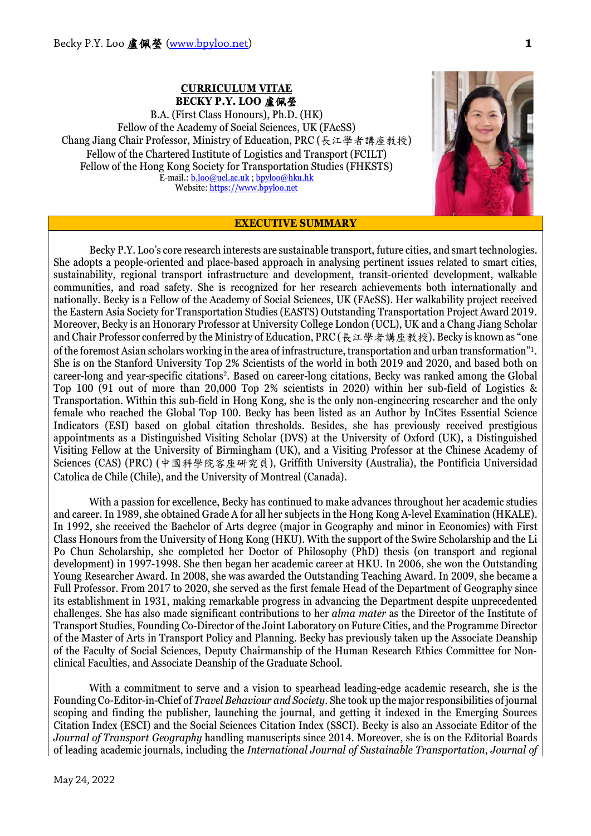### **CURRICULUM VITAE BECKY P.Y. LOO** 盧佩瑩

B.A. (First Class Honours), Ph.D. (HK) Fellow of the Academy of Social Sciences, UK (FAcSS) Chang Jiang Chair Professor, Ministry of Education, PRC (長江學者講座教授) Fellow of the Chartered Institute of Logistics and Transport (FCILT) Fellow of the Hong Kong Society for Transportation Studies (FHKSTS) E-mail.: **b.loo@ucl.ac.uk** [; bpyloo@hku.hk](mailto:bpyloo@hku.hk) Website[: https://www.bpyloo.net](https://www.bpyloo.net/)



### **EXECUTIVE SUMMARY**

Becky P.Y. Loo's core research interests are sustainable transport, future cities, and smart technologies. She adopts a people-oriented and place-based approach in analysing pertinent issues related to smart cities, sustainability, regional transport infrastructure and development, transit-oriented development, walkable communities, and road safety. She is recognized for her research achievements both internationally and nationally. Becky is a Fellow of the Academy of Social Sciences, UK (FAcSS). Her walkability project received the Eastern Asia Society for Transportation Studies (EASTS) Outstanding Transportation Project Award 2019. Moreover, Becky is an Honorary Professor at University College London (UCL), UK and a Chang Jiang Scholar and Chair Professor conferred by the Ministry of Education, PRC (長江學者講座教授). Becky is known as "one of the foremost Asian scholars working in the area of infrastructure, transportation and urban transformation"1. She is on the Stanford University Top 2% Scientists of the world in both 2019 and 2020, and based both on career-long and year-specific citations2. Based on career-long citations, Becky was ranked among the Global Top 100 (91 out of more than 20,000 Top 2% scientists in 2020) within her sub-field of Logistics & Transportation. Within this sub-field in Hong Kong, she is the only non-engineering researcher and the only female who reached the Global Top 100. Becky has been listed as an Author by InCites Essential Science Indicators (ESI) based on global citation thresholds. Besides, she has previously received prestigious appointments as a Distinguished Visiting Scholar (DVS) at the University of Oxford (UK), a Distinguished Visiting Fellow at the University of Birmingham (UK), and a Visiting Professor at the Chinese Academy of Sciences (CAS) (PRC) (中國科學院客座研究員), Griffith University (Australia), the Pontificia Universidad Catolica de Chile (Chile), and the University of Montreal (Canada).

With a passion for excellence, Becky has continued to make advances throughout her academic studies and career. In 1989, she obtained Grade A for all her subjects in the Hong Kong A-level Examination (HKALE). In 1992, she received the Bachelor of Arts degree (major in Geography and minor in Economics) with First Class Honours from the University of Hong Kong (HKU). With the support of the Swire Scholarship and the Li Po Chun Scholarship, she completed her Doctor of Philosophy (PhD) thesis (on transport and regional development) in 1997-1998. She then began her academic career at HKU. In 2006, she won the Outstanding Young Researcher Award. In 2008, she was awarded the Outstanding Teaching Award. In 2009, she became a Full Professor. From 2017 to 2020, she served as the first female Head of the Department of Geography since its establishment in 1931, making remarkable progress in advancing the Department despite unprecedented challenges. She has also made significant contributions to her *alma mater* as the Director of the Institute of Transport Studies, Founding Co-Director of the Joint Laboratory on Future Cities, and the Programme Director of the Master of Arts in Transport Policy and Planning. Becky has previously taken up the Associate Deanship of the Faculty of Social Sciences, Deputy Chairmanship of the Human Research Ethics Committee for Nonclinical Faculties, and Associate Deanship of the Graduate School.

With a commitment to serve and a vision to spearhead leading-edge academic research, she is the Founding Co-Editor-in-Chief of *Travel Behaviour and Society*. She took up the major responsibilities of journal scoping and finding the publisher, launching the journal, and getting it indexed in the Emerging Sources Citation Index (ESCI) and the Social Sciences Citation Index (SSCI). Becky is also an Associate Editor of the *Journal of Transport Geography* handling manuscripts since 2014. Moreover, she is on the Editorial Boards of leading academic journals, including the *International Journal of Sustainable Transportation*, *Journal of*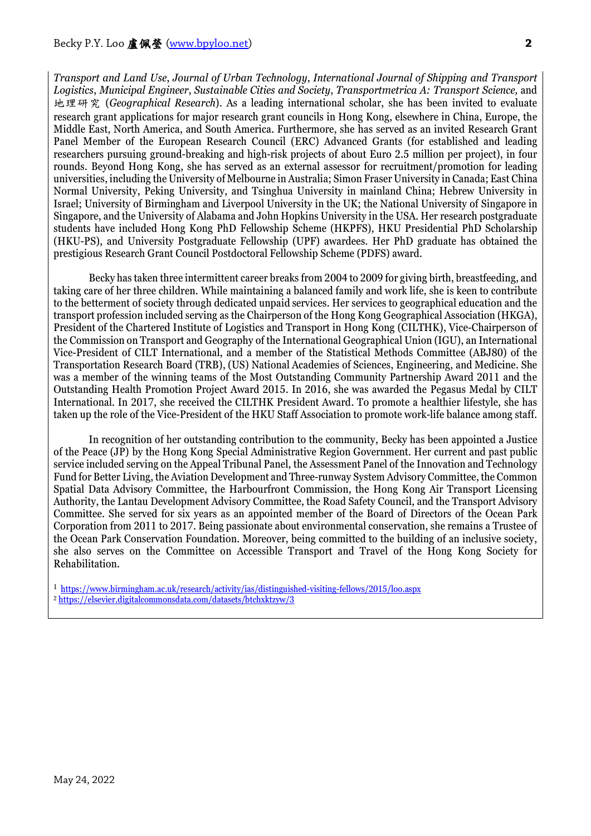*Transport and Land Use*, *Journal of Urban Technology*, *International Journal of Shipping and Transport Logistics*, *Municipal Engineer*, *Sustainable Cities and Society*, *Transportmetrica A: Transport Science,* and 地理研究 (*Geographical Research*). As a leading international scholar, she has been invited to evaluate research grant applications for major research grant councils in Hong Kong, elsewhere in China, Europe, the Middle East, North America, and South America. Furthermore, she has served as an invited Research Grant Panel Member of the European Research Council (ERC) Advanced Grants (for established and leading researchers pursuing ground-breaking and high-risk projects of about Euro 2.5 million per project), in four rounds. Beyond Hong Kong, she has served as an external assessor for recruitment/promotion for leading universities, including the University of Melbourne in Australia; Simon Fraser University in Canada; East China Normal University, Peking University, and Tsinghua University in mainland China; Hebrew University in Israel; University of Birmingham and Liverpool University in the UK; the National University of Singapore in Singapore, and the University of Alabama and John Hopkins University in the USA. Her research postgraduate students have included Hong Kong PhD Fellowship Scheme (HKPFS), HKU Presidential PhD Scholarship (HKU-PS), and University Postgraduate Fellowship (UPF) awardees. Her PhD graduate has obtained the prestigious Research Grant Council Postdoctoral Fellowship Scheme (PDFS) award.

Becky has taken three intermittent career breaks from 2004 to 2009 for giving birth, breastfeeding, and taking care of her three children. While maintaining a balanced family and work life, she is keen to contribute to the betterment of society through dedicated unpaid services. Her services to geographical education and the transport profession included serving as the Chairperson of the Hong Kong Geographical Association (HKGA), President of the Chartered Institute of Logistics and Transport in Hong Kong (CILTHK), Vice-Chairperson of the Commission on Transport and Geography of the International Geographical Union (IGU), an International Vice-President of CILT International, and a member of the Statistical Methods Committee (ABJ80) of the Transportation Research Board (TRB), (US) National Academies of Sciences, Engineering, and Medicine. She was a member of the winning teams of the Most Outstanding Community Partnership Award 2011 and the Outstanding Health Promotion Project Award 2015. In 2016, she was awarded the Pegasus Medal by CILT International. In 2017, she received the CILTHK President Award. To promote a healthier lifestyle, she has taken up the role of the Vice-President of the HKU Staff Association to promote work-life balance among staff.

In recognition of her outstanding contribution to the community, Becky has been appointed a Justice of the Peace (JP) by the Hong Kong Special Administrative Region Government. Her current and past public service included serving on the Appeal Tribunal Panel, the Assessment Panel of the Innovation and Technology Fund for Better Living, the Aviation Development and Three-runway System Advisory Committee, the Common Spatial Data Advisory Committee, the Harbourfront Commission, the Hong Kong Air Transport Licensing Authority, the Lantau Development Advisory Committee, the Road Safety Council, and the Transport Advisory Committee. She served for six years as an appointed member of the Board of Directors of the Ocean Park Corporation from 2011 to 2017. Being passionate about environmental conservation, she remains a Trustee of the Ocean Park Conservation Foundation. Moreover, being committed to the building of an inclusive society, she also serves on the Committee on Accessible Transport and Travel of the Hong Kong Society for Rehabilitation.

<sup>1</sup> <https://www.birmingham.ac.uk/research/activity/ias/distinguished-visiting-fellows/2015/loo.aspx> <sup>2</sup> <https://elsevier.digitalcommonsdata.com/datasets/btchxktzyw/3>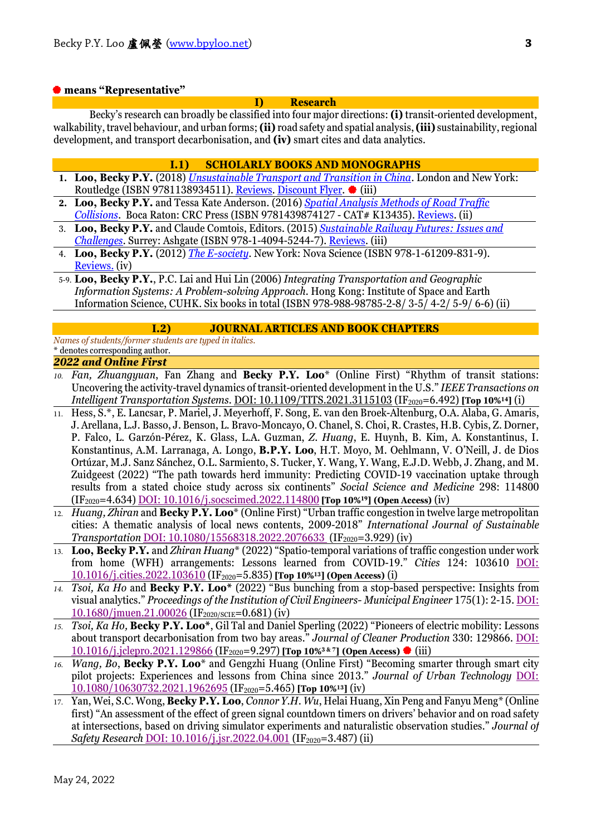#### **means "Representative"**

#### **I) Research**

Becky's research can broadly be classified into four major directions: **(i)** transit-oriented development, walkability, travel behaviour, and urban forms; **(ii)** road safety and spatial analysis, **(iii)** sustainability, regional development, and transport decarbonisation, and **(iv)** smart cites and data analytics.

#### **I.1) SCHOLARLY BOOKS AND MONOGRAPHS**

- **1. Loo, Becky P.Y.** (2018) *[Unsustainable Transport and Transition in China](https://www.routledge.com/Unsustainable-Transport-and-Transition-in-China/Loo/p/book/9781138934511)*. London and New York: Routledge (ISBN 9781138934511)[. Reviews.](https://www.routledge.com/Unsustainable-Transport-and-Transition-in-China/Loo/p/book/9781138934511) Discount Flyer.  $\bullet$  (iii)
- **2. Loo, Becky P.Y.** and Tessa Kate Anderson. (2016) *[Spatial Analysis Methods of Road Traffic](http://www.crcpress.com/product/isbn/9781439874127)  [Collisions](http://www.crcpress.com/product/isbn/9781439874127)*. Boca Raton: CRC Press (ISBN 9781439874127 - CAT# K13435)[. Reviews.](https://www.crcpress.com/Spatial-Analysis-Methods-of-Road-Traffic-Collisions/Loo-Anderson/9781439874127) (ii)
- 3. **Loo, Becky P.Y.** and Claude Comtois, Editors. (2015) *[Sustainable Railway Futures: Issues and](http://www.ashgate.com/isbn/9781409452447)  [Challenges](http://www.ashgate.com/isbn/9781409452447)*. Surrey: Ashgate (ISBN 978-1-4094-5244-7)[. Reviews.](http://www.ashgate.com/isbn/9781409452447) (iii)
- 4. **Loo, Becky P.Y.** (2012) *[The E-society](https://www.novapublishers.com/catalog/product_info.php?products_id=22244)*. New York: Nova Science (ISBN 978-1-61209-831-9). [Reviews.](http://web.hku.hk/%7Ebpyloo/) (iv)

#### **I.2) JOURNAL ARTICLES AND BOOK CHAPTERS**

*Names of students/former students are typed in italics.* \* denotes corresponding author.

#### *2022 and Online First*

- *10. Fan, Zhuangyuan*, Fan Zhang and **Becky P.Y. Loo**\* (Online First) "Rhythm of transit stations: Uncovering the activity-travel dynamics of transit-oriented development in the U.S." *IEEE Transactions on Intelligent Transportation Systems. [DOI: 10.1109/TITS.2021.3115103](https://ieeexplore.ieee.org/document/9586765)* (IF<sub>2020</sub>=6.492) [Top 10%<sup>14</sup>] (i)
- 11. Hess, S.\*, E. Lancsar, P. Mariel, J. Meyerhoff, F. Song, E. van den Broek-Altenburg, O.A. Alaba, G. Amaris, J. Arellana, L.J. Basso, J. Benson, L. Bravo-Moncayo, O. Chanel, S. Choi, R. Crastes, H.B. Cybis, Z.Dorner, P. Falco, L. Garzón-Pérez, K. Glass, L.A. Guzman, *Z. Huang*, E. Huynh, B. Kim, A. Konstantinus, I. Konstantinus, A.M. Larranaga, A. Longo, **B.P.Y. Loo**, H.T. Moyo, M. Oehlmann, V. O'Neill, J. de Dios Ortúzar, M.J. Sanz Sánchez, O.L. Sarmiento, S. Tucker, Y. Wang, Y. Wang, E.J.D. Webb, J. Zhang, and M. Zuidgeest (2022) "The path towards herd immunity: Predicting COVID-19 vaccination uptake through results from a stated choice study across six continents" *Social Science and Medicine* 298: 114800 (IF2020=4.634) [DOI: 10.1016/j.socscimed.2022.114800](https://doi.org/10.1016/j.socscimed.2022.114800) **[Top 10%19] (Open Access)** (iv)
- 12. *Huang, Zhiran* and **Becky P.Y. Loo**\* (Online First) "Urban traffic congestion in twelve large metropolitan cities: A thematic analysis of local news contents, 2009-2018" *International Journal of Sustainable Transportation* [DOI: 10.1080/15568318.2022.2076633 \(](https://www.tandfonline.com/doi/full/10.1080/15568318.2022.2076633)IF<sub>2020</sub>=3.929) (iv)
- 13. **Loo, Becky P.Y.** and *Zhiran Huang*\* (2022) "Spatio-temporal variations of traffic congestion under work from home (WFH) arrangements: Lessons learned from COVID-19." *Cities* 124: 103610 [DOI:](https://doi.org/10.1016/j.cities.2022.103610)  [10.1016/j.cities.2022.103610](https://doi.org/10.1016/j.cities.2022.103610) (IF2020=5.835) **[Top 10%13] (Open Access)** (i)
- *14. Tsoi, Ka Ho* and **Becky P.Y. Loo\*** (2022) "Bus bunching from a stop-based perspective: Insights from visual analytics." *Proceedings of the Institution of Civil Engineers- Municipal Engineer* 175(1): 2-15. [DOI:](https://doi.org/10.1680/jmuen.21.00026)  [10.1680/jmuen.21.00026](https://doi.org/10.1680/jmuen.21.00026) (IF2020/SCIE=0.681) (iv)
- *15. Tsoi, Ka Ho,* **Becky P.Y. Loo\***, Gil Tal and Daniel Sperling (2022) "Pioneers of electric mobility: Lessons about transport decarbonisation from two bay areas." *Journal of Cleaner Production* 330: 129866. [DOI:](https://doi.org/10.1016/j.jclepro.2021.129866)  [10.1016/j.jclepro.2021.129866](https://doi.org/10.1016/j.jclepro.2021.129866) (IF2020=9.297) **[Top 10%3 & 7] (Open Access)** (iii)
- *16. Wang, Bo*, **Becky P.Y. Loo**\* and Gengzhi Huang (Online First) "Becoming smarter through smart city pilot projects: Experiences and lessons from China since 2013." *Journal of Urban Technology* [DOI:](https://doi.org/10.1080/10630732.2021.1962695) [10.1080/10630732.2021.1962695](https://doi.org/10.1080/10630732.2021.1962695) (IF2020=5.465) **[Top 10%13]** (iv)
- 17. Yan, Wei, S.C. Wong, **Becky P.Y. Loo**, *Connor Y.H. Wu*, Helai Huang, Xin Peng and Fanyu Meng\* (Online first) "An assessment of the effect of green signal countdown timers on drivers' behavior and on road safety at intersections, based on driving simulator experiments and naturalistic observation studies." *Journal of Safety Research [DOI: 10.1016/j.jsr.2022.04.001](https://doi.org/10.1016/j.jsr.2022.04.001)* (IF<sub>2020</sub>=3.487) (ii)

<sup>5-9.</sup> **Loo, Becky P.Y.**, P.C. Lai and Hui Lin (2006) *Integrating Transportation and Geographic Information Systems: A Problem-solving Approach*. Hong Kong: Institute of Space and Earth Information Science, CUHK. Six books in total (ISBN 978-988-98785-2-8/ 3-5/ 4-2/ 5-9/ 6-6) (ii)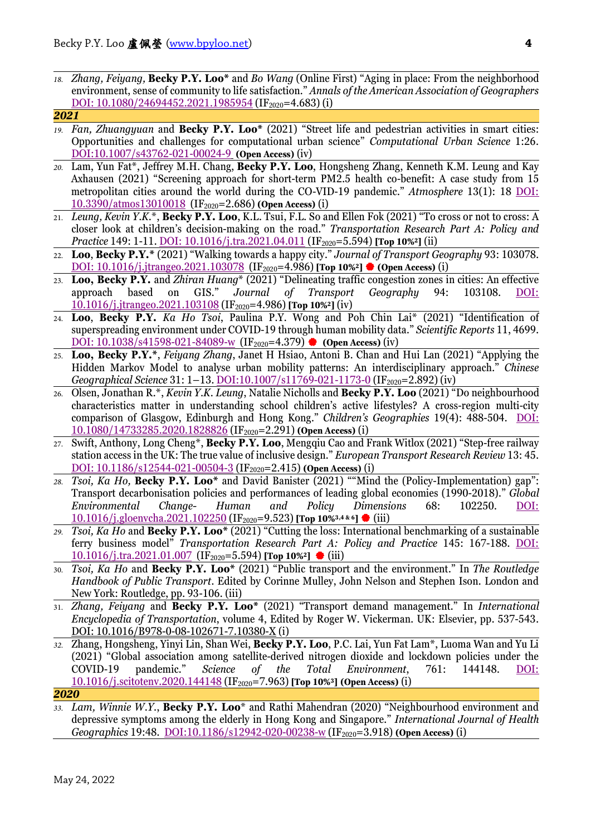*18. Zhang, Feiyang,* **Becky P.Y. Loo\*** and *Bo Wang* (Online First) "Aging in place: From the neighborhood environment, sense of community to life satisfaction." *Annals of the American Association of Geographers* [DOI: 10.1080/24694452.2021.1985954](https://doi.org/10.1080/24694452.2021.1985954) (IF<sub>2020</sub>=4.683) (i)

```
2021
```
- *19. Fan, Zhuangyuan* and **Becky P.Y. Loo\*** (2021) "Street life and pedestrian activities in smart cities: Opportunities and challenges for computational urban science" *Computational Urban Science* 1:26*.*  [DOI:10.1007/s43762-021-00024-9](https://doi.org/10.1007/s43762-021-00024-9) **(Open Access)** (iv)
- *20.* Lam, Yun Fat\*, Jeffrey M.H. Chang, **Becky P.Y. Loo**, Hongsheng Zhang, Kenneth K.M. Leung and Kay Axhausen (2021) "Screening approach for short-term PM2.5 health co-benefit: A case study from 15 metropolitan cities around the world during the CO-VID-19 pandemic." *Atmosphere* 13(1): 18 [DOI:](https://doi.org/10.3390/atmos13010018) [10.3390/atmos13010018](https://doi.org/10.3390/atmos13010018)(IF2020=2.686) **(Open Access)** (i)
- 21. *Leung, Kevin Y.K.*\*, **Becky P.Y. Loo**, K.L. Tsui, F.L. So and Ellen Fok (2021) "To cross or not to cross: A closer look at children's decision-making on the road." *Transportation Research Part A: Policy and Practice* 149: 1-11. DOI: [10.1016/j.tra.2021.04.011](https://doi.org/10.1016/j.tra.2021.04.011) (IF<sub>2020</sub>=5.594) **[Top 10%<sup>2</sup>]** (ii)
- 22. **Loo**, **Becky P.Y.\*** (2021) "Walking towards a happy city." *Journal of Transport Geography* 93: 103078. DOI: [10.1016/j.jtrangeo.2021.103078](https://doi.org/10.1016/j.jtrangeo.2021.103078) (IF<sub>2020</sub>=4.986) **[Top 10%<sup>2</sup>] ♦</sup> (Open Access)** (i)
- 23. **Loo, Becky P.Y.** and *Zhiran Huang*\* (2021) "Delineating traffic congestion zones in cities: An effective approach based on GIS." *Journal of Transport Geography* 94: 103108. [DOI:](https://doi.org/10.1016/j.jtrangeo.2021.103108) [10.1016/j.jtrangeo.2021.103108](https://doi.org/10.1016/j.jtrangeo.2021.103108) (IF2020=4.986) **[Top 10%2]** (iv)
- 24. **Loo**, **Becky P.Y.** *Ka Ho Tsoi*, Paulina P.Y. Wong and Poh Chin Lai\* (2021) "Identification of superspreading environment under COVID-19 through human mobility data." *Scientific Reports* 11, 4699. [DOI: 10.1038/s41598-021-84089-w](https://doi.org/10.1038/s41598-021-84089-w) (IF<sub>2020</sub>=4.379) **♦ (Open Access)** (iv)
- 25. **Loo, Becky P.Y.\***, *Feiyang Zhang*, Janet H Hsiao, Antoni B. Chan and Hui Lan (2021) "Applying the Hidden Markov Model to analyse urban mobility patterns: An interdisciplinary approach." *Chinese Geographical Science* 31: 1-13. *[DOI:10.1007/s11769-021-1173-0](http://link.springer.com/article/10.1007/s11769-021-1173-0)* (IF<sub>2020</sub>=2.892) (iv)
- 26. Olsen, Jonathan R.\*, *Kevin Y.K. Leung*, Natalie Nicholls and **Becky P.Y. Loo** (2021) "Do neighbourhood characteristics matter in understanding school children's active lifestyles? A cross-region multi-city comparison of Glasgow, Edinburgh and Hong Kong." *Children's Geographies* 19(4): 488-504. [DOI:](https://doi.org/10.1080/14733285.2020.1828826)  [10.1080/14733285.2020.1828826](https://doi.org/10.1080/14733285.2020.1828826) (IF2020=2.291) **(Open Access)** (i)
- 27. Swift, Anthony, Long Cheng\*, **Becky P.Y. Loo**, Mengqiu Cao and Frank Witlox (2021) "Step-free railway station access in the UK: The true value of inclusive design." *European Transport Research Review* 13: 45. [DOI: 10.1186/s12544-021-00504-3](https://doi.org/10.1186/s12544-021-00504-3) (IF2020=2.415) **(Open Access)** (i)
- *28. Tsoi, Ka Ho,* **Becky P.Y. Loo\*** and David Banister (2021) ""Mind the (Policy-Implementation) gap": Transport decarbonisation policies and performances of leading global economies (1990-2018)." *Global Environmental Change- Human and Policy Dimensions* 68: 102250. [DOI:](https://doi.org/10.1016/j.gloenvcha.2021.102250)  [10.1016/j.gloenvcha.2021.102250](https://doi.org/10.1016/j.gloenvcha.2021.102250) (IF2020=9.523) **[Top 10%3,4 & 6]** (iii)
- *29. Tsoi, Ka Ho* and **Becky P.Y. Loo\*** (2021) "Cutting the loss: International benchmarking of a sustainable ferry business model" *Transportation Research Part A: Policy and Practice* 145: 167-188. [DOI:](https://doi.org/10.1016/j.tra.2021.01.007) [10.1016/j.tra.2021.01.007](https://doi.org/10.1016/j.tra.2021.01.007) (IF2020=5.594) **[Top 10%2]**  (iii)
- 30. *Tsoi, Ka Ho* and **Becky P.Y. Loo\*** (2021) "Public transport and the environment." In *[The Routledge](https://www.routledge.com/The-Routledge-Handbook-of-Public-Transport/Mulley-Nelson-Ison/p/book/9780367418724)  [Handbook of Public Transport](https://www.routledge.com/The-Routledge-Handbook-of-Public-Transport/Mulley-Nelson-Ison/p/book/9780367418724)*. Edited by Corinne Mulley, John Nelson and Stephen Ison. London and New York: Routledge, pp. 93-106. (iii)
- 31. *Zhang, Feiyang* and **Becky P.Y. Loo\*** (2021) "Transport demand management." In *[International](https://www.elsevier.com/books/international-encyclopedia-of-transportation/vickerman/978-0-08-102671-7)  [Encyclopedia of Transportation](https://www.elsevier.com/books/international-encyclopedia-of-transportation/vickerman/978-0-08-102671-7)*, volume 4, Edited by Roger W. Vickerman. UK: Elsevier, pp. 537-543. [DOI: 10.1016/B978-0-08-102671-7.10380-X](https://doi.org/10.1016/B978-0-08-102671-7.10380-X) (i)
- *32.* Zhang, Hongsheng, Yinyi Lin, Shan Wei, **Becky P.Y. Loo**, P.C. Lai, Yun Fat Lam\*, Luoma Wan and Yu Li (2021) "Global association among satellite-derived nitrogen dioxide and lockdown policies under the COVID-19 pandemic." *Science of the Total Environment*, 761: 144148. [DOI:](https://doi.org/10.1016/j.scitotenv.2020.144148)  [10.1016/j.scitotenv.2020.144148](https://doi.org/10.1016/j.scitotenv.2020.144148) (IF2020=7.963) **[Top 10%3] (Open Access)** (i)

*<sup>2020</sup>*

*<sup>33.</sup> Lam, Winnie W.Y.*, **Becky P.Y. Loo**\* and Rathi Mahendran (2020) "Neighbourhood environment and depressive symptoms among the elderly in Hong Kong and Singapore." *International Journal of Health Geographics* 19:48. [DOI:10.1186/s12942-020-00238-w](https://doi.org/10.1186/s12942-020-00238-w) (IF<sub>2020</sub>=3.918) **(Open Access)** (i)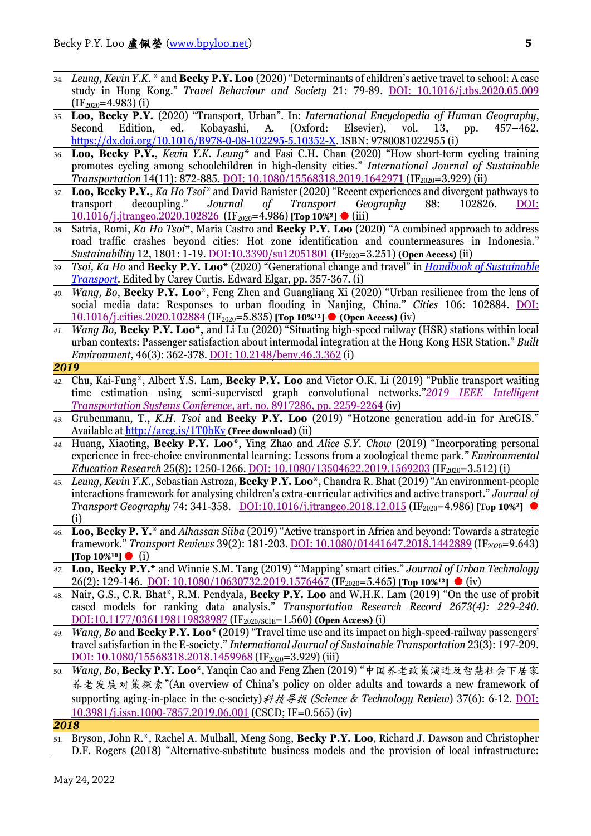- 34. *Leung, Kevin Y.K.* \* and **Becky P.Y. Loo** (2020) "Determinants of children's active travel to school: A case study in Hong Kong." *Travel Behaviour and Society* 21: 79-89. [DOI: 10.1016/j.tbs.2020.05.009](https://doi.org/10.1016/j.tbs.2020.05.009)  $(IF<sub>2020</sub>=4.983)$  $(i)$
- 35. **Loo, Becky P.Y.** (2020) "Transport, Urban". In: *International Encyclopedia of Human Geography*, Second Edition, ed. Kobayashi, A. (Oxford: Elsevier), vol. 13, pp. 457–462. [https://dx.doi.org/10.1016/B978-0-08-102295-5.10352-X.](https://dx.doi.org/10.1016/B978-0-08-102295-5.10352-X) ISBN: 9780081022955 (i)
- 36. **Loo, Becky P.Y.**, *Kevin Y.K. Leung*\* and Fasi C.H. Chan (2020) "How short-term cycling training promotes cycling among schoolchildren in high-density cities." *International Journal of Sustainable Transportation* 14(11): 872-885. *DOI:* 10.1080/15568318.2019.1642971 (IF<sub>2020</sub>=3.929) (ii)
- 37. **Loo, Becky P.Y.**, *Ka Ho Tsoi\** and David Banister (2020) "Recent experiences and divergent pathways to transport decoupling." *Journal of Transport Geography* 88: 102826. [DOI:](https://doi.org/10.1016/j.jtrangeo.2020.102826)  [10.1016/j.jtrangeo.2020.102826](https://doi.org/10.1016/j.jtrangeo.2020.102826) (IF2020=4.986) **[Top 10%2]** (iii)
- *38.* Satria, Romi, *Ka Ho Tsoi*\*, Maria Castro and **Becky P.Y. Loo** (2020) "A combined approach to address road traffic crashes beyond cities: Hot zone identification and countermeasures in Indonesia." *Sustainability* 12, 1801: 1-19. *DOI:10.3390/su12051801* (IF<sub>2020</sub>=3.251) **(Open Access)** (ii)
- 39. *Tsoi, Ka Ho* and **Becky P.Y. Loo\*** (2020) "Generational change and travel" in *[Handbook of Sustainable](https://www.e-elgar.com/shop/gbp/catalog/product/view/id/16860/s/handbook-of-sustainable-transport-9781789900460/)  [Transport](https://www.e-elgar.com/shop/gbp/catalog/product/view/id/16860/s/handbook-of-sustainable-transport-9781789900460/)*. Edited by Carey Curtis. Edward Elgar, pp. 357-367. (i)
- *40. Wang, Bo,* **Becky P.Y. Loo**\*, Feng Zhen and Guangliang Xi (2020) "Urban resilience from the lens of social media data: Responses to urban flooding in Nanjing, China." *Cities* 106: 102884. [DOI:](https://doi.org/10.1016/j.cities.2020.102884) [10.1016/j.cities.2020.102884](https://doi.org/10.1016/j.cities.2020.102884) (IF2020=5.835) **[Top 10%13] (Open Access)** (iv)
- *41. Wang Bo*, **Becky P.Y. Loo\*,** and Li Lu (2020) "Situating high-speed railway (HSR) stations within local urban contexts: Passenger satisfaction about intermodal integration at the Hong Kong HSR Station." *Built Environment*, 46(3): 362-378. [DOI: 10.2148/benv.46.3.362](https://doi.org/10.2148/benv.46.3.362) (i)
- *2019*
- *42.* Chu, Kai-Fung\*, Albert Y.S. Lam, **Becky P.Y. Loo** and Victor O.K. Li (2019) "Public transport waiting time estimation using semi-supervised graph convolutional networks."*[2019 IEEE Intelligent](https://ieeexplore.ieee.org/document/8917286)  [Transportation Systems Conference,](https://ieeexplore.ieee.org/document/8917286)* art. no. 8917286, pp. 2259-2264 (iv)
- 43. Grubenmann, T., *K.H. Tsoi* and **Becky P.Y. Loo** (2019) "Hotzone generation add-in for ArcGIS." Available a[t http://arcg.is/1T0bKv](http://arcg.is/1T0bKv) **(Free download)** (ii)
- *44.* Huang, Xiaoting, **Becky P.Y. Loo\***, Ying Zhao and *Alice S.Y. Chow* (2019) "Incorporating personal experience in free-choice environmental learning: Lessons from a zoological theme park.*" Environmental Education Research* 25(8): 1250-1266. <u>[DOI: 10.1080/13504622.2019.1569203](https://doi.org/10.1080/13504622.2019.1569203)</u> (IF<sub>2020</sub>=3.512) (i)
- 45. *Leung, Kevin Y.K.*, Sebastian Astroza, **Becky P.Y. Loo\***, Chandra R. Bhat (2019) "An environment-people interactions framework for analysing children's extra-curricular activities and active transport." *Journal of Transport Geography* 74: 341-358. [DOI:10.1016/j.jtrangeo.2018.12.015](https://doi.org/10.1016/j.jtrangeo.2018.12.015) (IF<sub>2020</sub>=4.986) **[Top 10%**<sup>2</sup>] (i)
- 46. **Loo, Becky P. Y.\*** and *Alhassan Siiba* (2019) "Active transport in Africa and beyond: Towards a strategic framework." *Transport Reviews* 39(2): 181-203. **DOI: 10.1080/01441647.2018.1442889** (IF<sub>2020</sub>=9.643) **[Top 10%10]** (i)
- *47.* **Loo, Becky P.Y.\*** and Winnie S.M. Tang (2019) "'Mapping' smart cities." *Journal of Urban Technology* 26(2): 129-146. *[DOI: 10.1080/10630732.2019.1576467](https://www.doi.org/10.1080/10630732.2019.1576467)* (IF<sub>2020</sub>=5.465) **[Top 10%**<sup>13</sup>**]** (iv)
- 48. Nair, G.S., C.R. Bhat\*, R.M. Pendyala, **Becky P.Y. Loo** and W.H.K. Lam (2019) "On the use of probit cased models for ranking data analysis." *Transportation Research Record 2673(4): 229-240.*  [DOI:10.1177/0361198119838987](https://doi-org.eproxy.lib.hku.hk/10.1177/0361198119838987) (IF2020/SCIE=1.560) **(Open Access)** (i)
- 49. *Wang, Bo* and **Becky P.Y. Loo\*** (2019) "Travel time use and its impact on high-speed-railway passengers' travel satisfaction in the E-society." *International Journal of Sustainable Transportation* 23(3): 197-209. [DOI: 10.1080/15568318.2018.1459968](https://doi.org/10.1080/15568318.2018.1459968) (IF<sub>2020</sub>=3.929) (iii)
- 50. *Wang, Bo*, **Becky P.Y. Loo\***, Yanqin Cao and Feng Zhen (2019) "中国养老政策演进及智慧社会下居家 养老发展对策探索"(An overview of China's policy on older adults and towards a new framework of supporting aging-in-place in the e-society)科技导报 *(Science & Technology Review*) 37(6): 6-12. [DOI:](https://doi.org/10.3981/j.issn.1000-7857.2019.06.001)  [10.3981/j.issn.1000-7857.2019.06.001](https://doi.org/10.3981/j.issn.1000-7857.2019.06.001) (CSCD; IF=0.565) (iv)

*<sup>2018</sup>*

<sup>51.</sup> Bryson, John R.\*, Rachel A. Mulhall, Meng Song, **Becky P.Y. Loo**, Richard J. Dawson and Christopher D.F. Rogers (2018) "Alternative-substitute business models and the provision of local infrastructure: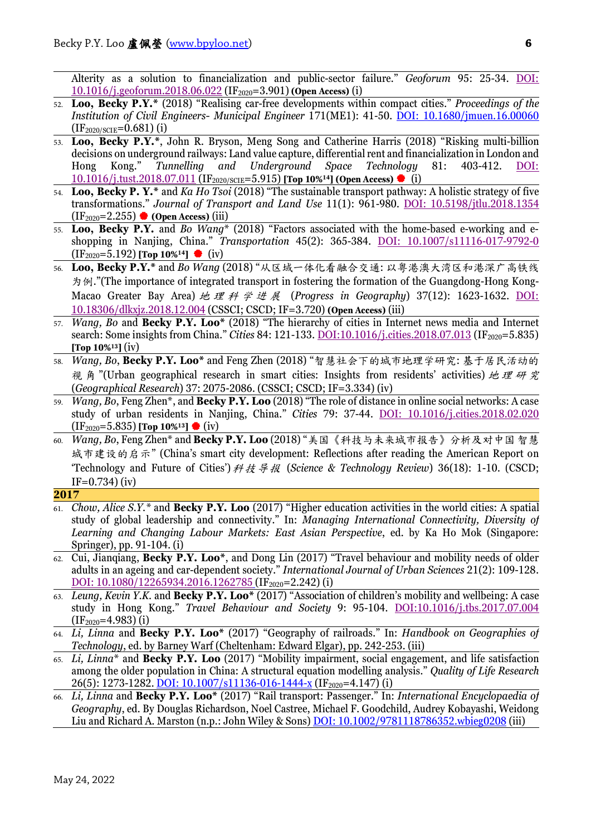Alterity as a solution to financialization and public-sector failure." *Geoforum* 95: 25-34. [DOI:](https://doi.org/10.1016/j.geoforum.2018.06.022)  [10.1016/j.geoforum.2018.06.022](https://doi.org/10.1016/j.geoforum.2018.06.022) (IF2020=3.901) **(Open Access)** (i)

- 52. **Loo, Becky P.Y.\*** (2018) "Realising car-free developments within compact cities." *Proceedings of the Institution of Civil Engineers- Municipal Engineer* 171(ME1): 41-50. [DOI: 10.1680/jmuen.16.00060](http://dx.doi.org/10.1680/jmuen.16.00060)  $(IF_{2020/SCIE} = 0.681)$  (i)
- 53. **Loo, Becky P.Y.\***, John R. Bryson, Meng Song and Catherine Harris (2018) "Risking multi-billion decisions on underground railways: Land value capture, differential rent and financialization in London and Hong Kong." *Tunnelling and Underground Space Technology* 81: 403-412. [DOI:](https://doi.org/10.1016/j.tust.2018.07.011)  [10.1016/j.tust.2018.07.011](https://doi.org/10.1016/j.tust.2018.07.011) (IF2020/SCIE=5.915) **[Top 10%14] (Open Access)** (i)
- 54. **Loo, Becky P. Y.\*** and *Ka Ho Tsoi* (2018) "The sustainable transport pathway: A holistic strategy of five transformations." *Journal of Transport and Land Use* 11(1): 961-980. DOI: [10.5198/jtlu.2018.1354](http://dx.doi.org/10.5198/jtlu.2018.1354)  (IF2020=2.255) **(Open Access)** (iii)
- 55. **Loo, Becky P.Y.** and *Bo Wang*\* (2018) "Factors associated with the home-based e-working and eshopping in Nanjing, China." *Transportation* 45(2): 365-384. [DOI: 10.1007/s11116-017-9792-0](http://dx.doi.org/10.1007/s11116-017-9792-0) (IF2020=5.192) **[Top 10%14]** (iv)
- 56. **Loo, Becky P.Y.\*** and *Bo Wang* (2018) "从区域一体化看融合交通: 以粤港澳大湾区和港深广高铁线 为例."(The importance of integrated transport in fostering the formation of the Guangdong-Hong Kong-Macao Greater Bay Area) 地理科学进展 (*Progress in Geography*) 37(12): 1623-1632. [DOI:](http://dx.doi.org/10.18306/dlkxjz.2018.12.004)  [10.18306/dlkxjz.2018.12.004](http://dx.doi.org/10.18306/dlkxjz.2018.12.004) (CSSCI; CSCD; IF=3.720) **(Open Access)** (iii)
- 57. *Wang, Bo* and **Becky P.Y. Loo\*** (2018) "The hierarchy of cities in Internet news media and Internet search: Some insights from China." *Cities* 84: 121-133. <u>DOI:10.1016/j.cities.2018.07.013</u> (IF<sub>2020</sub>=5.835) **[Top 10%13]** (iv)
- 58. *Wang, Bo*, **Becky P.Y. Loo\*** and Feng Zhen (2018) "智慧社会下的城市地理学研究: 基于居民活动的 视 角 "(Urban geographical research in smart cities: Insights from residents' activities) 地理研究 (*Geographical Research*) 37: 2075-2086. (CSSCI; CSCD; IF=3.334) (iv)
- 59. *Wang, Bo*, Feng Zhen\*, and **Becky P.Y. Loo** (2018) "The role of distance in online social networks: A case study of urban residents in Nanjing, China." *Cities* 79: 37-44. [DOI: 10.1016/j.cities.2018.02.020](https://doi.org/10.1016/j.cities.2018.02.020) (IF2020=5.835) **[Top 10%13]** (iv)
- 60. *Wang, Bo*, Feng Zhen\* and **Becky P.Y. Loo** (2018) "美国《科技与未来城市报告》分析及对中国 智慧 城市建设的启示" (China's smart city development: Reflections after reading the American Report on 'Technology and Future of Cities')科技导报 (*Science & Technology Review*) 36(18): 1-10. (CSCD;  $IF=0.734$  $(iv)$
- **2017**
- 61. *Chow, Alice S.Y.\** and **Becky P.Y. Loo** (2017) "Higher education activities in the world cities: A spatial study of global leadership and connectivity." In: *Managing International Connectivity, Diversity of Learning and Changing Labour Markets: East Asian Perspective*, ed. by Ka Ho Mok (Singapore: Springer), pp. 91-104. (i)
- 62. Cui, Jianqiang, **Becky P.Y. Loo\***, and Dong Lin (2017) "Travel behaviour and mobility needs of older adults in an ageing and car-dependent society." *International Journal of Urban Sciences* 21(2): 109-128. [DOI: 10.1080/12265934.2016.1262785](http://dx.doi.org/10.1080/12265934.2016.1262785) (IF<sub>2020</sub>=2.242) (i)
- 63. *Leung, Kevin Y.K.* and **Becky P.Y. Loo\*** (2017) "Association of children's mobility and wellbeing: A case study in Hong Kong." *Travel Behaviour and Society* 9: 95-104. [DOI:10.1016/j.tbs.2017.07.004](http://dx.doi.org/10.1016/j.tbs.2017.07.004)  $(IF<sub>2020</sub>=4.983)$  $(i)$
- 64. *Li, Linna* and **Becky P.Y. Loo\*** (2017) "Geography of railroads." In: *Handbook on Geographies of Technology*, ed. by Barney Warf (Cheltenham: Edward Elgar), pp. 242-253. (iii)
- 65. *Li, Linna*\* and **Becky P.Y. Loo** (2017) "Mobility impairment, social engagement, and life satisfaction among the older population in China: A structural equation modelling analysis." *Quality of Life Research* 26(5): 1273-1282. [DOI: 10.1007/s11136-016-1444-x](http://dx.doi.org/10.1007/s11136-016-1444-x) (IF<sub>2020</sub>=4.147) (i)
- 66. *Li, Linna* and **Becky P.Y. Loo\*** (2017) "Rail transport: Passenger." In: *International Encyclopaedia of Geography*, ed. By Douglas Richardson, Noel Castree, Michael F. Goodchild, Audrey Kobayashi, Weidong Liu and Richard A. Marston (n.p.: John Wiley & Sons[\) DOI: 10.1002/9781118786352.wbieg0208](http://doi.org/10.1002/9781118786352.wbieg0208) (iii)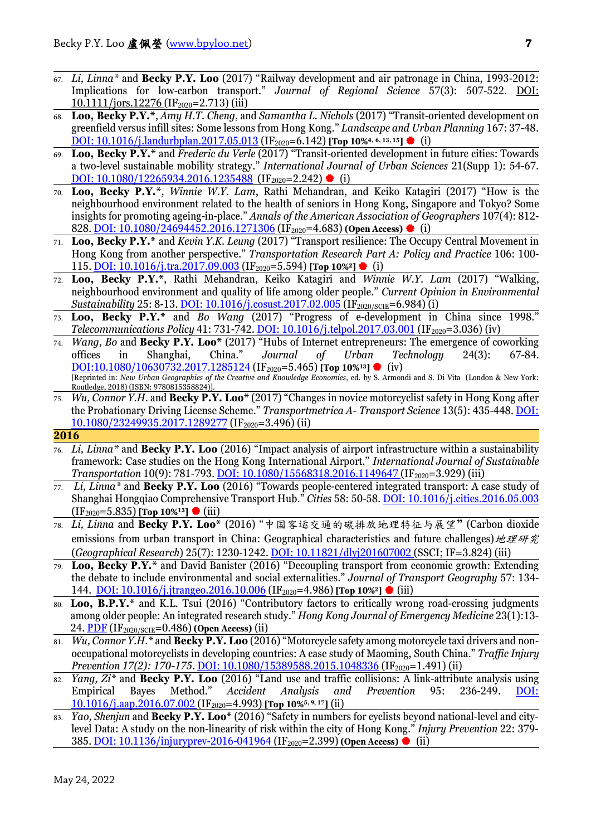- 67. *Li, Linna\** and **Becky P.Y. Loo** (2017) "Railway development and air patronage in China, 1993-2012: Implications for low-carbon transport." *Journal of Regional Science* 57(3): 507-522. [DOI:](http://dx.doi.org/10.1111/jors.12276)   $10.1111/jors.12276 (IF<sub>2020</sub>=2.713) (iii)$  $10.1111/jors.12276 (IF<sub>2020</sub>=2.713) (iii)$
- 68. **Loo, Becky P.Y.\***, *Amy H.T. Cheng*, and *Samantha L. Nichols* (2017) "Transit-oriented development on greenfield versus infill sites: Some lessons from Hong Kong." *Landscape and Urban Planning* 167: 37-48. DOI: 10.1016/*j*.landurbplan.2017.05.013 (IF<sub>2020</sub>=6.142) **[Top 10%**<sup>4, 6, 13, 15] ♦ (i)</sup>
- 69. **Loo, Becky P.Y.\*** and *Frederic du Verle* (2017) "Transit-oriented development in future cities: Towards a two-level sustainable mobility strategy." *International Journal of Urban Sciences* 21(Supp 1): 54-67. DOI:  $10.1080/12265934.2016.1235488$  (IF<sub>2020</sub>=2.242) (i)
- 70. **Loo, Becky P.Y.\***, *Winnie W.Y. Lam*, Rathi Mehandran, and Keiko Katagiri (2017) "How is the neighbourhood environment related to the health of seniors in Hong Kong, Singapore and Tokyo? Some insights for promoting ageing-in-place." *Annals of the American Association of Geographers* 107(4): 812- 828. **DOI:** 10.1080/24694452.2016.1271306 (IF<sub>2020</sub>=4.683) **(Open Access)** ♦ (i)
- 71. **Loo, Becky P.Y.\*** and *Kevin Y.K. Leung* (2017) "Transport resilience: The Occupy Central Movement in Hong Kong from another perspective." *Transportation Research Part A: Policy and Practice* 106: 100- 115[. DOI: 10.1016/j.tra.2017.09.003](https://doi.org/10.1016/j.tra.2017.09.003) (IF2020=5.594) **[Top 10%2]**  (i)
- 72. **Loo, Becky P.Y.\***, Rathi Mehandran, Keiko Katagiri and *Winnie W.Y. Lam* (2017) "Walking, neighbourhood environment and quality of life among older people." *Current Opinion in Environmental Sustainability* 25: 8-13. *DOI:* 10.1016/*j.cosust.2017.02.005* (IF<sub>2020/SCIE</sub>=6.984) (i)
- 73. **Loo, Becky P.Y.\*** and *Bo Wang* (2017) "Progress of e-development in China since 1998." *Telecommunications Policy* 41: 731-742. *DOI: 10.1016/j.telpol.2017.03.001* (IF<sub>2020</sub>=3.036) (iv)
- 74. *Wang, Bo* and **Becky P.Y. Loo\*** (2017) "Hubs of Internet entrepreneurs: The emergence of coworking offices in Shanghai, China." *Journal of Urban Technology* 24(3): 67-84. **<u>[DOI:10.1080/10630732.2017.1285124](http://dx.doi.org/10.1080/10630732.2017.1285124)</u> (IF<sub>2020</sub>=5.465) [Top 10%<sup>13</sup>] ● (iv)** [Reprinted in: *New Urban Geographies of the Creative and Knowledge Economies*, ed. by S. Armondi and S. Di Vita (London & New York: Routledge, 2018) (ISBN: 9780815358824)].
- 75. *Wu, Connor Y.H.* and **Becky P.Y. Loo\*** (2017) "Changes in novice motorcyclist safety in Hong Kong after the Probationary Driving License Scheme." *Transportmetrica A- Transport Science* 13(5): 435-448. [DOI:](http://dx.doi.org/10.1080/23249935.2017.1289277)  [10.1080/23249935.2017.1289277](http://dx.doi.org/10.1080/23249935.2017.1289277) (IF2020=3.496) (ii)

- 76. *Li, Linna\** and **Becky P.Y. Loo** (2016) "Impact analysis of airport infrastructure within a sustainability framework: Case studies on the Hong Kong International Airport." *International Journal of Sustainable Transportation* 10(9): 781-793. **DOI:** 10.1080/15568318.2016.1149647 (IF<sub>2020</sub>=3.929) (iii)
- 77. *Li, Linna\** and **Becky P.Y. Loo** (2016) "Towards people-centered integrated transport: A case study of Shanghai Hongqiao Comprehensive Transport Hub." *Cities* 58: 50-58. [DOI: 10.1016/j.cities.2016.05.003](http://dx.doi.org/10.1016/j.cities.2016.05.003) (IF2020=5.835) **[Top 10%13]** (iii)
- 78. *Li, Linna* and **Becky P.Y. Loo\*** (2016) "中国客运交通的碳排放地理特征与展望**"** (Carbon dioxide emissions from urban transport in China: Geographical characteristics and future challenges)地理研究 (*Geographical Research*) 25(7): 1230-1242. [DOI: 10.11821/dlyj201607002](http://dx.doi.org/10.11821/dlyj201607002) (SSCI; IF=3.824) (iii)
- 79. **Loo, Becky P.Y.\*** and David Banister (2016) "Decoupling transport from economic growth: Extending the debate to include environmental and social externalities." *Journal of Transport Geography* 57: 134- 144. [DOI: 10.1016/j.jtrangeo.2016.10.006](http://dx.doi.org/10.1016/j.jtrangeo.2016.10.006) (IF2020=4.986) **[Top 10%2]** (iii)
- 80. **Loo, B.P.Y.\*** and K.L. Tsui (2016) "Contributory factors to critically wrong road-crossing judgments among older people: An integrated research study." *Hong Kong Journal of Emergency Medicine* 23(1):13- 24. [PDF](http://www.hkjem.com/2016-january/original-article/contributory-factors-critically-wrong-road-crossing-judgements-among) (IF2020/SCIE=0.486) **(Open Access)** (ii)
- 81. *Wu, Connor Y.H.\** and **Becky P.Y. Loo** (2016) "Motorcycle safety among motorcycle taxi drivers and nonoccupational motorcyclists in developing countries: A case study of Maoming, South China." *Traffic Injury Prevention 17(2): 170-175.* [DOI: 10.1080/15389588.2015.1048336](http://dx.doi.org/10.1080/15389588.2015.1048336) (IF<sub>2020</sub>=1.491) (ii)
- 82. *Yang, Zi\** and **Becky P.Y. Loo** (2016) "Land use and traffic collisions: A link-attribute analysis using Empirical Bayes Method." *Accident Analysis and Prevention* 95: 236-249. [DOI:](http://dx.doi.org/10.1016/j.aap.2016.07.002)  [10.1016/j.aap.2016.07.002](http://dx.doi.org/10.1016/j.aap.2016.07.002) (IF2020=4.993) **[Top 10%5, 9, 17]** (ii)
- 83. *Yao, Shenjun* and **Becky P.Y. Loo\*** (2016) "Safety in numbers for cyclists beyond national-level and citylevel Data: A study on the non-linearity of risk within the city of Hong Kong." *Injury Prevention* 22: 379- 385[. DOI: 10.1136/injuryprev-2016-041964](http://dx.doi.org/10.1136/injuryprev-2016-041964) (IF2020=2.399) **(Open Access)** (ii)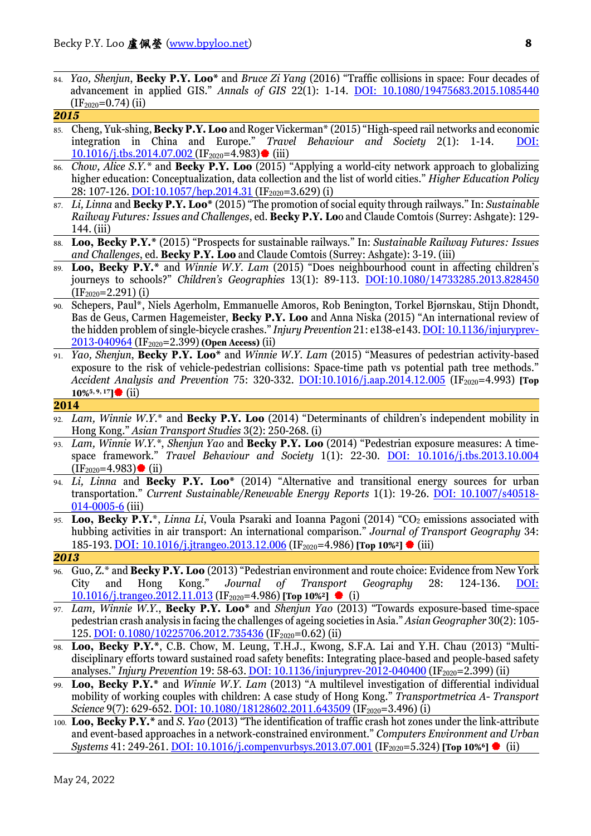84. *Yao, Shenjun*, **Becky P.Y. Loo\*** and *Bruce Zi Yang* (2016) "Traffic collisions in space: Four decades of advancement in applied GIS." *Annals of GIS* 22(1): 1-14. DOI: [10.1080/19475683.2015.1085440](http://dx.doi.org/10.1080/19475683.2015.1085440)  $(IF<sub>2020</sub>=0.74)$  (ii) *2015*

## 85. Cheng, Yuk-shing, **Becky P.Y. Loo** and Roger Vickerman<sup>\*</sup> (2015) "High-speed rail networks and economic integration in China and Europe." *Travel Behaviour and Societu* 2(1): 1-14. DOI: integration in China and Europe." *Travel Behaviour and Society* 2(1):  $10.1016$ /j.tbs.2014.07.002 (IF<sub>2020</sub>=4.983) (iii)

- 86. *Chow, Alice S.Y.\** and **Becky P.Y. Loo** (2015) "Applying a world-city network approach to globalizing higher education: Conceptualization, data collection and the list of world cities." *Higher Education Policy* 28: 107-126. [DOI:10.1057/hep.2014.31](http://dx.doi.org/10.1057/hep.2014.31) (IF<sub>2020</sub>=3.629) (i)
- 87. *Li, Linna* and **Becky P.Y. Loo\*** (2015) "The promotion of social equity through railways." In: *Sustainable Railway Futures: Issues and Challenges*, ed. **Becky P.Y. Lo**o and Claude Comtois (Surrey: Ashgate): 129- 144. (iii)
- 88. **Loo, Becky P.Y.\*** (2015) "Prospects for sustainable railways." In: *Sustainable Railway Futures: Issues and Challenges*, ed. **Becky P.Y. Loo** and Claude Comtois (Surrey: Ashgate): 3-19. (iii)
- 89. **Loo, Becky P.Y.\*** and *Winnie W.Y. Lam* (2015) "Does neighbourhood count in affecting children's journeys to schools?" *Children's Geographies* 13(1): 89-113. [DOI:10.1080/14733285.2013.828450](http://dx.doi.org/10.1080/14733285.2013.828450)  $(IF_{2020}=2.291)$  (i)
- 90. Schepers, Paul\*, Niels Agerholm, Emmanuelle Amoros, Rob Benington, Torkel Bjørnskau, Stijn Dhondt, Bas de Geus, Carmen Hagemeister, **Becky P.Y. Loo** and Anna Niska (2015) "An international review of the hidden problem of single-bicycle crashes." *Injury Prevention* 21: e138-e143. [DOI: 10.1136/injuryprev-](http://dx/doi.org/10.1136/injuryprev-2013-040964)[2013-040964](http://dx/doi.org/10.1136/injuryprev-2013-040964) (IF2020=2.399) **(Open Access)** (ii)
- 91. *Yao, Shenjun*, **Becky P.Y. Loo\*** and *Winnie W.Y. Lam* (2015) "Measures of pedestrian activity-based exposure to the risk of vehicle-pedestrian collisions: Space-time path vs potential path tree methods." Accident Analysis and Prevention 75: 320-332. [DOI:10.1016/j.aap.2014.12.005](http://dx.doi.org/10.1016/j.aap.2014.12.005) (IF<sub>2020</sub>=4.993) [Top **10%5, 9, 17]** (ii)

#### **2014**

- 92. *Lam, Winnie W.Y.*\* and **Becky P.Y. Loo** (2014) "Determinants of children's independent mobility in Hong Kong." *Asian Transport Studies* 3(2): 250-268. (i)
- 93. *Lam, Winnie W.Y.\**, *Shenjun Yao* and **Becky P.Y. Loo** (2014) "Pedestrian exposure measures: A timespace framework." *Travel Behaviour and Society* 1(1): 22-30. [DOI: 10.1016/j.tbs.2013.10.004](http://dx.doi.org/10.1016/j.tbs.2013.10.004)  $(IF<sub>2020</sub>=4.983)$  (ii)
- 94. *Li, Linna* and **Becky P.Y. Loo\*** (2014) "Alternative and transitional energy sources for urban transportation." *Current Sustainable/Renewable Energy Reports* 1(1): 19-26. [DOI: 10.1007/s40518-](http://dx.doi.org/10.1007/s40518-014-0005-6) [014-0005-6](http://dx.doi.org/10.1007/s40518-014-0005-6) (iii)
- <sup>95.</sup> **Loo, Becky P.Y.**\*, *Linna Li*, Voula Psaraki and Ioanna Pagoni (2014) "CO<sub>2</sub> emissions associated with hubbing activities in air transport: An international comparison." *Journal of Transport Geography* 34: 185-193[.DOI: 10.1016/j.jtrangeo.2013.12.006](https://doi.org/10.1016/j.jtrangeo.2013.12.006) (IF2020=4.986) **[Top 10%2]** (iii)

- 96. Guo, Z.\* and **Becky P.Y. Loo** (2013) "Pedestrian environment and route choice: Evidence from New York City and Hong Kong." *Journal of Transport Geography* 28: 124-136. [DOI:](http://dx.doi.org/10.1016/j.trangeo.2012.11.013)  [10.1016/j.trangeo.2012.11.013](http://dx.doi.org/10.1016/j.trangeo.2012.11.013) (IF2020=4.986) **[Top 10%2]** (i)
- 97. *Lam, Winnie W.Y.*, **Becky P.Y. Loo\*** and *Shenjun Yao* (2013) "Towards exposure-based time-space pedestrian crash analysis in facing the challenges of ageing societies in Asia." *Asian Geographer* 30(2): 105- 125[. DOI: 0.1080/10225706.2012.735436](http://dx.doi.org/10.1080/10225706.2012.735436) (IF<sub>2020</sub>=0.62) (ii)
- 98. **Loo, Becky P.Y.\***, C.B. Chow, M. Leung, T.H.J., Kwong, S.F.A. Lai and Y.H. Chau (2013) "Multidisciplinary efforts toward sustained road safety benefits: Integrating place-based and people-based safety analyses." *Injury Prevention* 19: 58-63. [DOI: 10.1136/injuryprev-2012-040400](http://dx.doi.org/10.1136/injuryprev-2012-040400) (IF<sub>2020</sub>=2.399) (ii)
- Loo, Becky P.Y.\* and *Winnie W.Y. Lam* (2013) "A multilevel investigation of differential individual mobility of working couples with children: A case study of Hong Kong." *Transportmetrica A- Transport Science* 9(7): 629-652. **DOI:** 10.1080/18128602.2011.643509 (IF<sub>2020</sub>=3.496) (i)
- 100. **Loo, Becky P.Y.\*** and *S. Yao* (2013) "The identification of traffic crash hot zones under the link-attribute and event-based approaches in a network-constrained environment." *Computers Environment and Urban Systems* 41: 249-261. DOI: 10.1016/*i.compenvurbsys.* 2013. 07.001 (IF<sub>2020</sub>=5.324) **[Top 10%** € (ii)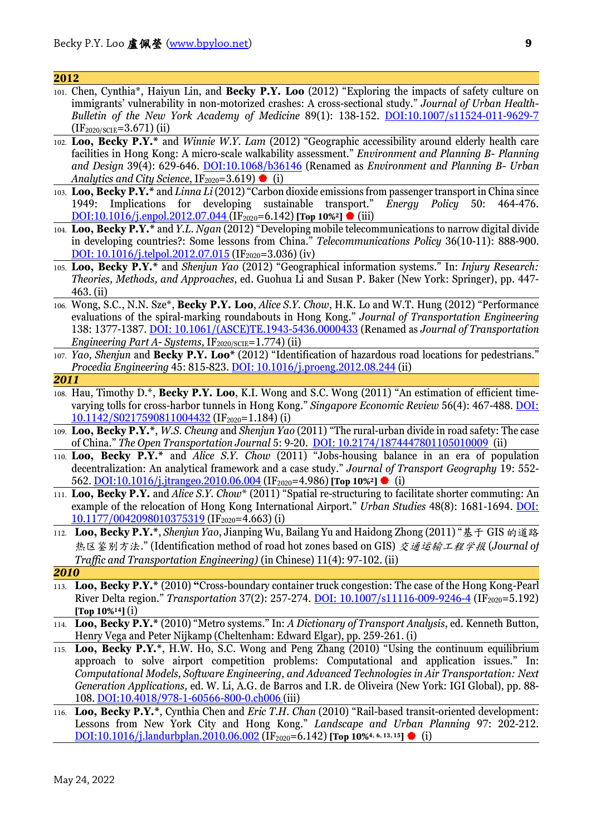- 101. Chen, Cynthia\*, Haiyun Lin, and **Becky P.Y. Loo** (2012) "Exploring the impacts of safety culture on immigrants' vulnerability in non-motorized crashes: A cross-sectional study." *Journal of Urban Health-Bulletin of the New York Academy of Medicine* 89(1): 138-152. [DOI:10.1007/s11524-011-9629-7](http://dx.doi.org/10.1007/s11524-011-9629-7) (IF2020/SCIE=3.671) (ii)
- 102. **Loo, Becky P.Y.\*** and *Winnie W.Y. Lam* (2012) "Geographic accessibility around elderly health care facilities in Hong Kong: A micro-scale walkability assessment." *Environment and Planning B- Planning and Design* 39(4): 629-646. [DOI:10.1068/b36146](http://dx.doi.org/10.1068/b36146) (Renamed as *Environment and Planning B- Urban Analytics and City Science*,  $IF_{2020} = 3.619$  (i)
- 103. **Loo, Becky P.Y.\*** and *Linna Li* (2012) "Carbon dioxide emissions from passenger transport in China since 1949: Implications for developing sustainable transport." [DOI:10.1016/j.enpol.2012.07.044](http://dx.doi.org/10.1016/j.enpol.2012.07.044) (IF<sub>2020</sub>=6.142) [Top 10%<sup>2</sup>] ♦ (iii)
- 104. **Loo, Becky P.Y.\*** and *Y.L. Ngan* (2012) "Developing mobile telecommunications to narrow digital divide in developing countries?: Some lessons from China." *Telecommunications Policy* 36(10-11): 888-900. DOI:  $10.1016$ /j.telpol.2012.07.015 (IF<sub>2020</sub>=3.036) (iv)
- 105. **Loo, Becky P.Y.\*** and *Shenjun Yao* (2012) "Geographical information systems." In: *Injury Research: Theories, Methods, and Approaches*, ed. Guohua Li and Susan P. Baker (New York: Springer), pp. 447- 463. (ii)
- 106. Wong, S.C., N.N. Sze\*, **Becky P.Y. Loo**, *Alice S.Y. Chow*, H.K. Lo and W.T. Hung (2012) "Performance evaluations of the spiral-marking roundabouts in Hong Kong." *Journal of Transportation Engineering* 138: 1377-1387. [DOI: 10.1061/\(ASCE\)TE.1943-5436.0000433](http://dx.doi.org/10.1016/(ASCE)TE.1943-5436.0000433) (Renamed as *Journal of Transportation Engineering Part A- Systems*, IF<sub>2020/SCIE</sub>=1.774) (ii)
- 107. *Yao, Shenjun* and **Becky P.Y. Loo\*** (2012) "Identification of hazardous road locations for pedestrians." *Procedia Engineering* 45: 815-823. [DOI: 10.1016/j.proeng.2012.08.244](http://dx.doi.org/10.1016/j.proeng.2012.08.244) (ii)

- 108. Hau, Timothy D.\*, **Becky P.Y. Loo**, K.I. Wong and S.C. Wong (2011) "An estimation of efficient timevarying tolls for cross-harbor tunnels in Hong Kong." *Singapore Economic Review* 56(4): 467-488. [DOI:](http://dx.doi.org/10.1142/S0217590811004432)  [10.1142/S0217590811004432](http://dx.doi.org/10.1142/S0217590811004432) (IF2020=1.184) (i)
- 109. **Loo, Becky P.Y.\***, *W.S. Cheung* and *Shenjun Yao* (2011) "The rural-urban divide in road safety: The case of China." *The Open Transportation Journal* 5: 9-20. [DOI: 10.2174/1874447801105010009](http://www.benthamscience.com/open/totj/V005-GenArt.htm) (ii)
- 110. **Loo, Becky P.Y.\*** and *Alice S.Y. Chow* (2011) "Jobs-housing balance in an era of population decentralization: An analytical framework and a case study." *Journal of Transport Geography* 19: 552- 562. [DOI:10.1016/j.jtrangeo.2010.06.004](http://dx.doi.org/10.1016/j.jtrangeo.2010.06.004) (IF2020=4.986) **[Top 10%2]** (i)
- 111. **Loo, Becky P.Y.** and *Alice S.Y. Chow*\* (2011) "Spatial re-structuring to facilitate shorter commuting: An example of the relocation of Hong Kong International Airport." *Urban Studies* 48(8): 1681-1694. [DOI:](http://dx.doi.org/10.1177/0042098010375319)   $10.1177/0042098010375319$  (IF<sub>2020</sub>=4.663) (i)
- 112. **Loo, Becky P.Y.\***, *Shenjun Yao*, Jianping Wu, Bailang Yu and Haidong Zhong (2011) "基于 GIS 的道路 热区鉴别方法." (Identification method of road hot zones based on GIS) 交通运输工程学报 (*Journal of Traffic and Transportation Engineering)* (in Chinese) 11(4): 97-102. (ii)
- *2010*
- 113. **Loo, Becky P.Y.\*** (2010) **"**Cross-boundary container truck congestion: The case of the Hong Kong-Pearl River Delta region." *Transportation* 37(2): 257-274. [DOI: 10.1007/s11116-009-9246-4](http://dx.doi.org/10.1007/s11116-009-9246-4) (IF2020=5.192) **[Top 10%14]** (i)
- 114. **Loo, Becky P.Y.\*** (2010) "Metro systems." In: *A Dictionary of Transport Analysis*, ed. Kenneth Button, Henry Vega and Peter Nijkamp (Cheltenham: Edward Elgar), pp. 259-261. (i)
- 115. **Loo, Becky P.Y.\***, H.W. Ho, S.C. Wong and Peng Zhang (2010) "Using the continuum equilibrium approach to solve airport competition problems: Computational and application issues." In: *Computational Models, Software Engineering, and Advanced Technologies in Air Transportation: Next Generation Applications,* ed. W. Li, A.G. de Barros and I.R. de Oliveira (New York: IGI Global), pp. 88- 108. [DOI:10.4018/978-1-60566-800-0.ch006](http://dx.doi.org/10.4018/978-1-60566-800-0.ch006) (iii)
- 116. **Loo, Becky P.Y.\***, Cynthia Chen and *Eric T.H. Chan* (2010) "Rail-based transit-oriented development: Lessons from New York City and Hong Kong." *Landscape and Urban Planning* 97: 202-212. [DOI:10.1016/j.landurbplan.2010.06.002](http://dx.doi.org/10.1016/j.landurbplan.2010.06.002) (IF<sub>2020</sub>=6.142) **[Top 10%**<sup>4, 6, 13, 15] ♦ (i)</sup>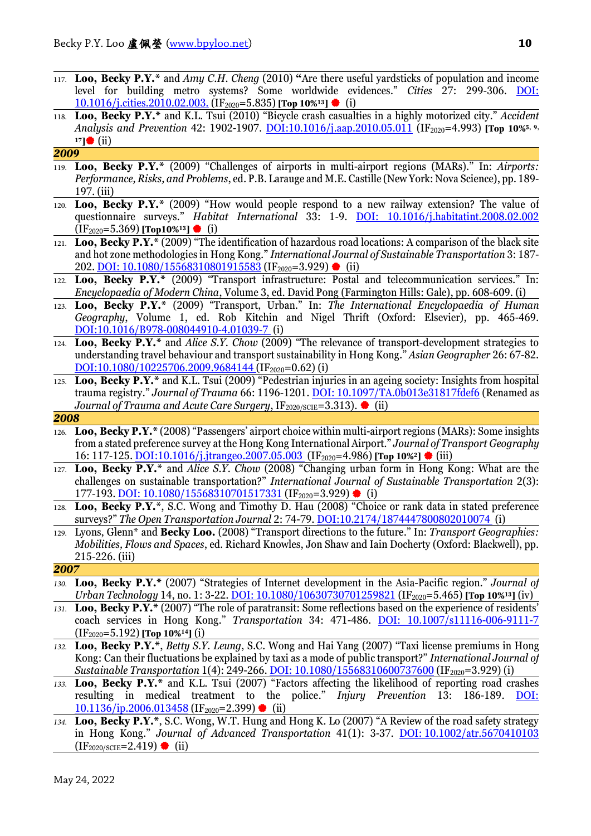- 117. **Loo, Becky P.Y.\*** and *Amy C.H. Cheng* (2010) **"**Are there useful yardsticks of population and income level for building metro systems? Some worldwide evidences." *Cities* 27: 299-306. [DOI:](http://dx.doi.org/10.1016/j.cities.2010.02.003)  [10.1016/j.cities.2010.02.003.](http://dx.doi.org/10.1016/j.cities.2010.02.003) (IF2020=5.835) **[Top 10%13]** (i)
- 118. **Loo, Becky P.Y.\*** and K.L. Tsui (2010) "Bicycle crash casualties in a highly motorized city." *Accident*  Analysis and Prevention 42: 1902-1907. [DOI:10.1016/j.aap.2010.05.011](http://dx.doi.org/10.1016/j.aap.2010.05.011) (IF<sub>2020</sub>=4.993) **[Top 10%**<sup>5, 9,</sup> **17]** (ii)

#### *2009*

- 119. **Loo, Becky P.Y.\*** (2009) "Challenges of airports in multi-airport regions (MARs)." In: *Airports: Performance, Risks, and Problems*, ed. P.B. Larauge and M.E. Castille (New York: Nova Science), pp. 189- 197. (iii)
- 120. **Loo, Becky P.Y.\*** (2009) "How would people respond to a new railway extension? The value of questionnaire surveys." *Habitat International* 33: 1-9. DOI: [10.1016/j.habitatint.2008.02.002](http://dx.doi.org/10.1016/j.habitatint.2008.02.002) (IF2020=5.369) **[Top10%13]** (i)
- 121. **Loo, Becky P.Y.\*** (2009) "The identification of hazardous road locations: A comparison of the black site and hot zone methodologies in Hong Kong." *International Journal of Sustainable Transportation* 3: 187- 202. DOI:  $10.1080/15568310801915583$  (IF<sub>2020</sub>=3.929) (ii)
- 122. **Loo, Becky P.Y.\*** (2009) "Transport infrastructure: Postal and telecommunication services." In: *Encyclopaedia of Modern China*, Volume 3, ed. David Pong (Farmington Hills: Gale), pp. 608-609. (i)
- 123. **Loo, Becky P.Y.\*** (2009) "Transport, Urban." In: *The International Encyclopaedia of Human Geography*, Volume 1, ed. Rob Kitchin and Nigel Thrift (Oxford: Elsevier), pp. 465-469. [DOI:10.1016/B978-008044910-4.01039-7](http://dx.doi.org/10.1016/B978-008044910-4.01039-7) (i)
- 124. **Loo, Becky P.Y.\*** and *Alice S.Y. Chow* (2009) "The relevance of transport-development strategies to understanding travel behaviour and transport sustainability in Hong Kong." *Asian Geographer* 26: 67-82. [DOI:10.1080/10225706.2009.9684144](http://dx.doi.org/10.1080/10225706.2009.9684144) (IF<sub>2020</sub>=0.62) (i)
- 125. **Loo, Becky P.Y.\*** and K.L. Tsui (2009) "Pedestrian injuries in an ageing society: Insights from hospital trauma registry." *Journal of Trauma* 66: 1196-1201. [DOI: 10.1097/TA.0b013e31817fdef6](http://dx.doi.org/10.1097/TA.0b013e31817fdef6) (Renamed as *Journal of Trauma and Acute Care Surgery*,  $IF_{2020/SCIE} = 3.313$ .  $\bullet$  (ii)

*2008*

- 126. **Loo, Becky P.Y.\*** (2008) "Passengers' airport choice within multi-airport regions (MARs): Some insights from a stated preference survey at the Hong Kong International Airport." *Journal of Transport Geography* 16: 117-125. [DOI:10.1016/j.jtrangeo.2007.05.003](http://dx.doi.org/10.1016/j.jtrangeo.2007.05.003) (IF2020=4.986) **[Top 10%2]** (iii)
- 127. **Loo, Becky P.Y.\*** and *Alice S.Y. Chow* (2008) "Changing urban form in Hong Kong: What are the challenges on sustainable transportation?" *International Journal of Sustainable Transportation* 2(3): 177-193. <u>DOI: [10.1080/15568310701517331](http://dx.doi.org/10.1080/15568310701517331)</u> (IF<sub>2020</sub>=3.929) (i)
- Loo, Becky P.Y.<sup>\*</sup>, S.C. Wong and Timothy D. Hau (2008) "Choice or rank data in stated preference surveys?" *The Open Transportation Journal* 2: 74-79. [DOI:10.2174/1874447800802010074](http://dx.doi.org/10.2174/1874447800802010074) (i)
- 129. Lyons, Glenn\* and **Becky Loo.** (2008) "Transport directions to the future." In: *Transport Geographies: Mobilities, Flows and Spaces*, ed. Richard Knowles, Jon Shaw and Iain Docherty (Oxford: Blackwell), pp. 215-226. (iii)

- *130.* **Loo, Becky P.Y.\*** (2007) "Strategies of Internet development in the Asia-Pacific region." *Journal of Urban Technology* 14, no. 1: 3-22. *DOI: 10.1080/10630730701259821* (IF<sub>2020</sub>=5.465) **[Top 10%**<sup>13</sup>] (iv)
- *131.* **Loo, Becky P.Y.\*** (2007) "The role of paratransit: Some reflections based on the experience of residents' coach services in Hong Kong." *Transportation* 34: 471-486. [DOI: 10.1007/s11116-006-9111-7](http://dx.doi.org/10.1007/s11116-006-9111-7) (IF2020=5.192) **[Top 10%14]** (i)
- *132.* **Loo, Becky P.Y.\***, *Betty S.Y. Leung*, S.C. Wong and Hai Yang (2007) "Taxi license premiums in Hong Kong: Can their fluctuations be explained by taxi as a mode of public transport?" *International Journal of Sustainable Transportation* 1(4): 249-266. DOI: [10.1080/15568310600737600](http://dx.doi.org/10.1080/15568310600737600) (IF<sub>2020</sub>=3.929) (i)
- *133.* **Loo, Becky P.Y.\*** and K.L. Tsui (2007) "Factors affecting the likelihood of reporting road crashes resulting in medical treatment to the police." *Injury Prevention* 13: 186-189. [DOI:](http://dx.doi.org/10.1136/ip.2006.013458)   $10.1136$ /ip.2006.013458 (IF<sub>2020</sub>=2.399) (ii)
- *134.* **Loo, Becky P.Y.\***, S.C. Wong, W.T. Hung and Hong K. Lo (2007) "A Review of the road safety strategy in Hong Kong." *Journal of Advanced Transportation* 41(1): 3-37. DOI: [10.1002/atr.5670410103](http://dx.doi.org/10.1002/atr.5670410103)  $(IF<sub>2020/SCIF</sub>=2.419)$  (ii)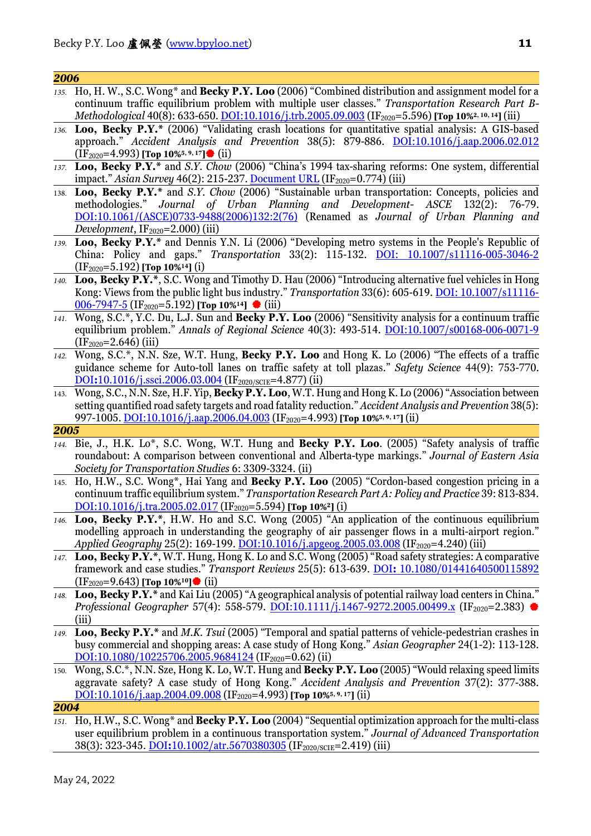| 2006 |                                                                                                                                                                                                                                                                                                                                                |
|------|------------------------------------------------------------------------------------------------------------------------------------------------------------------------------------------------------------------------------------------------------------------------------------------------------------------------------------------------|
|      | 135. Ho, H. W., S.C. Wong* and Becky P.Y. Loo (2006) "Combined distribution and assignment model for a<br>continuum traffic equilibrium problem with multiple user classes." Transportation Research Part B-<br>Methodological 40(8): 633-650. DOI:10.1016/j.trb.2005.09.003 (IF <sub>2020</sub> =5.596) [Top 10% <sup>2, 10, 14</sup> ] (iii) |
| 136. | Loo, Becky P.Y.* (2006) "Validating crash locations for quantitative spatial analysis: A GIS-based<br>approach." Accident Analysis and Prevention 38(5): 879-886. DOI:10.1016/j.aap.2006.02.012<br>$(IF2020=4.993)$ [Top 10% <sup>5, 9, 17</sup> ] (ii)                                                                                        |
|      | 137. Loo, Becky P.Y.* and S.Y. Chow (2006) "China's 1994 tax-sharing reforms: One system, differential<br>impact." Asian Survey 46(2): 215-237. Document URL (IF <sub>2020</sub> =0.774) (iii)                                                                                                                                                 |
|      | 138. Loo, Becky P.Y.* and S.Y. Chow (2006) "Sustainable urban transportation: Concepts, policies and<br>methodologies." Journal of Urban Planning and Development- ASCE 132(2):<br>76-79.<br>DOI:10.1061/(ASCE)0733-9488(2006)132:2(76) (Renamed as Journal of Urban Planning and<br><i>Development</i> , $IF_{2020} = 2.000$ (iii)            |
|      | 139. Loo, Becky P.Y.* and Dennis Y.N. Li (2006) "Developing metro systems in the People's Republic of<br>China: Policy and gaps." Transportation 33(2): 115-132. <b>DOI: 10.1007/s11116-005-3046-2</b><br>$(IF2020=5.192)$ [Top 10% <sup>14</sup> ] (i)                                                                                        |
| 140. | Loo, Becky P.Y.*, S.C. Wong and Timothy D. Hau (2006) "Introducing alternative fuel vehicles in Hong<br>Kong: Views from the public light bus industry." Transportation 33(6): 605-619. DOI: 10.1007/s11116-<br><u>006-7947-5</u> (IF <sub>2020</sub> =5.192) [Top 10% <sup>14</sup> ] ♦ (iii)                                                 |
|      | 141. Wong, S.C.*, Y.C. Du, L.J. Sun and Becky P.Y. Loo (2006) "Sensitivity analysis for a continuum traffic<br>equilibrium problem." Annals of Regional Science 40(3): 493-514. DOI:10.1007/s00168-006-0071-9<br>$(IF2020=2.646)$ (iii)                                                                                                        |
| 142. | Wong, S.C.*, N.N. Sze, W.T. Hung, Becky P.Y. Loo and Hong K. Lo (2006) "The effects of a traffic<br>guidance scheme for Auto-toll lanes on traffic safety at toll plazas." Safety Science 44(9): 753-770.<br>$\underline{DOI:}10.1016/j. ssci.2006.03.004$ (IF <sub>2020/SCIE</sub> =4.877) (ii)                                               |
| 143. | Wong, S.C., N.N. Sze, H.F. Yip, Becky P.Y. Loo, W.T. Hung and Hong K. Lo (2006) "Association between<br>setting quantified road safety targets and road fatality reduction." Accident Analysis and Prevention 38(5):<br>997-1005. DOI:10.1016/j.aap.2006.04.003 (IF <sub>2020</sub> =4.993) [Top 10% <sup>5, 9, 17</sup> ] (ii)                |
| 2005 |                                                                                                                                                                                                                                                                                                                                                |
|      | 144. Bie, J., H.K. Lo*, S.C. Wong, W.T. Hung and Becky P.Y. Loo. (2005) "Safety analysis of traffic<br>roundabout: A comparison between conventional and Alberta-type markings." Journal of Eastern Asia<br>Society for Transportation Studies 6: 3309-3324. (ii)                                                                              |
|      | 145. Ho, H.W., S.C. Wong*, Hai Yang and Becky P.Y. Loo (2005) "Cordon-based congestion pricing in a<br>continuum traffic equilibrium system." Transportation Research Part A: Policy and Practice 39: 813-834.<br>DOI:10.1016/j.tra.2005.02.017 (IF <sub>2020</sub> =5.594) [Top 10% <sup>2</sup> ] (i)                                        |
|      | 146. Loo, Becky P.Y.*, H.W. Ho and S.C. Wong (2005) "An application of the continuous equilibrium<br>modelling approach in understanding the geography of air passenger flows in a multi-airport region."<br>Applied Geography 25(2): 169-199. DOI:10.1016/j.apgeog.2005.03.008 (IF <sub>2020</sub> =4.240) (iii)                              |
|      | 147. Loo, Becky P.Y.*, W.T. Hung, Hong K. Lo and S.C. Wong (2005) "Road safety strategies: A comparative<br>framework and case studies." Transport Reviews 25(5): 613-639. DOI: 10.1080/01441640500115892<br>$(IF2020=9.643)$ [Top 10% <sup>10</sup> ] (ii)                                                                                    |
|      | 148. Loo, Becky P.Y.* and Kai Liu (2005) "A geographical analysis of potential railway load centers in China."<br><i>Professional Geographer</i> 57(4): 558-579. <b>DOI:10.1111/j.1467-9272.2005.00499.x</b> (IF <sub>2020</sub> =2.383) ♦<br>(iii)                                                                                            |
|      | 149. Loo, Becky P.Y.* and M.K. Tsui (2005) "Temporal and spatial patterns of vehicle-pedestrian crashes in<br>busy commercial and shopping areas: A case study of Hong Kong." Asian Geographer 24(1-2): 113-128.<br>$DOL:10.1080/10225706.2005.9684124$ (IF <sub>2020</sub> =0.62) (ii)                                                        |
|      | 150. Wong, S.C.*, N.N. Sze, Hong K. Lo, W.T. Hung and Becky P.Y. Loo (2005) "Would relaxing speed limits<br>aggravate safety? A case study of Hong Kong." Accident Analysis and Prevention 37(2): 377-388.<br>DOI:10.1016/j.aap.2004.09.008 (IF <sub>2020</sub> =4.993) [Top 10% <sup>5, 9, 17</sup> ] (ii)                                    |
| 2004 |                                                                                                                                                                                                                                                                                                                                                |
|      | 151. Ho, H.W., S.C. Wong* and Becky P.Y. Loo (2004) "Sequential optimization approach for the multi-class<br>user equilibrium problem in a continuous transportation system." Journal of Advanced Transportation                                                                                                                               |

38(3): 323-345. DOI**:**[10.1002/atr.5670380305](http://dx.doi.org/10.1002/atr.5670380305) (IF2020/SCIE=2.419) (iii)

May 24, 2022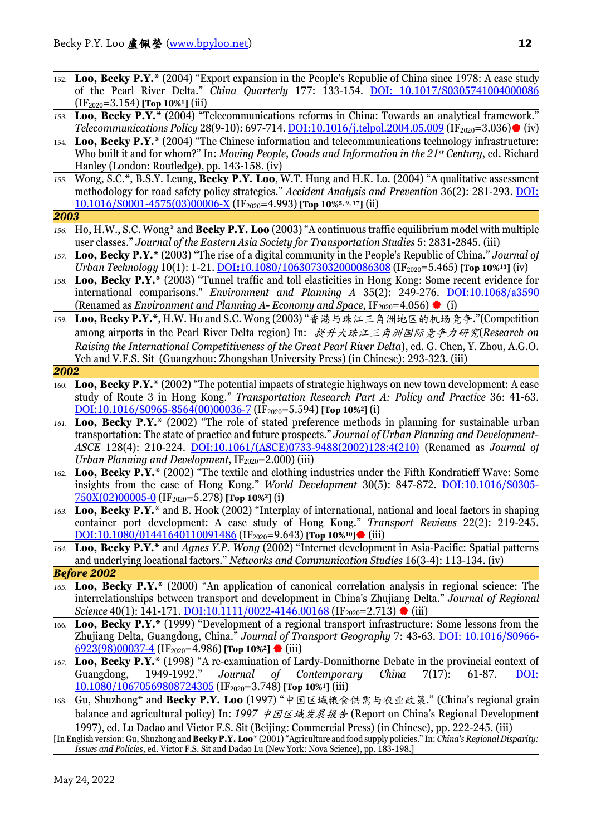- 152. **Loo, Becky P.Y.\*** (2004) "Export expansion in the People's Republic of China since 1978: A case study of the Pearl River Delta." *China Quarterly* 177: 133-154. [DOI: 10.1017/S0305741004000086](http://dx.doi.org/10.1017/S0305741004000086) (IF2020=3.154) **[Top 10%1]** (iii)
- *153.* **Loo, Becky P.Y.\*** (2004) "Telecommunications reforms in China: Towards an analytical framework." *Telecommunications Policy* 28(9-10): 697-714. *DOI:10.1016/j.telpol.2004.05.009* (IF<sub>2020</sub>=3.036) (iv)
- 154. **Loo, Becky P.Y.\*** (2004) "The Chinese information and telecommunications technology infrastructure: Who built it and for whom?" In: *Moving People, Goods and Information in the 21st Century*, ed. Richard Hanley (London: Routledge), pp. 143-158. (iv)
- *155.* Wong, S.C.\*, B.S.Y. Leung, **Becky P.Y. Loo**, W.T. Hung and H.K. Lo. (2004) "A qualitative assessment methodology for road safety policy strategies." *Accident Analysis and Prevention* 36(2): 281-293. [DOI:](http://dx.doi.org/10.1016/S0001-4575(03)00006-X)  [10.1016/S0001-4575\(03\)00006-X](http://dx.doi.org/10.1016/S0001-4575(03)00006-X) (IF2020=4.993) **[Top 10%5, 9, 17]** (ii)
- *2003*
- *156.* Ho, H.W., S.C. Wong\* and **Becky P.Y. Loo** (2003) "A continuous traffic equilibrium model with multiple user classes." *Journal of the Eastern Asia Society for Transportation Studies* 5: 2831-2845. (iii)
- *157.* **Loo, Becky P.Y.\*** (2003) "The rise of a digital community in the People's Republic of China." *Journal of Urban Technology* 10(1): 1-21. DOI:[10.1080/1063073032000086308](http://dx.doi.org/10.1080/1063073032000086308) (IF<sub>2020</sub>=5.465) **[Top 10%**<sup>13</sup>] (iv)
- *158.* **Loo, Becky P.Y.\*** (2003) "Tunnel traffic and toll elasticities in Hong Kong: Some recent evidence for international comparisons." *Environment and Planning A* 35(2): 249-276. [DOI:10.1068/a3590](http://dx.doi.org/10.1068/a3590) (Renamed as *Environment and Planning A- Economy and Space*, IF<sub>2020</sub>=4.056)  $\bullet$  (i)
- *159.* **Loo, Becky P.Y.\***, H.W. Ho and S.C. Wong (2003) "香港与珠江三角洲地区的机场竞争."(Competition among airports in the Pearl River Delta region) In: 提升大珠江三角洲国际竞争力研究(*Research on Raising the International Competitiveness of the Great Pearl River Delta*), ed. G. Chen, Y. Zhou, A.G.O. Yeh and V.F.S. Sit (Guangzhou: Zhongshan University Press) (in Chinese): 293-323. (iii)
- *2002*
- 160. **Loo, Becky P.Y.\*** (2002) "The potential impacts of strategic highways on new town development: A case study of Route 3 in Hong Kong." *Transportation Research Part A: Policy and Practice* 36: 41-63. [DOI:10.1016/S0965-8564\(00\)00036-7](http://dx.doi.org/10.1016/S0965-8564(00)00036-7) (IF2020=5.594) **[Top 10%2]** (i)
- *161.* **Loo, Becky P.Y.\*** (2002) "The role of stated preference methods in planning for sustainable urban transportation: The state of practice and future prospects." *Journal of Urban Planning and Development-ASCE* 128(4): 210-224. [DOI:10.1061/\(ASCE\)0733-9488\(2002\)128:4\(210\)](http://dx.doi.org/10.1061/(ASCE)0733-9488(2002)128:4(210)) (Renamed as *Journal of Urban Planning and Development*, IF<sub>2020</sub>=2.000) (iii)
- 162. **Loo, Becky P.Y.\*** (2002) "The textile and clothing industries under the Fifth Kondratieff Wave: Some insights from the case of Hong Kong." *World Development* 30(5): 847-872. [DOI:10.1016/S0305-](http://dx.doi.org/10.1016/S0305-750X(02)00005-0) [750X\(02\)00005-0](http://dx.doi.org/10.1016/S0305-750X(02)00005-0) (IF2020=5.278) **[Top 10%2]** (i)
- *163.* **Loo, Becky P.Y.\*** and B. Hook (2002) "Interplay of international, national and local factors in shaping container port development: A case study of Hong Kong." *Transport Reviews* 22(2): 219-245. **[DOI:10.1080/01441640110091486](http://dx.doi.org/10.1080/01441640110091486)** (IF<sub>2020</sub>=9.643) **[Top 10%<sup>10</sup>]** (iii)
- *164.* **Loo, Becky P.Y.\*** and *Agnes Y.P. Wong* (2002) "Internet development in Asia-Pacific: Spatial patterns and underlying locational factors." *Networks and Communication Studies* 16(3-4): 113-134. (iv)

- *165.* **Loo, Becky P.Y.\*** (2000) "An application of canonical correlation analysis in regional science: The interrelationships between transport and development in China's Zhujiang Delta." *Journal of Regional Science* 40(1): 141-171. **DOI:10.1111/0022-4146.00168** (IF<sub>2020</sub>=2.713) ● (iii)
- 166. **Loo, Becky P.Y.\*** (1999) "Development of a regional transport infrastructure: Some lessons from the Zhujiang Delta, Guangdong, China." *Journal of Transport Geography* 7: 43-63. DOI: [10.1016/S0966-](http://dx.doi.org/10.1016/S0966-6923(98)00037-4) [6923\(98\)00037-4](http://dx.doi.org/10.1016/S0966-6923(98)00037-4) (IF2020=4.986) **[Top 10%2]** (iii)
- *167.* **Loo, Becky P.Y.\*** (1998) "A re-examination of Lardy-Donnithorne Debate in the provincial context of Guangdong, 1949-1992." *Journal of Contemporary China* 7(17): 61-87. [DOI:](http://dx.doi.org/10.1080/10670569808724305) [10.1080/10670569808724305](http://dx.doi.org/10.1080/10670569808724305) (IF2020=3.748) **[Top 10%1]** (iii)
- 168. Gu, Shuzhong\* and **Becky P.Y. Loo** (1997) "中国区域粮食供需与农业政策." (China's regional grain balance and agricultural policy) In: 1997 中国区域发展报告 (Report on China's Regional Development 1997), ed. Lu Dadao and Victor F.S. Sit (Beijing: Commercial Press) (in Chinese), pp. 222-245. (iii)
- [In English version: Gu, Shuzhong and **Becky P.Y. Loo\*** (2001) "Agriculture and food supply policies." In: *China's Regional Disparity: Issues and Policies*, ed. Victor F.S. Sit and Dadao Lu (New York: Nova Science), pp. 183-198.]

*Before 2002*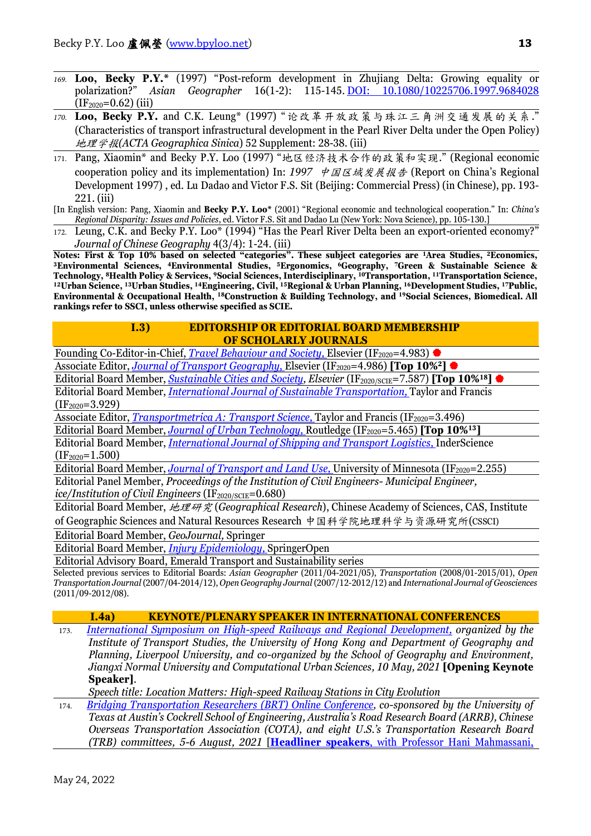- *169.* **Loo, Becky P.Y.\*** (1997) "Post-reform development in Zhujiang Delta: Growing equality or polarization?" *Asian Geographer* 16(1-2): 115-145. [DOI: 10.1080/10225706.1997.9684028](http://dx.doi.org/10.1080/10225706.1997.9684028)  $(IF<sub>2020</sub>=0.62)$  (iii)
- *170.* **Loo, Becky P.Y.** and C.K. Leung\* (1997) "论改革开放政策与珠江三角洲交通发展的关系." (Characteristics of transport infrastructural development in the Pearl River Delta under the Open Policy) 地理学报*(ACTA Geographica Sinica*) 52 Supplement: 28-38. (iii)
- 171. Pang, Xiaomin\* and Becky P.Y. Loo (1997) "地区经济技术合作的政策和实现." (Regional economic cooperation policy and its implementation) In: 1997 中国区域发展报告 (Report on China's Regional Development 1997) , ed. Lu Dadao and Victor F.S. Sit (Beijing: Commercial Press) (in Chinese), pp. 193- 221. (iii)
- [In English version: Pang, Xiaomin and **Becky P.Y. Loo\*** (2001) "Regional economic and technological cooperation." In: *China's Regional Disparity: Issues and Policies*, ed. Victor F.S. Sit and Dadao Lu (New York: Nova Science), pp. 105-130.]
- 172. Leung, C.K. and Becky P.Y. Loo\* (1994) "Has the Pearl River Delta been an export-oriented economy?"

*Journal of Chinese Geography* 4(3/4): 1-24. (iii)<br>Notes: First & Top 10% based on selected "categories". These subject categories are <sup>1</sup>Area Studies, <sup>2</sup>Economics, Notes: First & Top 10% based on selection on selection of these subject categories are 1-1-p<br>The 18 Subject categories are 1-1-p 10% based on selections of the subject of the subject of the Science of Technology, 8Health P <sup>12</sup>Urban Science, <sup>13</sup>Urban Studies, <sup>14</sup>Engineering, Civil, <sup>15</sup>Regional & Urban Planning, <sup>16</sup>Development Studies, <sup>17</sup>Public, **Environmental & Occupational Health, 18Construction & Building Technology, and 19Social Sciences, Biomedical. All rankings refer to SSCI, unless otherwise specified as SCIE.**

### **I.3) EDITORSHIP OR EDITORIAL BOARD MEMBERSHIP OF SCHOLARLY JOURNALS**

Founding Co-Editor-in-Chief, *Travel Behaviour and Society*, *Elsevier* (IF<sub>2020</sub>=4.983) ♦

Associate Editor, *Journal of Transport Geography*, *Elsevier* (IF<sub>2020</sub>=4.986) [Top 10%<sup>2</sup>]

Editorial Board Member, *[Sustainable Cities and Society,](https://www.journals.elsevier.com/sustainable-cities-and-society) Elsevier* (IF<sub>2020/SCIE</sub>=7.587) [Top 10%<sup>18</sup>] Editorial Board Member, *[International Journal of Sustainable Transportation,](http://www.tandfonline.com/toc/ujst20/current)* Taylor and Francis

 $(IF<sub>2020</sub>=3.929)$ 

Associate Editor, *Transportmetrica A: Transport Science*, Taylor and Francis (IF<sub>2020</sub>=3.496)

Editorial Board Member, *Journal of Urban Technology*, *Routledge* (IF<sub>2020</sub>=5.465) **[Top 10%13**]

Editorial Board Member, *[International Journal of Shipping and Transport Logistics,](http://www.inderscience.com/jhome.php?jcode=IJSTL)* InderScience  $(IF<sub>2020</sub>=1.500)$ 

Editorial Board Member, *Journal of Transport and Land Use*, University of Minnesota (IF<sub>2020</sub>=2.255) Editorial Panel Member, *Proceedings of the Institution of Civil Engineers- Municipal Engineer, ice/Institution of Civil Engineers* (IF<sub>2020/SCIE</sub>=0.680)

Editorial Board Member, 地理研究 (*Geographical Research*), Chinese Academy of Sciences, CAS, Institute of Geographic Sciences and Natural Resources Research 中国科学院地理科学与资源研究所(CSSCI)

Editorial Board Member, *GeoJournal,* Springer

Editorial Board Member, *[Injury Epidemiology,](http://www.injepijournal.com/)* SpringerOpen

Editorial Advisory Board, Emerald Transport and Sustainability series

Selected previous services to Editorial Boards: *Asian Geographer* (2011/04-2021/05), *Transportation* (2008/01-2015/01), *Open Transportation Journal* (2007/04-2014/12), *Open Geography Journal* (2007/12-2012/12) and *International Journal of Geosciences* (2011/09-2012/08).

### **I.4a) KEYNOTE/PLENARY SPEAKER IN INTERNATIONAL CONFERENCES**

173. *[International Symposium on High-speed Railways and Regional Development,](https://www.institute-of-transport-studies.hku.hk/international-symposium-on-high-speed-railway-and-regional-development) organized by the Institute of Transport Studies, the University of Hong Kong and Department of Geography and Planning, Liverpool University, and co-organized by the School of Geography and Environment, Jiangxi Normal University and Computational Urban Sciences, 10 May, 2021* **[Opening Keynote Speaker]**.

*Speech title: Location Matters: High-speed Railway Stations in City Evolution*

174. *[Bridging Transportation Researchers \(BRT\) Online Conference,](https://bridgingtransport.org/) co-sponsored by the University of Texas at Austin's Cockrell School of Engineering, Australia's Road Research Board (ARRB), Chinese Overseas Transportation Association (COTA), and eight U.S.'s Transportation Research Board (TRB) committees, 5-6 August, 2021* [**Headliner speakers**[, with Professor Hani Mahmassani,](https://bridgingtransport.org/btr3-headline-speakers/)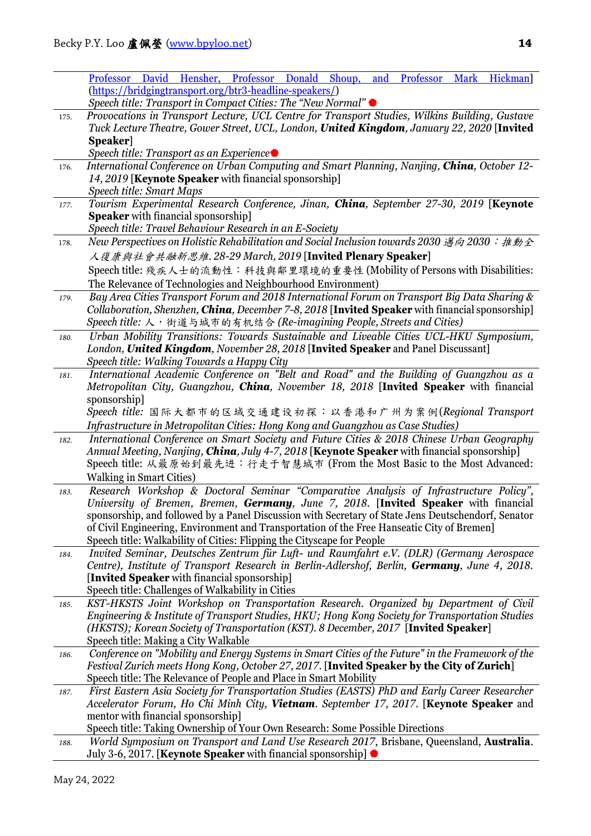|      | Professor David Hensher, Professor Donald Shoup, and Professor Mark Hickman                                                                |
|------|--------------------------------------------------------------------------------------------------------------------------------------------|
|      | (https://bridgingtransport.org/btr3-headline-speakers/)                                                                                    |
|      | Speech title: Transport in Compact Cities: The "New Normal" ●                                                                              |
| 175. | Provocations in Transport Lecture, UCL Centre for Transport Studies, Wilkins Building, Gustave                                             |
|      | Tuck Lecture Theatre, Gower Street, UCL, London, United Kingdom, January 22, 2020 [Invited                                                 |
|      | Speaker                                                                                                                                    |
|      | Speech title: Transport as an Experience●                                                                                                  |
| 176. | International Conference on Urban Computing and Smart Planning, Nanjing, China, October 12-                                                |
|      | 14, 2019 [Keynote Speaker with financial sponsorship]                                                                                      |
|      | Speech title: Smart Maps                                                                                                                   |
| 177. | Tourism Experimental Research Conference, Jinan, China, September 27-30, 2019 [Keynote                                                     |
|      | <b>Speaker</b> with financial sponsorship]                                                                                                 |
|      | Speech title: Travel Behaviour Research in an E-Society                                                                                    |
| 178. | New Perspectives on Holistic Rehabilitation and Social Inclusion towards 2030 邁向 2030 : 推動全                                                |
|      | 人復康與社會共融新思維. 28-29 March, 2019 [Invited Plenary Speaker]                                                                                   |
|      | Speech title: 殘疾人士的流動性: 科技與鄰里環境的重要性 (Mobility of Persons with Disabilities:                                                                |
|      | The Relevance of Technologies and Neighbourhood Environment)                                                                               |
| 179. | Bay Area Cities Transport Forum and 2018 International Forum on Transport Big Data Sharing &                                               |
|      | Collaboration, Shenzhen, China, December 7-8, 2018 [Invited Speaker with financial sponsorship]                                            |
|      | Speech title: 人, 街道与城市的有机结合 (Re-imagining People, Streets and Cities)                                                                      |
|      | Urban Mobility Transitions: Towards Sustainable and Liveable Cities UCL-HKU Symposium,                                                     |
| 180. | London, United Kingdom, November 28, 2018 [Invited Speaker and Panel Discussant]                                                           |
|      | Speech title: Walking Towards a Happy City                                                                                                 |
|      | International Academic Conference on "Belt and Road" and the Building of Guangzhou as a                                                    |
| 181. | Metropolitan City, Guangzhou, China, November 18, 2018 [Invited Speaker with financial                                                     |
|      | sponsorship]                                                                                                                               |
|      |                                                                                                                                            |
|      | Speech title: 国际大都市的区域交通建设初探: 以香港和广州为案例(Regional Transport                                                                                 |
|      | Infrastructure in Metropolitan Cities: Hong Kong and Guangzhou as Case Studies)                                                            |
| 182. | International Conference on Smart Society and Future Cities & 2018 Chinese Urban Geography                                                 |
|      | Annual Meeting, Nanjing, China, July 4-7, 2018 [Keynote Speaker with financial sponsorship]                                                |
|      | Speech title: 从最原始到最先进: 行走于智慧城市 (From the Most Basic to the Most Advanced:                                                                 |
|      | <b>Walking in Smart Cities)</b>                                                                                                            |
| 183. | Research Workshop & Doctoral Seminar "Comparative Analysis of Infrastructure Policy",                                                      |
|      | University of Bremen, Bremen, Germany, June 7, 2018. [Invited Speaker with financial                                                       |
|      | sponsorship, and followed by a Panel Discussion with Secretary of State Jens Deutschendorf, Senator                                        |
|      | of Civil Engineering, Environment and Transportation of the Free Hanseatic City of Bremen]                                                 |
|      | Speech title: Walkability of Cities: Flipping the Cityscape for People                                                                     |
| 184. | Invited Seminar, Deutsches Zentrum für Luft- und Raumfahrt e.V. (DLR) (Germany Aerospace                                                   |
|      | Centre), Institute of Transport Research in Berlin-Adlershof, Berlin, Germany, June 4, 2018.                                               |
|      | [Invited Speaker with financial sponsorship]                                                                                               |
|      | Speech title: Challenges of Walkability in Cities<br>KST-HKSTS Joint Workshop on Transportation Research. Organized by Department of Civil |
| 185. | Engineering & Institute of Transport Studies, HKU; Hong Kong Society for Transportation Studies                                            |
|      | (HKSTS); Korean Society of Transportation (KST). 8 December, 2017 [Invited Speaker]                                                        |
|      | Speech title: Making a City Walkable                                                                                                       |
|      | Conference on "Mobility and Energy Systems in Smart Cities of the Future" in the Framework of the                                          |
| 186. | Festival Zurich meets Hong Kong, October 27, 2017. [Invited Speaker by the City of Zurich]                                                 |
|      | Speech title: The Relevance of People and Place in Smart Mobility                                                                          |
|      | First Eastern Asia Society for Transportation Studies (EASTS) PhD and Early Career Researcher                                              |
| 187. | Accelerator Forum, Ho Chi Minh City, Vietnam. September 17, 2017. [Keynote Speaker and                                                     |
|      | mentor with financial sponsorship]                                                                                                         |
|      | Speech title: Taking Ownership of Your Own Research: Some Possible Directions                                                              |
|      | World Symposium on Transport and Land Use Research 2017, Brisbane, Queensland, Australia.                                                  |
| 188. |                                                                                                                                            |
|      | July 3-6, 2017. [Keynote Speaker with financial sponsorship] $\bullet$                                                                     |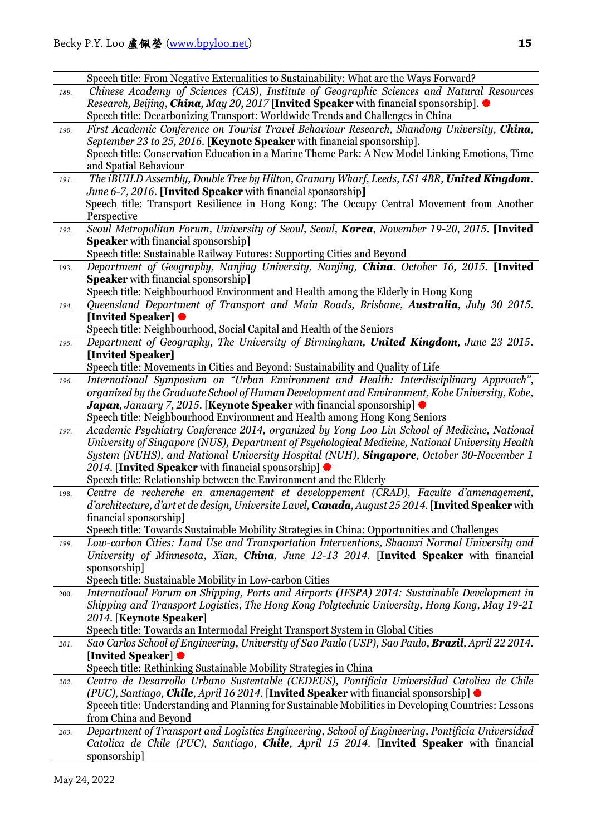|      | Speech title: From Negative Externalities to Sustainability: What are the Ways Forward?                                                                                               |
|------|---------------------------------------------------------------------------------------------------------------------------------------------------------------------------------------|
| 189. | Chinese Academy of Sciences (CAS), Institute of Geographic Sciences and Natural Resources                                                                                             |
|      | <i>Research, Beijing, China, May 20, 2017</i> [Invited Speaker with financial sponsorship]. $\bullet$                                                                                 |
|      | Speech title: Decarbonizing Transport: Worldwide Trends and Challenges in China                                                                                                       |
| 190. | First Academic Conference on Tourist Travel Behaviour Research, Shandong University, China,                                                                                           |
|      | September 23 to 25, 2016. [Keynote Speaker with financial sponsorship].                                                                                                               |
|      | Speech title: Conservation Education in a Marine Theme Park: A New Model Linking Emotions, Time                                                                                       |
|      | and Spatial Behaviour                                                                                                                                                                 |
| 191. | The iBUILD Assembly, Double Tree by Hilton, Granary Wharf, Leeds, LS1 4BR, United Kingdom.                                                                                            |
|      | June 6-7, 2016. [Invited Speaker with financial sponsorship]                                                                                                                          |
|      | Speech title: Transport Resilience in Hong Kong: The Occupy Central Movement from Another                                                                                             |
|      | Perspective                                                                                                                                                                           |
| 192. | Seoul Metropolitan Forum, University of Seoul, Seoul, Korea, November 19-20, 2015. [Invited                                                                                           |
|      | <b>Speaker</b> with financial sponsorship]                                                                                                                                            |
|      | Speech title: Sustainable Railway Futures: Supporting Cities and Beyond                                                                                                               |
| 193. | Department of Geography, Nanjing University, Nanjing, China. October 16, 2015. [Invited                                                                                               |
|      | <b>Speaker</b> with financial sponsorship]                                                                                                                                            |
|      | Speech title: Neighbourhood Environment and Health among the Elderly in Hong Kong                                                                                                     |
| 194. | Queensland Department of Transport and Main Roads, Brisbane, Australia, July 30 2015.                                                                                                 |
|      | [Invited Speaker] ♦<br>Speech title: Neighbourhood, Social Capital and Health of the Seniors                                                                                          |
| 195. | Department of Geography, The University of Birmingham, United Kingdom, June 23 2015.                                                                                                  |
|      | [Invited Speaker]                                                                                                                                                                     |
|      | Speech title: Movements in Cities and Beyond: Sustainability and Quality of Life                                                                                                      |
| 196. | International Symposium on "Urban Environment and Health: Interdisciplinary Approach",                                                                                                |
|      | organized by the Graduate School of Human Development and Environment, Kobe University, Kobe,                                                                                         |
|      | <b>Japan</b> , January 7, 2015. [ <b>Keynote Speaker</b> with financial sponsorship]                                                                                                  |
|      | Speech title: Neighbourhood Environment and Health among Hong Kong Seniors                                                                                                            |
| 197. | Academic Psychiatry Conference 2014, organized by Yong Loo Lin School of Medicine, National                                                                                           |
|      | University of Singapore (NUS), Department of Psychological Medicine, National University Health                                                                                       |
|      | System (NUHS), and National University Hospital (NUH), Singapore, October 30-November 1                                                                                               |
|      | 2014. [Invited Speaker with financial sponsorship] $\bullet$                                                                                                                          |
|      | Speech title: Relationship between the Environment and the Elderly                                                                                                                    |
| 198. | Centre de recherche en amenagement et developpement (CRAD), Faculte d'amenagement,                                                                                                    |
|      | d'architecture, d'art et de design, Universite Lavel, Canada, August 25 2014. [Invited Speaker with                                                                                   |
|      | financial sponsorship]                                                                                                                                                                |
|      | Speech title: Towards Sustainable Mobility Strategies in China: Opportunities and Challenges                                                                                          |
| 199. | Low-carbon Cities: Land Use and Transportation Interventions, Shaanxi Normal University and<br>University of Minnesota, Xian, China, June 12-13 2014. [Invited Speaker with financial |
|      | sponsorship]                                                                                                                                                                          |
|      | Speech title: Sustainable Mobility in Low-carbon Cities                                                                                                                               |
| 200. | International Forum on Shipping, Ports and Airports (IFSPA) 2014: Sustainable Development in                                                                                          |
|      | Shipping and Transport Logistics, The Hong Kong Polytechnic University, Hong Kong, May 19-21                                                                                          |
|      | 2014. [Keynote Speaker]                                                                                                                                                               |
|      | Speech title: Towards an Intermodal Freight Transport System in Global Cities                                                                                                         |
| 201. | Sao Carlos School of Engineering, University of Sao Paulo (USP), Sao Paulo, <b>Brazil</b> , April 22 2014.                                                                            |
|      | [Invited Speaker] ♥                                                                                                                                                                   |
|      | Speech title: Rethinking Sustainable Mobility Strategies in China                                                                                                                     |
| 202. | Centro de Desarrollo Urbano Sustentable (CEDEUS), Pontificia Universidad Catolica de Chile                                                                                            |
|      | (PUC), Santiago, Chile, April 16 2014. [Invited Speaker with financial sponsorship] $\bullet$                                                                                         |
|      | Speech title: Understanding and Planning for Sustainable Mobilities in Developing Countries: Lessons                                                                                  |
|      | from China and Beyond                                                                                                                                                                 |
| 203. | Department of Transport and Logistics Engineering, School of Engineering, Pontificia Universidad                                                                                      |
|      | Catolica de Chile (PUC), Santiago, Chile, April 15 2014. [Invited Speaker with financial                                                                                              |
|      | sponsorship]                                                                                                                                                                          |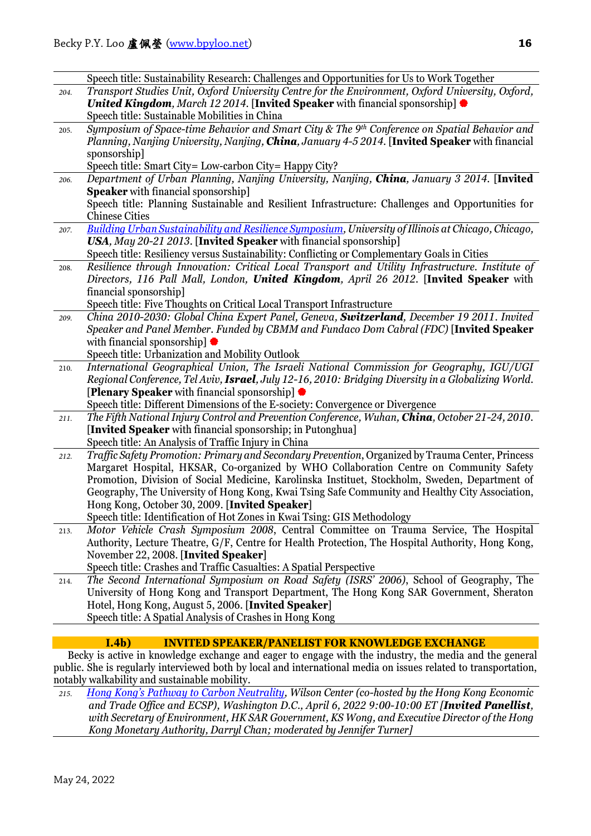|      | Speech title: Sustainability Research: Challenges and Opportunities for Us to Work Together                                                                                          |
|------|--------------------------------------------------------------------------------------------------------------------------------------------------------------------------------------|
| 204. | Transport Studies Unit, Oxford University Centre for the Environment, Oxford University, Oxford,                                                                                     |
|      | United Kingdom, March 12 2014. [Invited Speaker with financial sponsorship] $\bullet$                                                                                                |
|      | Speech title: Sustainable Mobilities in China                                                                                                                                        |
| 205. | Symposium of Space-time Behavior and Smart City & The 9th Conference on Spatial Behavior and                                                                                         |
|      | Planning, Nanjing University, Nanjing, China, January 4-5 2014. [Invited Speaker with financial                                                                                      |
|      | sponsorship]                                                                                                                                                                         |
|      | Speech title: Smart City= Low-carbon City= Happy City?                                                                                                                               |
| 206. | Department of Urban Planning, Nanjing University, Nanjing, China, January 3 2014. [Invited                                                                                           |
|      | <b>Speaker</b> with financial sponsorship]                                                                                                                                           |
|      | Speech title: Planning Sustainable and Resilient Infrastructure: Challenges and Opportunities for                                                                                    |
|      | <b>Chinese Cities</b>                                                                                                                                                                |
| 207. | <b>Building Urban Sustainability and Resilience Symposium, University of Illinois at Chicago, Chicago,</b>                                                                           |
|      | USA, May 20-21 2013. [Invited Speaker with financial sponsorship]                                                                                                                    |
|      | Speech title: Resiliency versus Sustainability: Conflicting or Complementary Goals in Cities                                                                                         |
| 208. | Resilience through Innovation: Critical Local Transport and Utility Infrastructure. Institute of                                                                                     |
|      | Directors, 116 Pall Mall, London, United Kingdom, April 26 2012. [Invited Speaker with                                                                                               |
|      | financial sponsorship]                                                                                                                                                               |
|      | Speech title: Five Thoughts on Critical Local Transport Infrastructure                                                                                                               |
| 209. | China 2010-2030: Global China Expert Panel, Geneva, Switzerland, December 19 2011. Invited                                                                                           |
|      | Speaker and Panel Member. Funded by CBMM and Fundaco Dom Cabral (FDC) [Invited Speaker                                                                                               |
|      | with financial sponsorship] $\bullet$                                                                                                                                                |
|      | Speech title: Urbanization and Mobility Outlook                                                                                                                                      |
| 210. | International Geographical Union, The Israeli National Commission for Geography, IGU/UGI                                                                                             |
|      | Regional Conference, Tel Aviv, Israel, July 12-16, 2010: Bridging Diversity in a Globalizing World.                                                                                  |
|      | <b>[Plenary Speaker</b> with financial sponsorship]                                                                                                                                  |
|      | Speech title: Different Dimensions of the E-society: Convergence or Divergence                                                                                                       |
| 211. | The Fifth National Injury Control and Prevention Conference, Wuhan, China, October 21-24, 2010.                                                                                      |
|      | [Invited Speaker with financial sponsorship; in Putonghua]                                                                                                                           |
|      | Speech title: An Analysis of Traffic Injury in China                                                                                                                                 |
| 212. | Traffic Safety Promotion: Primary and Secondary Prevention, Organized by Trauma Center, Princess                                                                                     |
|      | Margaret Hospital, HKSAR, Co-organized by WHO Collaboration Centre on Community Safety                                                                                               |
|      | Promotion, Division of Social Medicine, Karolinska Instituet, Stockholm, Sweden, Department of                                                                                       |
|      | Geography, The University of Hong Kong, Kwai Tsing Safe Community and Healthy City Association,                                                                                      |
|      | Hong Kong, October 30, 2009. [Invited Speaker]                                                                                                                                       |
|      | Speech title: Identification of Hot Zones in Kwai Tsing: GIS Methodology                                                                                                             |
| 213. | Motor Vehicle Crash Symposium 2008, Central Committee on Trauma Service, The Hospital                                                                                                |
|      | Authority, Lecture Theatre, G/F, Centre for Health Protection, The Hospital Authority, Hong Kong,                                                                                    |
|      | November 22, 2008. [Invited Speaker]                                                                                                                                                 |
|      | Speech title: Crashes and Traffic Casualties: A Spatial Perspective                                                                                                                  |
| 214. | The Second International Symposium on Road Safety (ISRS' 2006), School of Geography, The<br>University of Hong Kong and Transport Department, The Hong Kong SAR Government, Sheraton |
|      | Hotel, Hong Kong, August 5, 2006. [Invited Speaker]                                                                                                                                  |
|      | Speech title: A Spatial Analysis of Crashes in Hong Kong                                                                                                                             |
|      |                                                                                                                                                                                      |
|      | I.4b)<br><b>INVITED SPEAKER/PANELIST FOR KN</b>                                                                                                                                      |
|      |                                                                                                                                                                                      |

Becky is active in knowledge exchange and eager to engage with the industry, the media and the general public. She is regularly interviewed both by local and international media on issues related to transportation, notably walkability and sustainable mobility.

*215. [Hong Kong's Pathway to Carbon Neutrality,](https://www.wilsoncenter.org/event/hong-kongs-pathway-carbon-neutrality) Wilson Center (co-hosted by the Hong Kong Economic and Trade Office and ECSP), Washington D.C., April 6, 2022 9:00-10:00 ET [Invited Panellist, with Secretary of Environment, HK SAR Government, KS Wong, and Executive Director of the Hong Kong Monetary Authority, Darryl Chan; moderated by Jennifer Turner]*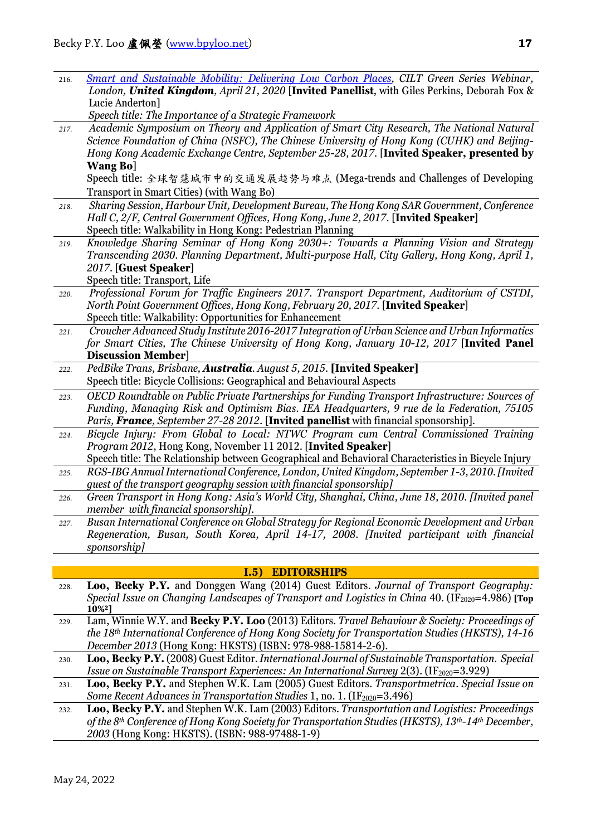| 216. | <b>Smart and Sustainable Mobility: Delivering Low Carbon Places, CILT Green Series Webinar,</b><br>London, United Kingdom, April 21, 2020 [Invited Panellist, with Giles Perkins, Deborah Fox & |
|------|-------------------------------------------------------------------------------------------------------------------------------------------------------------------------------------------------|
|      | Lucie Anderton]                                                                                                                                                                                 |
|      | Speech title: The Importance of a Strategic Framework                                                                                                                                           |
| 217. | Academic Symposium on Theory and Application of Smart City Research, The National Natural                                                                                                       |
|      | Science Foundation of China (NSFC), The Chinese University of Hong Kong (CUHK) and Beijing-                                                                                                     |
|      | Hong Kong Academic Exchange Centre, September 25-28, 2017. [Invited Speaker, presented by                                                                                                       |
|      | <b>Wang Bo]</b>                                                                                                                                                                                 |
|      | Speech title: 全球智慧城市中的交通发展趋势与难点 (Mega-trends and Challenges of Developing                                                                                                                       |
|      | Transport in Smart Cities) (with Wang Bo)                                                                                                                                                       |
| 218. | Sharing Session, Harbour Unit, Development Bureau, The Hong Kong SAR Government, Conference                                                                                                     |
|      | Hall C, 2/F, Central Government Offices, Hong Kong, June 2, 2017. [Invited Speaker]                                                                                                             |
|      | Speech title: Walkability in Hong Kong: Pedestrian Planning                                                                                                                                     |
| 219. | Knowledge Sharing Seminar of Hong Kong 2030+: Towards a Planning Vision and Strategy                                                                                                            |
|      | Transcending 2030. Planning Department, Multi-purpose Hall, City Gallery, Hong Kong, April 1,                                                                                                   |
|      | 2017. [Guest Speaker]                                                                                                                                                                           |
|      | Speech title: Transport, Life                                                                                                                                                                   |
| 220. | Professional Forum for Traffic Engineers 2017. Transport Department, Auditorium of CSTDI,                                                                                                       |
|      | North Point Government Offices, Hong Kong, February 20, 2017. [Invited Speaker]                                                                                                                 |
|      | Speech title: Walkability: Opportunities for Enhancement                                                                                                                                        |
| 221. | Croucher Advanced Study Institute 2016-2017 Integration of Urban Science and Urban Informatics                                                                                                  |
|      | for Smart Cities, The Chinese University of Hong Kong, January 10-12, 2017 [Invited Panel                                                                                                       |
|      | <b>Discussion Member]</b>                                                                                                                                                                       |
| 222. | PedBike Trans, Brisbane, Australia. August 5, 2015. [Invited Speaker]                                                                                                                           |
|      | Speech title: Bicycle Collisions: Geographical and Behavioural Aspects                                                                                                                          |
| 223. | OECD Roundtable on Public Private Partnerships for Funding Transport Infrastructure: Sources of                                                                                                 |
|      | Funding, Managing Risk and Optimism Bias. IEA Headquarters, 9 rue de la Federation, 75105                                                                                                       |
|      | Paris, France, September 27-28 2012. [Invited panellist with financial sponsorship].                                                                                                            |
| 224. | Bicycle Injury: From Global to Local: NTWC Program cum Central Commissioned Training                                                                                                            |
|      | Program 2012, Hong Kong, November 11 2012. [Invited Speaker]                                                                                                                                    |
|      | Speech title: The Relationship between Geographical and Behavioral Characteristics in Bicycle Injury                                                                                            |
| 225. | RGS-IBG Annual International Conference, London, United Kingdom, September 1-3, 2010. [Invited                                                                                                  |
|      | guest of the transport geography session with financial sponsorship]                                                                                                                            |
| 226. | Green Transport in Hong Kong: Asia's World City, Shanghai, China, June 18, 2010. [Invited panel                                                                                                 |
|      | member with financial sponsorship].                                                                                                                                                             |
| 227. | Busan International Conference on Global Strategy for Regional Economic Development and Urban                                                                                                   |
|      | Regeneration, Busan, South Korea, April 14-17, 2008. [Invited participant with financial                                                                                                        |
|      | sponsorship]                                                                                                                                                                                    |
|      |                                                                                                                                                                                                 |
|      | I.5)<br><b>EDITORSHIPS</b>                                                                                                                                                                      |
| 228. | Loo, Becky P.Y. and Donggen Wang (2014) Guest Editors. Journal of Transport Geography:                                                                                                          |
|      | Special Issue on Changing Landscapes of Transport and Logistics in China 40. (IF <sub>2020</sub> =4.986) [Top                                                                                   |

- **10%2]** 229. Lam, Winnie W.Y. and **Becky P.Y. Loo** (2013) Editors. *Travel Behaviour & Society: Proceedings of the 18th International Conference of Hong Kong Society for Transportation Studies (HKSTS), 14-16 December 2013* (Hong Kong: HKSTS) (ISBN: 978-988-15814-2-6).
- 230. **Loo, Becky P.Y.** (2008) Guest Editor. *International Journal of Sustainable Transportation. Special Issue on Sustainable Transport Experiences: An International Survey* 2(3). (IF<sub>2020</sub>=3.929)

231. **Loo, Becky P.Y.** and Stephen W.K. Lam (2005) Guest Editors. *Transportmetrica. Special Issue on Some Recent Advances in Transportation Studies* 1, no. 1. (IF<sub>2020</sub>=3.496)

232. **Loo, Becky P.Y.** and Stephen W.K. Lam (2003) Editors. *Transportation and Logistics: Proceedings of the 8th Conference of Hong Kong Society for Transportation Studies (HKSTS), 13th-14th December, 2003* (Hong Kong: HKSTS). (ISBN: 988-97488-1-9)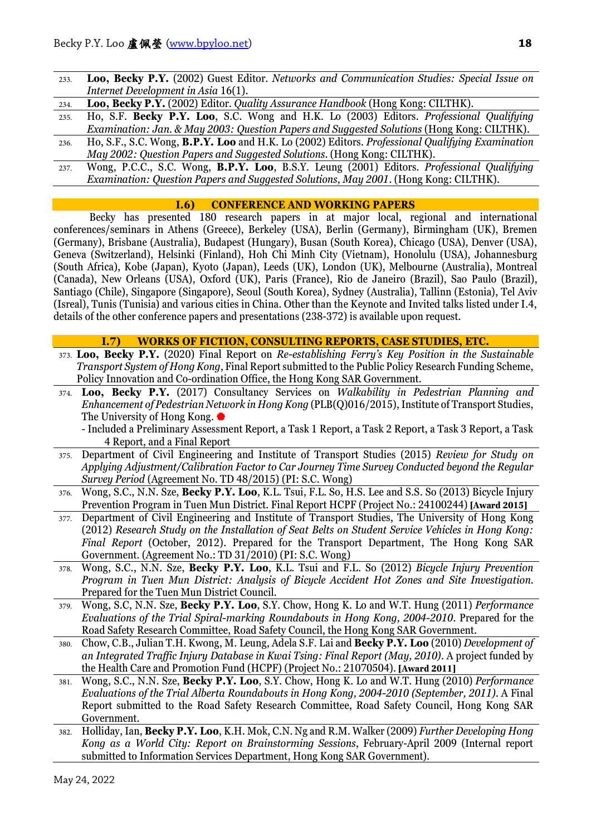- 233. **Loo, Becky P.Y.** (2002) Guest Editor. *Networks and Communication Studies: Special Issue on Internet Development in Asia* 16(1).
- 234. **Loo, Becky P.Y.** (2002) Editor. *Quality Assurance Handbook* (Hong Kong: CILTHK).
- 235. Ho, S.F. **Becky P.Y. Loo**, S.C. Wong and H.K. Lo (2003) Editors. *Professional Qualifying Examination: Jan. & May 2003: Question Papers and Suggested Solutions* (Hong Kong: CILTHK).
- 236. Ho, S.F., S.C. Wong, **B.P.Y. Loo** and H.K. Lo (2002) Editors. *Professional Qualifying Examination May 2002: Question Papers and Suggested Solutions.* (Hong Kong: CILTHK).
- 237. Wong, P.C.C., S.C. Wong, **B.P.Y. Loo**, B.S.Y. Leung (2001) Editors. *Professional Qualifying Examination: Question Papers and Suggested Solutions, May 2001*. (Hong Kong: CILTHK).

### **I.6) CONFERENCE AND WORKING PAPERS**

Becky has presented 180 research papers in at major local, regional and international conferences/seminars in Athens (Greece), Berkeley (USA), Berlin (Germany), Birmingham (UK), Bremen (Germany), Brisbane (Australia), Budapest (Hungary), Busan (South Korea), Chicago (USA), Denver (USA), Geneva (Switzerland), Helsinki (Finland), Hoh Chi Minh City (Vietnam), Honolulu (USA), Johannesburg (South Africa), Kobe (Japan), Kyoto (Japan), Leeds (UK), London (UK), Melbourne (Australia), Montreal (Canada), New Orleans (USA), Oxford (UK), Paris (France), Rio de Janeiro (Brazil), Sao Paulo (Brazil), Santiago (Chile), Singapore (Singapore), Seoul (South Korea), Sydney (Australia), Tallinn (Estonia), Tel Aviv (Isreal), Tunis (Tunisia) and various cities in China. Other than the Keynote and Invited talks listed under I.4, details of the other conference papers and presentations (238-372) is available upon request.

### **I.7) WORKS OF FICTION, CONSULTING REPORTS, CASE STUDIES, ETC.**

- 373. **Loo, Becky P.Y.** (2020) Final Report on *Re-establishing Ferry's Key Position in the Sustainable Transport System of Hong Kong*, Final Report submitted to the Public Policy Research Funding Scheme, Policy Innovation and Co-ordination Office, the Hong Kong SAR Government.
- 374. **Loo, Becky P.Y.** (2017) Consultancy Services on *Walkability in Pedestrian Planning and Enhancement of Pedestrian Network in Hong Kong* (PLB(Q)016/2015), Institute of Transport Studies, The University of Hong Kong.
	- Included a Preliminary Assessment Report, a Task 1 Report, a Task 2 Report, a Task 3 Report, a Task 4 Report, and a Final Report
- 375. Department of Civil Engineering and Institute of Transport Studies (2015) *Review for Study on Applying Adjustment/Calibration Factor to Car Journey Time Survey Conducted beyond the Regular Survey Period* (Agreement No. TD 48/2015) (PI: S.C. Wong)
- 376. Wong, S.C., N.N. Sze, **Becky P.Y. Loo**, K.L. Tsui, F.L. So, H.S. Lee and S.S. So (2013) Bicycle Injury Prevention Program in Tuen Mun District. Final Report HCPF (Project No.: 24100244) **[Award 2015]**
- 377. Department of Civil Engineering and Institute of Transport Studies, The University of Hong Kong (2012) *Research Study on the Installation of Seat Belts on Student Service Vehicles in Hong Kong: Final Report* (October, 2012). Prepared for the Transport Department, The Hong Kong SAR Government. (Agreement No.: TD 31/2010) (PI: S.C. Wong)
- 378. Wong, S.C., N.N. Sze, **Becky P.Y. Loo**, K.L. Tsui and F.L. So (2012) *Bicycle Injury Prevention Program in Tuen Mun District: Analysis of Bicycle Accident Hot Zones and Site Investigation*. Prepared for the Tuen Mun District Council.
- 379. Wong, S.C, N.N. Sze, **Becky P.Y. Loo**, S.Y. Chow, Hong K. Lo and W.T. Hung (2011) *Performance Evaluations of the Trial Spiral-marking Roundabouts in Hong Kong, 2004-2010*. Prepared for the Road Safety Research Committee, Road Safety Council, the Hong Kong SAR Government.
- 380. Chow, C.B., Julian T.H. Kwong, M. Leung, Adela S.F. Lai and **Becky P.Y. Loo** (2010) *Development of an Integrated Traffic Injury Database in Kwai Tsing: Final Report (May, 2010)*. A project funded by the Health Care and Promotion Fund (HCPF) (Project No.: 21070504). **[Award 2011]**
- 381. Wong, S.C., N.N. Sze, **Becky P.Y. Loo**, S.Y. Chow, Hong K. Lo and W.T. Hung (2010) *Performance Evaluations of the Trial Alberta Roundabouts in Hong Kong, 2004-2010 (September, 2011)*. A Final Report submitted to the Road Safety Research Committee, Road Safety Council, Hong Kong SAR Government.
- 382. Holliday, Ian, **Becky P.Y. Loo**, K.H. Mok, C.N. Ng and R.M. Walker (2009) *Further Developing Hong Kong as a World City: Report on Brainstorming Sessions*, February-April 2009 (Internal report submitted to Information Services Department, Hong Kong SAR Government).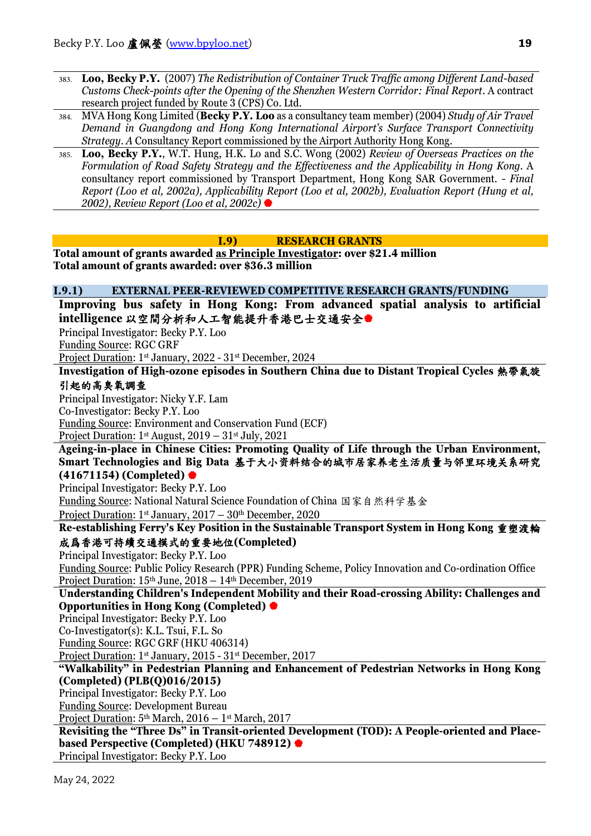- 383. **Loo, Becky P.Y.** (2007) *The Redistribution of Container Truck Traffic among Different Land-based Customs Check-points after the Opening of the Shenzhen Western Corridor: Final Report*. A contract research project funded by Route 3 (CPS) Co. Ltd.
- 384. MVA Hong Kong Limited (**Becky P.Y. Loo** as a consultancy team member) (2004) *Study of Air Travel Demand in Guangdong and Hong Kong International Airport's Surface Transport Connectivity Strategy*. *A* Consultancy Report commissioned by the Airport Authority Hong Kong.
- 385. **Loo, Becky P.Y.**, W.T. Hung, H.K. Lo and S.C. Wong (2002) *Review of Overseas Practices on the Formulation of Road Safety Strategy and the Effectiveness and the Applicability in Hong Kong.* A consultancy report commissioned by Transport Department, Hong Kong SAR Government. *- Final Report (Loo et al, 2002a), Applicability Report (Loo et al, 2002b), Evaluation Report (Hung et al, 2002), Review Report (Loo et al, 2002c)*

# **I.9) RESEARCH GRANTS**

**Total amount of grants awarded as Principle Investigator: over \$21.4 million Total amount of grants awarded: over \$36.3 million**

### **I.9.1) EXTERNAL PEER-REVIEWED COMPETITIVE RESEARCH GRANTS/FUNDING**

**Improving bus safety in Hong Kong: From advanced spatial analysis to artificial intelligence** 以空間分析和人工智能提升香港巴士交通安全

Principal Investigator: Becky P.Y. Loo

Funding Source: RGC GRF

Project Duration: 1st January, 2022 - 31st December, 2024

**Investigation of High-ozone episodes in Southern China due to Distant Tropical Cycles** 熱帶氣旋

# 引起的高臭氧調查

Principal Investigator: Nicky Y.F. Lam Co-Investigator: Becky P.Y. Loo Funding Source: Environment and Conservation Fund (ECF) Project Duration: 1<sup>st</sup> August, 2019 – 31<sup>st</sup> July, 2021

**Ageing-in-place in Chinese Cities: Promoting Quality of Life through the Urban Environment, Smart Technologies and Big Data** 基于大小资料结合的城市居家养老生活质量与邻里环境关系研究 **(41671154) (Completed)**

Principal Investigator: Becky P.Y. Loo

Funding Source: National Natural Science Foundation of China 国家自然科学基金

Project Duration:  $1<sup>st</sup>$  January,  $2017 - 30<sup>th</sup>$  December, 2020

**Re-establishing Ferry's Key Position in the Sustainable Transport System in Hong Kong** 重塑渡輪 成爲香港可持續交通模式的重要地位**(Completed)**

Principal Investigator: Becky P.Y. Loo

Funding Source: Public Policy Research (PPR) Funding Scheme, Policy Innovation and Co-ordination Office Project Duration: 15th June, 2018 – 14th December, 2019

**Understanding Children's Independent Mobility and their Road-crossing Ability: Challenges and Opportunities in Hong Kong (Completed)**

Principal Investigator: Becky P.Y. Loo

Co-Investigator(s): K.L. Tsui, F.L. So

Funding Source: RGC GRF (HKU 406314)

Project Duration: 1st January, 2015 - 31st December, 2017

**"Walkability" in Pedestrian Planning and Enhancement of Pedestrian Networks in Hong Kong (Completed) (PLB(Q)016/2015)**

Principal Investigator: Becky P.Y. Loo

Funding Source: Development Bureau

Project Duration:  $5<sup>th</sup> March, 2016 - 1<sup>st</sup> March, 2017$ 

**Revisiting the "Three Ds" in Transit-oriented Development (TOD): A People-oriented and Placebased Perspective (Completed) (HKU 748912)** Principal Investigator: Becky P.Y. Loo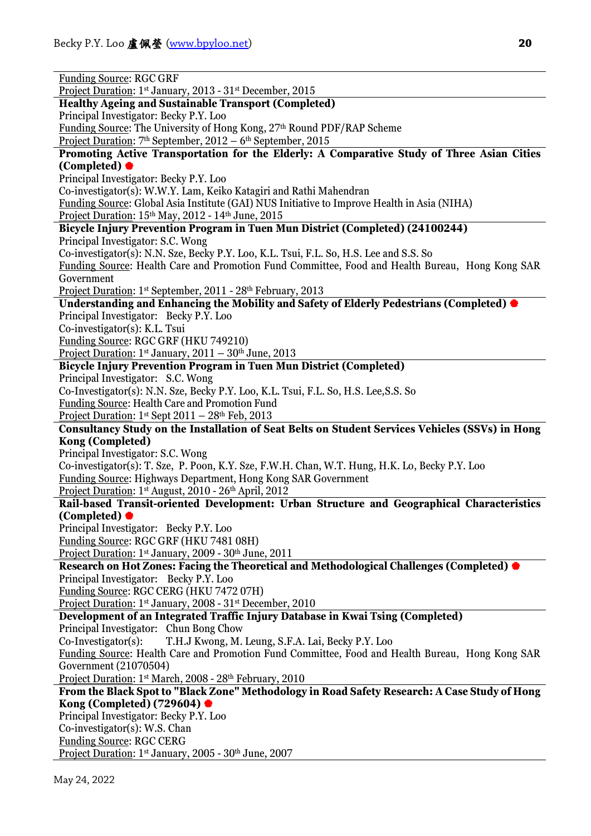| <b>Funding Source: RGC GRF</b>                                                                                                                                                   |
|----------------------------------------------------------------------------------------------------------------------------------------------------------------------------------|
|                                                                                                                                                                                  |
| Project Duration: 1 <sup>st</sup> January, 2013 - 31 <sup>st</sup> December, 2015                                                                                                |
| <b>Healthy Ageing and Sustainable Transport (Completed)</b>                                                                                                                      |
| Principal Investigator: Becky P.Y. Loo                                                                                                                                           |
| Funding Source: The University of Hong Kong, 27th Round PDF/RAP Scheme                                                                                                           |
| Project Duration: 7 <sup>th</sup> September, 2012 - 6 <sup>th</sup> September, 2015                                                                                              |
| Promoting Active Transportation for the Elderly: A Comparative Study of Three Asian Cities                                                                                       |
| (Completed) ●                                                                                                                                                                    |
| Principal Investigator: Becky P.Y. Loo                                                                                                                                           |
| Co-investigator(s): W.W.Y. Lam, Keiko Katagiri and Rathi Mahendran                                                                                                               |
| Funding Source: Global Asia Institute (GAI) NUS Initiative to Improve Health in Asia (NIHA)                                                                                      |
| Project Duration: 15 <sup>th</sup> May, 2012 - 14 <sup>th</sup> June, 2015                                                                                                       |
| Bicycle Injury Prevention Program in Tuen Mun District (Completed) (24100244)                                                                                                    |
| Principal Investigator: S.C. Wong                                                                                                                                                |
| Co-investigator(s): N.N. Sze, Becky P.Y. Loo, K.L. Tsui, F.L. So, H.S. Lee and S.S. So                                                                                           |
| Funding Source: Health Care and Promotion Fund Committee, Food and Health Bureau, Hong Kong SAR                                                                                  |
| Government                                                                                                                                                                       |
| Project Duration: 1st September, 2011 - 28th February, 2013                                                                                                                      |
| Understanding and Enhancing the Mobility and Safety of Elderly Pedestrians (Completed)                                                                                           |
| Principal Investigator: Becky P.Y. Loo                                                                                                                                           |
| Co-investigator(s): K.L. Tsui                                                                                                                                                    |
| Funding Source: RGC GRF (HKU 749210)                                                                                                                                             |
| Project Duration: $1st$ January, $2011 - 30th$ June, 2013                                                                                                                        |
| Bicycle Injury Prevention Program in Tuen Mun District (Completed)<br>Principal Investigator: S.C. Wong                                                                          |
| Co-Investigator(s): N.N. Sze, Becky P.Y. Loo, K.L. Tsui, F.L. So, H.S. Lee, S.S. So                                                                                              |
| <b>Funding Source: Health Care and Promotion Fund</b>                                                                                                                            |
| Project Duration: $1^{st}$ Sept 2011 – 28 <sup>th</sup> Feb, 2013                                                                                                                |
| Consultancy Study on the Installation of Seat Belts on Student Services Vehicles (SSVs) in Hong                                                                                  |
|                                                                                                                                                                                  |
|                                                                                                                                                                                  |
| <b>Kong (Completed)</b>                                                                                                                                                          |
| Principal Investigator: S.C. Wong                                                                                                                                                |
| Co-investigator(s): T. Sze, P. Poon, K.Y. Sze, F.W.H. Chan, W.T. Hung, H.K. Lo, Becky P.Y. Loo                                                                                   |
| Funding Source: Highways Department, Hong Kong SAR Government                                                                                                                    |
| Project Duration: 1st August, 2010 - 26th April, 2012                                                                                                                            |
| Rail-based Transit-oriented Development: Urban Structure and Geographical Characteristics                                                                                        |
| (Completed) $\bullet$                                                                                                                                                            |
| Principal Investigator: Becky P.Y. Loo                                                                                                                                           |
| Funding Source: RGC GRF (HKU 7481 08H)                                                                                                                                           |
| Project Duration: 1st January, 2009 - 30th June, 2011                                                                                                                            |
| Research on Hot Zones: Facing the Theoretical and Methodological Challenges (Completed) $\bullet$                                                                                |
| Principal Investigator: Becky P.Y. Loo                                                                                                                                           |
| Funding Source: RGC CERG (HKU 7472 07H)                                                                                                                                          |
| Project Duration: 1 <sup>st</sup> January, 2008 - 31 <sup>st</sup> December, 2010                                                                                                |
| Development of an Integrated Traffic Injury Database in Kwai Tsing (Completed)                                                                                                   |
| Principal Investigator: Chun Bong Chow                                                                                                                                           |
| T.H.J Kwong, M. Leung, S.F.A. Lai, Becky P.Y. Loo<br>$Co\text{-}Investigator(s):$                                                                                                |
| Funding Source: Health Care and Promotion Fund Committee, Food and Health Bureau, Hong Kong SAR<br>Government (21070504)                                                         |
|                                                                                                                                                                                  |
| Project Duration: 1 <sup>st</sup> March, 2008 - 28 <sup>th</sup> February, 2010<br>From the Black Spot to "Black Zone" Methodology in Road Safety Research: A Case Study of Hong |
| Kong (Completed) (729604) $\bullet$                                                                                                                                              |
| Principal Investigator: Becky P.Y. Loo                                                                                                                                           |
| Co-investigator(s): W.S. Chan                                                                                                                                                    |
| <b>Funding Source: RGC CERG</b>                                                                                                                                                  |
| Project Duration: 1st January, 2005 - 30th June, 2007                                                                                                                            |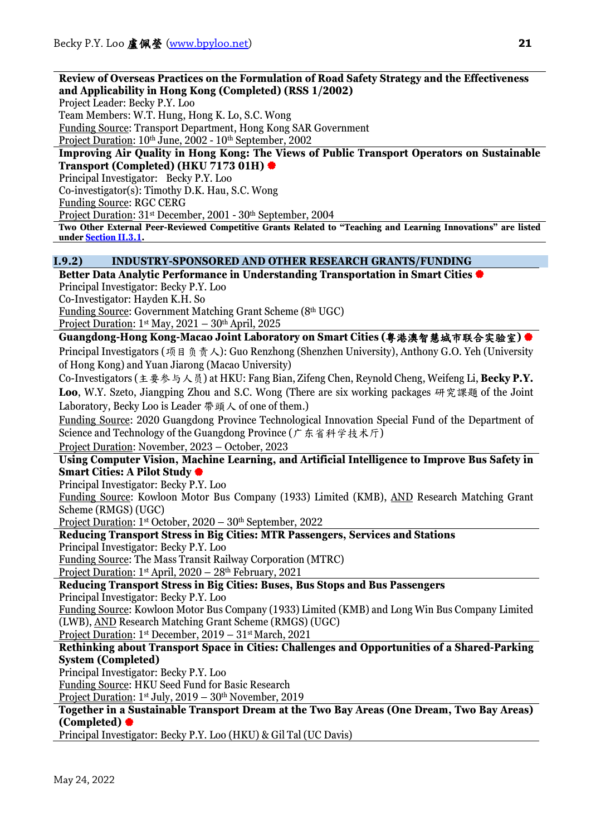### **Review of Overseas Practices on the Formulation of Road Safety Strategy and the Effectiveness and Applicability in Hong Kong (Completed) (RSS 1/2002)**

Project Leader: Becky P.Y. Loo

Team Members: W.T. Hung, Hong K. Lo, S.C. Wong

Funding Source: Transport Department, Hong Kong SAR Government

Project Duration: 10<sup>th</sup> June, 2002 - 10<sup>th</sup> September, 2002

#### **Improving Air Quality in Hong Kong: The Views of Public Transport Operators on Sustainable Transport (Completed) (HKU 7173 01H)**

Principal Investigator: Becky P.Y. Loo

Co-investigator(s): Timothy D.K. Hau, S.C. Wong

Funding Source: RGC CERG

Project Duration: 31st December, 2001 - 30th September, 2004

**Two Other External Peer-Reviewed Competitive Grants Related to "Teaching and Learning Innovations" are listed unde[r Section II.3.1.](#page-27-0)**

# **I.9.2) INDUSTRY-SPONSORED AND OTHER RESEARCH GRANTS/FUNDING**

**Better Data Analytic Performance in Understanding Transportation in Smart Cities** Principal Investigator: Becky P.Y. Loo

Co-Investigator: Hayden K.H. So

Funding Source: Government Matching Grant Scheme (8th UGC) Project Duration:  $1<sup>st</sup>$  May,  $2021 - 30<sup>th</sup>$  April, 2025

**Guangdong-Hong Kong-Macao Joint Laboratory on Smart Cities (**粤港澳智慧城市联合实验室**)** 

Principal Investigators (项目负责人): Guo Renzhong (Shenzhen University), Anthony G.O. Yeh (University of Hong Kong) and Yuan Jiarong (Macao University)

Co-Investigators (主要参与人员) at HKU: Fang Bian, Zifeng Chen, Reynold Cheng, Weifeng Li, **Becky P.Y. Loo**, W.Y. Szeto, Jiangping Zhou and S.C. Wong (There are six working packages 研究課題 of the Joint Laboratory, Becky Loo is Leader 帶頭人 of one of them.)

Funding Source: 2020 Guangdong Province Technological Innovation Special Fund of the Department of Science and Technology of the Guangdong Province (广东省科学技术厅)

Project Duration: November, 2023 – October, 2023

**Using Computer Vision, Machine Learning, and Artificial Intelligence to Improve Bus Safety in Smart Cities: A Pilot Study**

Principal Investigator: Becky P.Y. Loo

Funding Source: Kowloon Motor Bus Company (1933) Limited (KMB), AND Research Matching Grant Scheme (RMGS) (UGC)

Project Duration: 1st October, 2020 – 30th September, 2022

**Reducing Transport Stress in Big Cities: MTR Passengers, Services and Stations**

Principal Investigator: Becky P.Y. Loo

Funding Source: The Mass Transit Railway Corporation (MTRC)

Project Duration: 1st April, 2020 – 28th February, 2021

**Reducing Transport Stress in Big Cities: Buses, Bus Stops and Bus Passengers** Principal Investigator: Becky P.Y. Loo

Funding Source: Kowloon Motor Bus Company (1933) Limited (KMB) and Long Win Bus Company Limited (LWB), AND Research Matching Grant Scheme (RMGS) (UGC)

Project Duration: 1<sup>st</sup> December, 2019 – 31<sup>st</sup> March, 2021

# **Rethinking about Transport Space in Cities: Challenges and Opportunities of a Shared-Parking System (Completed)**

Principal Investigator: Becky P.Y. Loo

Funding Source: HKU Seed Fund for Basic Research

Project Duration: 1st July, 2019 - 30th November, 2019

# **Together in a Sustainable Transport Dream at the Two Bay Areas (One Dream, Two Bay Areas) (Completed)**

Principal Investigator: Becky P.Y. Loo (HKU) & Gil Tal (UC Davis)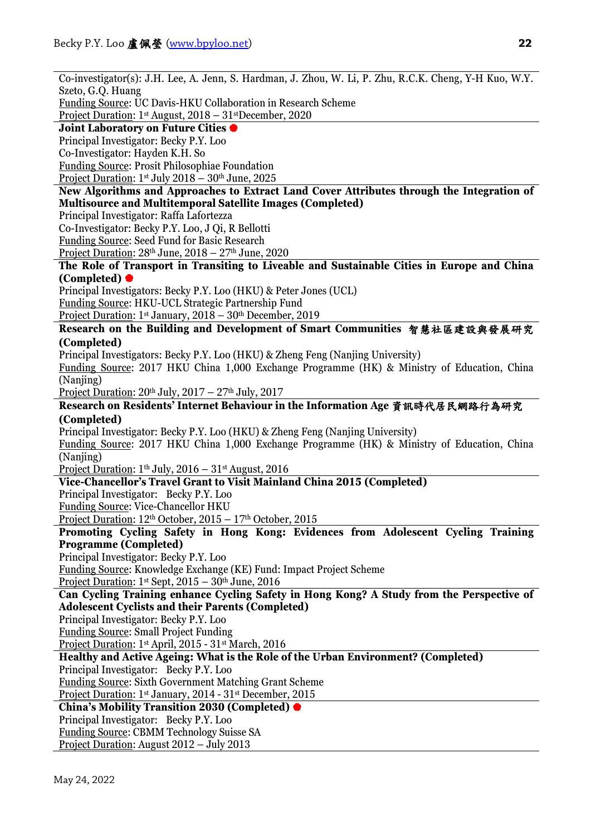Co-investigator(s): J.H. Lee, A. Jenn, S. Hardman, J. Zhou, W. Li, P. Zhu, R.C.K. Cheng, Y-H Kuo, W.Y. Szeto, G.Q. Huang Funding Source: UC Davis-HKU Collaboration in Research Scheme Project Duration: 1st August, 2018 – 31stDecember, 2020 **Joint Laboratory on Future Cities** Principal Investigator: Becky P.Y. Loo Co-Investigator: Hayden K.H. So Funding Source: Prosit Philosophiae Foundation Project Duration: 1st July 2018 – 30th June, 2025 **New Algorithms and Approaches to Extract Land Cover Attributes through the Integration of Multisource and Multitemporal Satellite Images (Completed)** Principal Investigator: Raffa Lafortezza Co-Investigator: Becky P.Y. Loo, J Qi, R Bellotti Funding Source: Seed Fund for Basic Research Project Duration:  $28<sup>th</sup>$  June,  $2018 - 27<sup>th</sup>$  June,  $2020$ **The Role of Transport in Transiting to Liveable and Sustainable Cities in Europe and China (Completed)** Principal Investigators: Becky P.Y. Loo (HKU) & Peter Jones (UCL) Funding Source: HKU-UCL Strategic Partnership Fund Project Duration: 1<sup>st</sup> January, 2018 – 30<sup>th</sup> December, 2019 **Research on the Building and Development of Smart Communities** 智慧社區建設與發展研究 **(Completed)** Principal Investigators: Becky P.Y. Loo (HKU) & Zheng Feng (Nanjing University) Funding Source: 2017 HKU China 1,000 Exchange Programme (HK) & Ministry of Education, China (Naniing) Project Duration:  $20<sup>th</sup>$  July,  $2017 - 27<sup>th</sup>$  July,  $2017$ **Research on Residents' Internet Behaviour in the Information Age** 資訊時代居民網路行為研究 **(Completed)** Principal Investigator: Becky P.Y. Loo (HKU) & Zheng Feng (Nanjing University) Funding Source: 2017 HKU China 1,000 Exchange Programme (HK) & Ministry of Education, China (Naniing) Project Duration:  $1<sup>th</sup>$  July,  $2016 - 31<sup>st</sup>$  August,  $2016$ **Vice-Chancellor's Travel Grant to Visit Mainland China 2015 (Completed)** Principal Investigator: Becky P.Y. Loo Funding Source: Vice-Chancellor HKU Project Duration: 12<sup>th</sup> October, 2015 – 17<sup>th</sup> October, 2015 **Promoting Cycling Safety in Hong Kong: Evidences from Adolescent Cycling Training Programme (Completed)** Principal Investigator: Becky P.Y. Loo Funding Source: Knowledge Exchange (KE) Fund: Impact Project Scheme Project Duration:  $1^{st}$  Sept,  $2015 - 30^{th}$  June,  $2016$ **Can Cycling Training enhance Cycling Safety in Hong Kong? A Study from the Perspective of Adolescent Cyclists and their Parents (Completed)** Principal Investigator: Becky P.Y. Loo Funding Source: Small Project Funding Project Duration: 1st April, 2015 - 31st March, 2016 **Healthy and Active Ageing: What is the Role of the Urban Environment? (Completed)** Principal Investigator: Becky P.Y. Loo Funding Source: Sixth Government Matching Grant Scheme Project Duration: 1st January, 2014 - 31st December, 2015 **China's Mobility Transition 2030 (Completed)** Principal Investigator: Becky P.Y. Loo Funding Source: CBMM Technology Suisse SA Project Duration: August 2012 – July 2013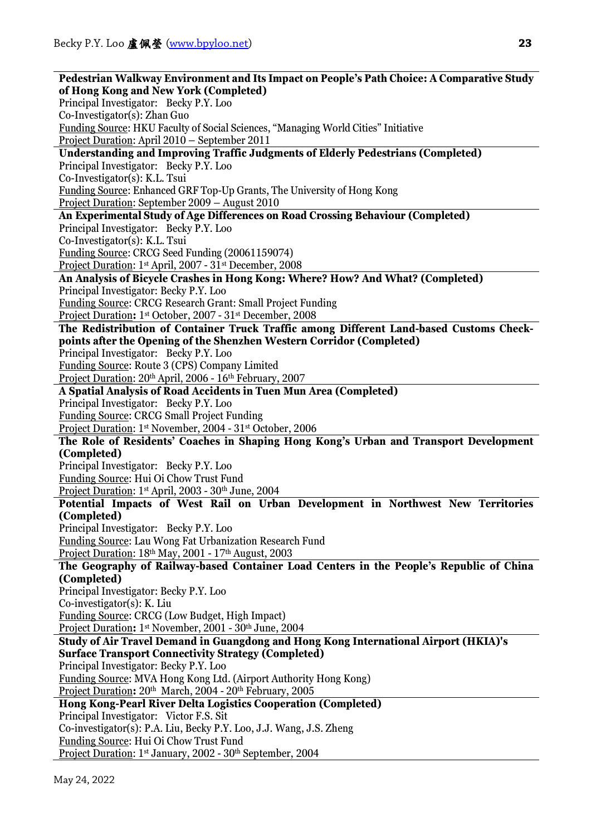**Pedestrian Walkway Environment and Its Impact on People's Path Choice: A Comparative Study of Hong Kong and New York (Completed)** Principal Investigator: Becky P.Y. Loo Co-Investigator(s): Zhan Guo Funding Source: HKU Faculty of Social Sciences, "Managing World Cities" Initiative Project Duration: April 2010 – September 2011 **Understanding and Improving Traffic Judgments of Elderly Pedestrians (Completed)** Principal Investigator: Becky P.Y. Loo Co-Investigator(s): K.L. Tsui Funding Source: Enhanced GRF Top-Up Grants, The University of Hong Kong Project Duration: September 2009 – August 2010 **An Experimental Study of Age Differences on Road Crossing Behaviour (Completed)** Principal Investigator: Becky P.Y. Loo Co-Investigator(s): K.L. Tsui Funding Source: CRCG Seed Funding (20061159074) Project Duration: 1st April, 2007 - 31st December, 2008 **An Analysis of Bicycle Crashes in Hong Kong: Where? How? And What? (Completed)** Principal Investigator: Becky P.Y. Loo Funding Source: CRCG Research Grant: Small Project Funding Project Duration**:** 1st October, 2007 - 31st December, 2008 **The Redistribution of Container Truck Traffic among Different Land-based Customs Checkpoints after the Opening of the Shenzhen Western Corridor (Completed)** Principal Investigator: Becky P.Y. Loo Funding Source: Route 3 (CPS) Company Limited Project Duration: 20th April, 2006 - 16th February, 2007 **A Spatial Analysis of Road Accidents in Tuen Mun Area (Completed)** Principal Investigator: Becky P.Y. Loo Funding Source: CRCG Small Project Funding Project Duration: 1st November, 2004 - 31st October, 2006 **The Role of Residents' Coaches in Shaping Hong Kong's Urban and Transport Development (Completed)** Principal Investigator: Becky P.Y. Loo Funding Source: Hui Oi Chow Trust Fund Project Duration: 1st April, 2003 - 30th June, 2004 **Potential Impacts of West Rail on Urban Development in Northwest New Territories (Completed)** Principal Investigator: Becky P.Y. Loo Funding Source: Lau Wong Fat Urbanization Research Fund Project Duration: 18<sup>th</sup> May, 2001 - 17<sup>th</sup> August, 2003 **The Geography of Railway-based Container Load Centers in the People's Republic of China (Completed)** Principal Investigator: Becky P.Y. Loo Co-investigator(s): K. Liu Funding Source: CRCG (Low Budget, High Impact) Project Duration: 1<sup>st</sup> November, 2001 - 30<sup>th</sup> June, 2004 **Study of Air Travel Demand in Guangdong and Hong Kong International Airport (HKIA)'s Surface Transport Connectivity Strategy (Completed)** Principal Investigator: Becky P.Y. Loo Funding Source: MVA Hong Kong Ltd. (Airport Authority Hong Kong) Project Duration**:** 20th March, 2004 - 20th February, 2005 **Hong Kong-Pearl River Delta Logistics Cooperation (Completed)** Principal Investigator: Victor F.S. Sit Co-investigator(s): P.A. Liu, Becky P.Y. Loo, J.J. Wang, J.S. Zheng Funding Source: Hui Oi Chow Trust Fund Project Duration: 1<sup>st</sup> January, 2002 - 30<sup>th</sup> September, 2004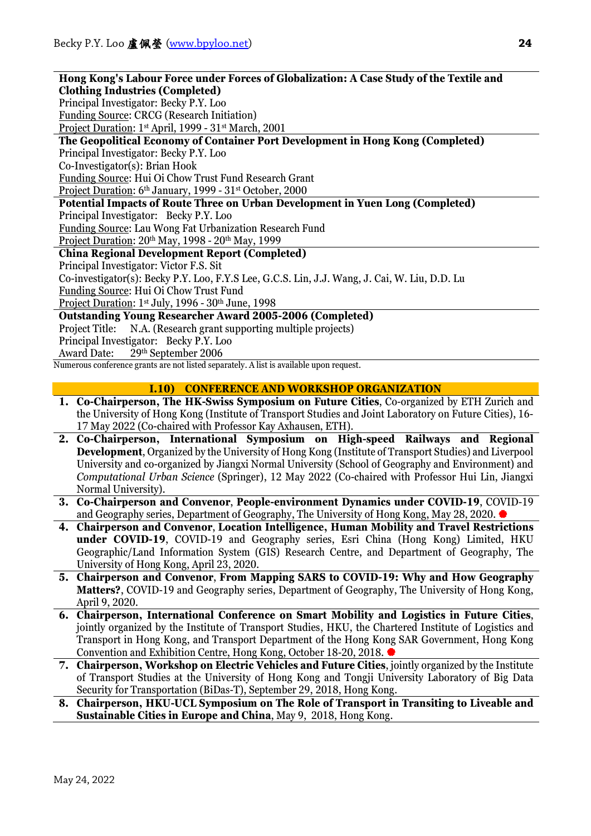| Hong Kong's Labour Force under Forces of Globalization: A Case Study of the Textile and       |  |  |
|-----------------------------------------------------------------------------------------------|--|--|
| <b>Clothing Industries (Completed)</b>                                                        |  |  |
| Principal Investigator: Becky P.Y. Loo                                                        |  |  |
| <b>Funding Source: CRCG (Research Initiation)</b>                                             |  |  |
| Project Duration: 1st April, 1999 - 31st March, 2001                                          |  |  |
| The Geopolitical Economy of Container Port Development in Hong Kong (Completed)               |  |  |
| Principal Investigator: Becky P.Y. Loo                                                        |  |  |
| Co-Investigator(s): Brian Hook                                                                |  |  |
| <b>Funding Source: Hui Oi Chow Trust Fund Research Grant</b>                                  |  |  |
| Project Duration: 6 <sup>th</sup> January, 1999 - 31 <sup>st</sup> October, 2000              |  |  |
| Potential Impacts of Route Three on Urban Development in Yuen Long (Completed)                |  |  |
| Principal Investigator: Becky P.Y. Loo                                                        |  |  |
| Funding Source: Lau Wong Fat Urbanization Research Fund                                       |  |  |
| Project Duration: 20th May, 1998 - 20th May, 1999                                             |  |  |
| <b>China Regional Development Report (Completed)</b>                                          |  |  |
| Principal Investigator: Victor F.S. Sit                                                       |  |  |
| Co-investigator(s): Becky P.Y. Loo, F.Y.S Lee, G.C.S. Lin, J.J. Wang, J. Cai, W. Liu, D.D. Lu |  |  |
| Funding Source: Hui Oi Chow Trust Fund                                                        |  |  |
| Project Duration: 1 <sup>st</sup> July, 1996 - 30 <sup>th</sup> June, 1998                    |  |  |
| <b>Outstanding Young Researcher Award 2005-2006 (Completed)</b>                               |  |  |
| Project Title: N.A. (Research grant supporting multiple projects)                             |  |  |
| Principal Investigator: Becky P.Y. Loo                                                        |  |  |
| Award Date: 29th September 2006                                                               |  |  |
| Numerous conference grants are not listed separately. A list is available upon request.       |  |  |
|                                                                                               |  |  |

### **I.10) CONFERENCE AND WORKSHOP ORGANIZATION**

- **1. Co-Chairperson, The HK-Swiss Symposium on Future Cities**, Co-organized by ETH Zurich and the University of Hong Kong (Institute of Transport Studies and Joint Laboratory on Future Cities), 16- 17 May 2022 (Co-chaired with Professor Kay Axhausen, ETH).
- **2. Co-Chairperson, International Symposium on High-speed Railways and Regional Development**, Organized by the University of Hong Kong (Institute of Transport Studies) and Liverpool University and co-organized by Jiangxi Normal University (School of Geography and Environment) and *Computational Urban Science* (Springer), 12 May 2022 (Co-chaired with Professor Hui Lin, Jiangxi Normal University).
- **3. Co-Chairperson and Convenor**, **People-environment Dynamics under COVID-19**, COVID-19 and Geography series, Department of Geography, The University of Hong Kong, May 28, 2020.
- **4. Chairperson and Convenor**, **Location Intelligence, Human Mobility and Travel Restrictions under COVID-19**, COVID-19 and Geography series, Esri China (Hong Kong) Limited, HKU Geographic/Land Information System (GIS) Research Centre, and Department of Geography, The University of Hong Kong, April 23, 2020.
- **5. Chairperson and Convenor**, **From Mapping SARS to COVID-19: Why and How Geography Matters?**, COVID-19 and Geography series, Department of Geography, The University of Hong Kong, April 9, 2020.
- **6. Chairperson, International Conference on Smart Mobility and Logistics in Future Cities**, jointly organized by the Institute of Transport Studies, HKU, the Chartered Institute of Logistics and Transport in Hong Kong, and Transport Department of the Hong Kong SAR Government, Hong Kong Convention and Exhibition Centre, Hong Kong, October 18-20, 2018.
- **7. Chairperson, Workshop on Electric Vehicles and Future Cities**, jointly organized by the Institute of Transport Studies at the University of Hong Kong and Tongji University Laboratory of Big Data Security for Transportation (BiDas-T), September 29, 2018, Hong Kong.
- **8. Chairperson, HKU-UCL Symposium on The Role of Transport in Transiting to Liveable and Sustainable Cities in Europe and China**, May 9, 2018, Hong Kong.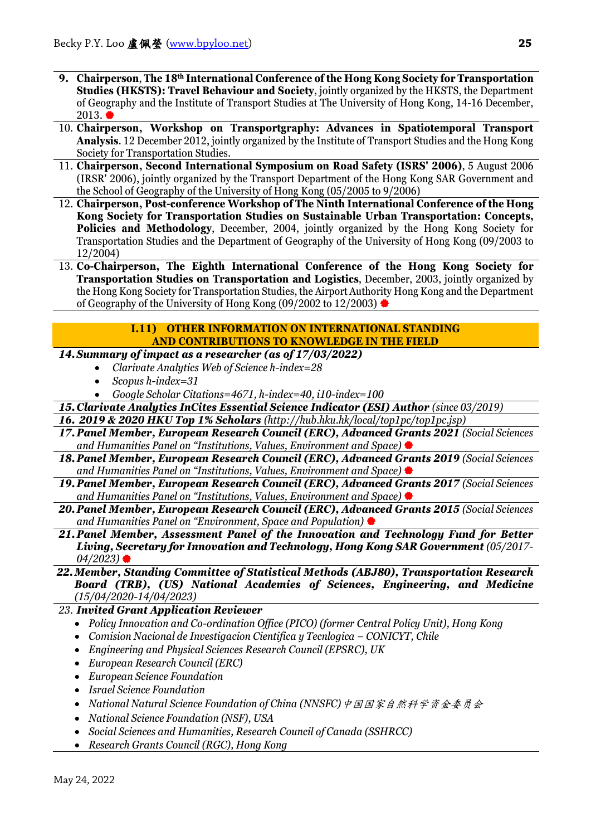- **9. Chairperson**, **The 18th International Conference of the Hong Kong Society for Transportation Studies (HKSTS): Travel Behaviour and Society**, jointly organized by the HKSTS, the Department of Geography and the Institute of Transport Studies at The University of Hong Kong, 14-16 December,  $2013.$
- 10. **Chairperson, Workshop on Transportgraphy: Advances in Spatiotemporal Transport Analysis**. 12 December 2012, jointly organized by the Institute of Transport Studies and the Hong Kong Society for Transportation Studies.
- 11. **Chairperson, Second International Symposium on Road Safety (ISRS' 2006)**, 5 August 2006 (IRSR' 2006), jointly organized by the Transport Department of the Hong Kong SAR Government and the School of Geography of the University of Hong Kong (05/2005 to 9/2006)
- 12. **Chairperson, Post-conference Workshop of The Ninth International Conference of the Hong Kong Society for Transportation Studies on Sustainable Urban Transportation: Concepts, Policies and Methodology**, December, 2004, jointly organized by the Hong Kong Society for Transportation Studies and the Department of Geography of the University of Hong Kong (09/2003 to 12/2004)
- 13. **Co-Chairperson, The Eighth International Conference of the Hong Kong Society for Transportation Studies on Transportation and Logistics**, December, 2003, jointly organized by the Hong Kong Society for Transportation Studies, the Airport Authority Hong Kong and the Department of Geography of the University of Hong Kong (09/2002 to 12/2003)

# **I.11) OTHER INFORMATION ON INTERNATIONAL STANDING AND CONTRIBUTIONS TO KNOWLEDGE IN THE FIELD**

# *14.Summary of impact as a researcher (as of 17/03/2022)*

- *Clarivate Analytics Web of Science h-index=28*
- *Scopus h-index=31*
- *Google Scholar Citations=4671, h-index=40, i10-index=100*
- **15. Clarivate Analytics InCites Essential Science Indicator (ESI) Author (since 03/2019)**
- *16. 2019 & 2020 HKU Top 1% Scholars (http://hub.hku.hk/local/top1pc/top1pc.jsp)*
- *17.Panel Member, European Research Council (ERC), Advanced Grants 2021 (Social Sciences and Humanities Panel on "Institutions, Values, Environment and Space)*
- 18. Panel Member, European Research Council (ERC), Advanced Grants 2019 (Social Sciences *and Humanities Panel on "Institutions, Values, Environment and Space)*
- *19.Panel Member, European Research Council (ERC), Advanced Grants 2017 (Social Sciences and Humanities Panel on "Institutions, Values, Environment and Space)*
- *20.Panel Member, European Research Council (ERC), Advanced Grants 2015 (Social Sciences and Humanities Panel on "Environment, Space and Population)*
- *21.Panel Member, Assessment Panel of the Innovation and Technology Fund for Better Living, Secretary for Innovation and Technology, Hong Kong SAR Government (05/2017- 04/2023)*
- *22.Member, Standing Committee of Statistical Methods (ABJ80), Transportation Research Board (TRB), (US) National Academies of Sciences, Engineering, and Medicine (15/04/2020-14/04/2023)*
- *23. Invited Grant Application Reviewer* 
	- *Policy Innovation and Co-ordination Office (PICO) (former Central Policy Unit), Hong Kong*
	- *Comision Nacional de Investigacion Cientifica y Tecnlogica – CONICYT, Chile*
	- *Engineering and Physical Sciences Research Council (EPSRC), UK*
	- *European Research Council (ERC)*
	- *European Science Foundation*
	- *Israel Science Foundation*
	- *National Natural Science Foundation of China (NNSFC)*中国国家自然科学资金委员会
	- *National Science Foundation (NSF), USA*
	- *Social Sciences and Humanities, Research Council of Canada (SSHRCC)*
	- *Research Grants Council (RGC), Hong Kong*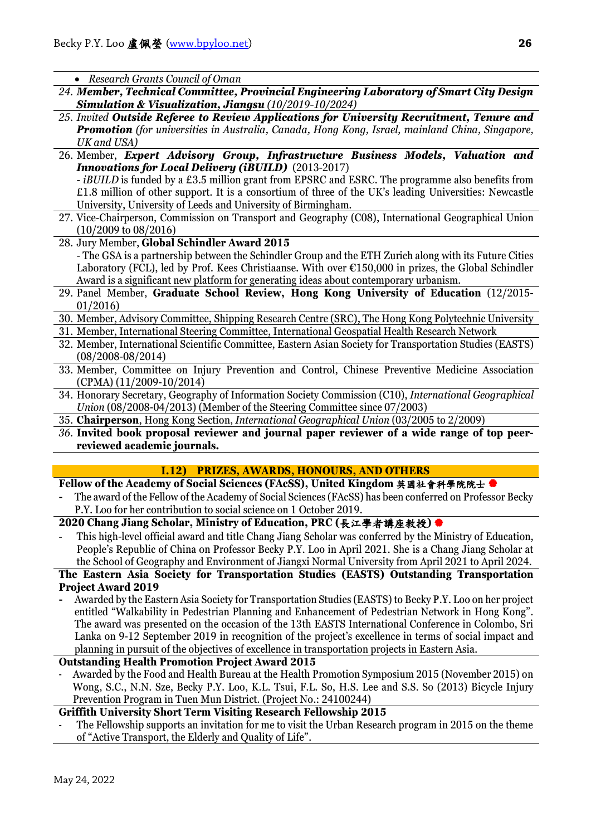• *Research Grants Council of Oman*

- *24. Member, Technical Committee, Provincial Engineering Laboratory of Smart City Design Simulation & Visualization, Jiangsu (10/2019-10/2024)*
- *25. Invited Outside Referee to Review Applications for University Recruitment, Tenure and Promotion (for universities in Australia, Canada, Hong Kong, Israel, mainland China, Singapore, UK and USA)*
- 26. Member, *Expert Advisory Group, Infrastructure Business Models, Valuation and Innovations for Local Delivery (iBUILD)* (2013-2017) - *iBUILD* is funded by a £3.5 million grant from EPSRC and ESRC. The programme also benefits from £1.8 million of other support. It is a consortium of three of the UK's leading Universities: Newcastle
- University, University of Leeds and University of Birmingham.
- 27. Vice-Chairperson, Commission on Transport and Geography (C08), International Geographical Union (10/2009 to 08/2016)
- 28. Jury Member, **Global Schindler Award 2015** - The GSA is a partnership between the Schindler Group and the ETH Zurich along with its Future Cities Laboratory (FCL), led by Prof. Kees Christiaanse. With over €150,000 in prizes, the Global Schindler Award is a significant new platform for generating ideas about contemporary urbanism.
- 29. Panel Member, **Graduate School Review, Hong Kong University of Education** (12/2015- 01/2016)
- 30. Member, Advisory Committee, Shipping Research Centre (SRC), The Hong Kong Polytechnic University
- 31. Member, International Steering Committee, International Geospatial Health Research Network
- 32. Member, International Scientific Committee, Eastern Asian Society for Transportation Studies (EASTS) (08/2008-08/2014)
- 33. Member, Committee on Injury Prevention and Control, Chinese Preventive Medicine Association (CPMA) (11/2009-10/2014)
- 34. Honorary Secretary, Geography of Information Society Commission (C10), *International Geographical Union* (08/2008-04/2013) (Member of the Steering Committee since 07/2003)
- 35. **Chairperson**, Hong Kong Section, *International Geographical Union* (03/2005 to 2/2009)
- *36.* **Invited book proposal reviewer and journal paper reviewer of a wide range of top peerreviewed academic journals.**

# **I.12) PRIZES, AWARDS, HONOURS, AND OTHERS**

- **Fellow of the Academy of Social Sciences (FAcSS), United Kingdom 英國社會科學院院士●**
- **-** The award of the Fellow of the Academy of Social Sciences (FAcSS) has been conferred on Professor Becky P.Y. Loo for her contribution to social science on 1 October 2019.

# **2020 Chang Jiang Scholar, Ministry of Education, PRC (**長江學者講座教授**)**

This high-level official award and title Chang Jiang Scholar was conferred by the Ministry of Education, People's Republic of China on Professor Becky P.Y. Loo in April 2021. She is a Chang Jiang Scholar at the School of Geography and Environment of Jiangxi Normal University from April 2021 to April 2024.

### **The Eastern Asia Society for Transportation Studies (EASTS) Outstanding Transportation Project Award 2019**

**-** Awarded by the Eastern Asia Society for Transportation Studies (EASTS) to Becky P.Y. Loo on her project entitled "Walkability in Pedestrian Planning and Enhancement of Pedestrian Network in Hong Kong". The award was presented on the occasion of the 13th EASTS International Conference in Colombo, Sri Lanka on 9-12 September 2019 in recognition of the project's excellence in terms of social impact and planning in pursuit of the objectives of excellence in transportation projects in Eastern Asia.

# **Outstanding Health Promotion Project Award 2015**

- Awarded by the Food and Health Bureau at the Health Promotion Symposium 2015 (November 2015) on Wong, S.C., N.N. Sze, Becky P.Y. Loo, K.L. Tsui, F.L. So, H.S. Lee and S.S. So (2013) Bicycle Injury Prevention Program in Tuen Mun District. (Project No.: 24100244)

# **Griffith University Short Term Visiting Research Fellowship 2015**

The Fellowship supports an invitation for me to visit the Urban Research program in 2015 on the theme of "Active Transport, the Elderly and Quality of Life".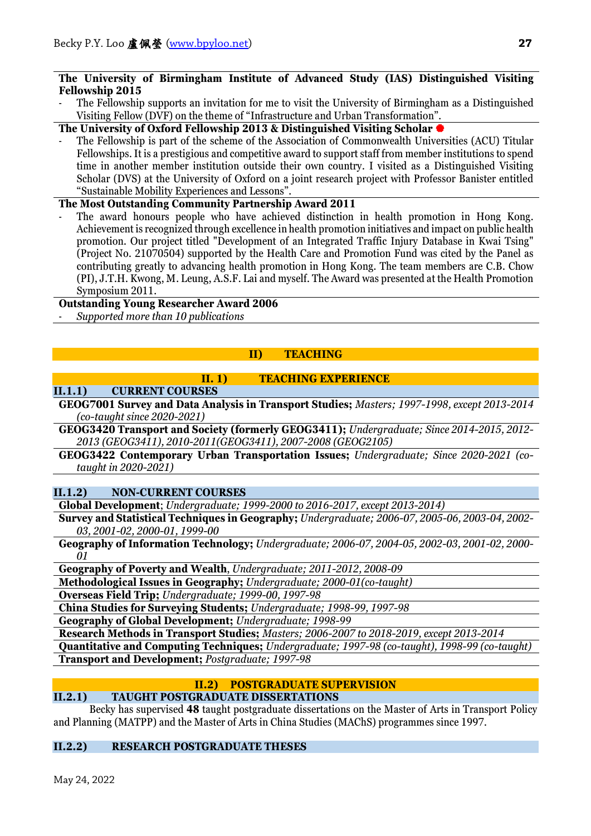### **The University of Birmingham Institute of Advanced Study (IAS) Distinguished Visiting Fellowship 2015**

The Fellowship supports an invitation for me to visit the University of Birmingham as a Distinguished Visiting Fellow (DVF) on the theme of "Infrastructure and Urban Transformation".

# **The University of Oxford Fellowship 2013 & Distinguished Visiting Scholar**

The Fellowship is part of the scheme of the Association of Commonwealth Universities (ACU) Titular Fellowships. It is a prestigious and competitive award to support staff from member institutions to spend time in another member institution outside their own country. I visited as a Distinguished Visiting Scholar (DVS) at the University of Oxford on a joint research project with Professor Banister entitled "Sustainable Mobility Experiences and Lessons".

# **The Most Outstanding Community Partnership Award 2011**

The award honours people who have achieved distinction in health promotion in Hong Kong. Achievement is recognized through excellence in health promotion initiatives and impact on public health promotion. Our project titled "Development of an Integrated Traffic Injury Database in Kwai Tsing" (Project No. 21070504) supported by the Health Care and Promotion Fund was cited by the Panel as contributing greatly to advancing health promotion in Hong Kong. The team members are C.B. Chow (PI), J.T.H. Kwong, M. Leung, A.S.F. Lai and myself. The Award was presented at the Health Promotion Symposium 2011.

# **Outstanding Young Researcher Award 2006**

- *Supported more than 10 publications* 

# **II) TEACHING**

# **II. 1) TEACHING EXPERIENCE**

# **II.1.1) CURRENT COURSES**

**GEOG7001 Survey and Data Analysis in Transport Studies;** *Masters; 1997-1998, except 2013-2014 (co-taught since 2020-2021)*

**GEOG3420 Transport and Society (formerly GEOG3411);** *Undergraduate; Since 2014-2015, 2012- 2013 (GEOG3411), 2010-2011(GEOG3411), 2007-2008 (GEOG2105)*

**GEOG3422 Contemporary Urban Transportation Issues;** *Undergraduate; Since 2020-2021 (cotaught in 2020-2021)*

# **II.1.2) NON-CURRENT COURSES**

**Global Development**; *Undergraduate; 1999-2000 to 2016-2017, except 2013-2014)*

**Survey and Statistical Techniques in Geography;** *Undergraduate; 2006-07, 2005-06, 2003-04, 2002- 03, 2001-02, 2000-01, 1999-00*

**Geography of Information Technology;** *Undergraduate; 2006-07, 2004-05, 2002-03, 2001-02, 2000- 01*

**Geography of Poverty and Wealth**, *Undergraduate; 2011-2012, 2008-09*

**Methodological Issues in Geography;** *Undergraduate; 2000-01(co-taught)*

**Overseas Field Trip;** *Undergraduate; 1999-00, 1997-98*

**China Studies for Surveying Students;** *Undergraduate; 1998-99, 1997-98*

**Geography of Global Development;** *Undergraduate; 1998-99*

**Research Methods in Transport Studies;** *Masters; 2006-2007 to 2018-2019, except 2013-2014*

**Quantitative and Computing Techniques;** *Undergraduate; 1997-98 (co-taught), 1998-99 (co-taught)* **Transport and Development;** *Postgraduate; 1997-98*

# **II.2) POSTGRADUATE SUPERVISION**

# **II.2.1) TAUGHT POSTGRADUATE DISSERTATIONS**

Becky has supervised **48** taught postgraduate dissertations on the Master of Arts in Transport Policy and Planning (MATPP) and the Master of Arts in China Studies (MAChS) programmes since 1997.

# **II.2.2) RESEARCH POSTGRADUATE THESES**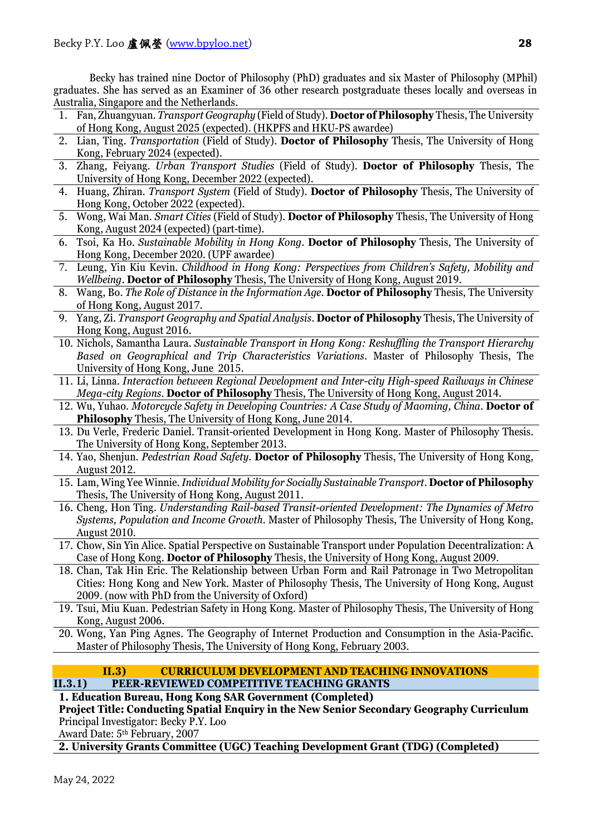Becky has trained nine Doctor of Philosophy (PhD) graduates and six Master of Philosophy (MPhil) graduates. She has served as an Examiner of 36 other research postgraduate theses locally and overseas in Australia, Singapore and the Netherlands.

- 1. Fan, Zhuangyuan. *Transport Geography* (Field of Study). **Doctor of Philosophy** Thesis, The University of Hong Kong, August 2025 (expected). (HKPFS and HKU-PS awardee)
- 2. Lian, Ting. *Transportation* (Field of Study). **Doctor of Philosophy** Thesis, The University of Hong Kong, February 2024 (expected).
- 3. Zhang, Feiyang. *Urban Transport Studies* (Field of Study). **Doctor of Philosophy** Thesis, The University of Hong Kong, December 2022 (expected).
- 4. Huang, Zhiran. *Transport System* (Field of Study). **Doctor of Philosophy** Thesis, The University of Hong Kong, October 2022 (expected).
- 5. Wong, Wai Man. *Smart Cities* (Field of Study). **Doctor of Philosophy** Thesis, The University of Hong Kong, August 2024 (expected) (part-time).
- 6. Tsoi, Ka Ho. *Sustainable Mobility in Hong Kong*. **Doctor of Philosophy** Thesis, The University of Hong Kong, December 2020. (UPF awardee)
- 7. Leung, Yin Kiu Kevin. *Childhood in Hong Kong: Perspectives from Children's Safety, Mobility and Wellbeing*. **Doctor of Philosophy** Thesis, The University of Hong Kong, August 2019.
- 8. Wang, Bo. *The Role of Distance in the Information Age*. **Doctor of Philosophy** Thesis, The University of Hong Kong, August 2017.
- 9. Yang, Zi. *Transport Geography and Spatial Analysis*. **Doctor of Philosophy** Thesis, The University of Hong Kong, August 2016.
- 10. Nichols, Samantha Laura. *Sustainable Transport in Hong Kong: Reshuffling the Transport Hierarchy Based on Geographical and Trip Characteristics Variations*. Master of Philosophy Thesis, The University of Hong Kong, June 2015.
- 11. Li, Linna. *Interaction between Regional Development and Inter-city High-speed Railways in Chinese Mega-city Regions*. **Doctor of Philosophy** Thesis, The University of Hong Kong, August 2014.
- 12. Wu, Yuhao. *Motorcycle Safety in Developing Countries: A Case Study of Maoming, China*. **Doctor of Philosophy** Thesis, The University of Hong Kong, June 2014.
- 13. Du Verle, Frederic Daniel. Transit-oriented Development in Hong Kong. Master of Philosophy Thesis. The University of Hong Kong, September 2013.
- 14. Yao, Shenjun. *Pedestrian Road Safety*. **Doctor of Philosophy** Thesis, The University of Hong Kong, August 2012.
- 15. Lam, Wing Yee Winnie. *Individual Mobility for Socially Sustainable Transport*. **Doctor of Philosophy** Thesis, The University of Hong Kong, August 2011.
- 16. Cheng, Hon Ting. *Understanding Rail-based Transit-oriented Development: The Dynamics of Metro Systems, Population and Income Growth*. Master of Philosophy Thesis, The University of Hong Kong, August 2010.
- 17. Chow, Sin Yin Alice. Spatial Perspective on Sustainable Transport under Population Decentralization: A Case of Hong Kong. **Doctor of Philosophy** Thesis, the University of Hong Kong, August 2009.
- 18. Chan, Tak Hin Eric. The Relationship between Urban Form and Rail Patronage in Two Metropolitan Cities: Hong Kong and New York. Master of Philosophy Thesis, The University of Hong Kong, August 2009. (now with PhD from the University of Oxford)
- 19. Tsui, Miu Kuan. Pedestrian Safety in Hong Kong. Master of Philosophy Thesis, The University of Hong Kong, August 2006.
- 20. Wong, Yan Ping Agnes. The Geography of Internet Production and Consumption in the Asia-Pacific. Master of Philosophy Thesis, The University of Hong Kong, February 2003.

# <span id="page-27-0"></span>**II.3) CURRICULUM DEVELOPMENT AND TEACHING INNOVATIONS II.3.1) PEER-REVIEWED COMPETITIVE TEACHING GRANTS**

# **1. Education Bureau, Hong Kong SAR Government (Completed)**

**Project Title: Conducting Spatial Enquiry in the New Senior Secondary Geography Curriculum** Principal Investigator: Becky P.Y. Loo

Award Date: 5th February, 2007

**2. University Grants Committee (UGC) Teaching Development Grant (TDG) (Completed)**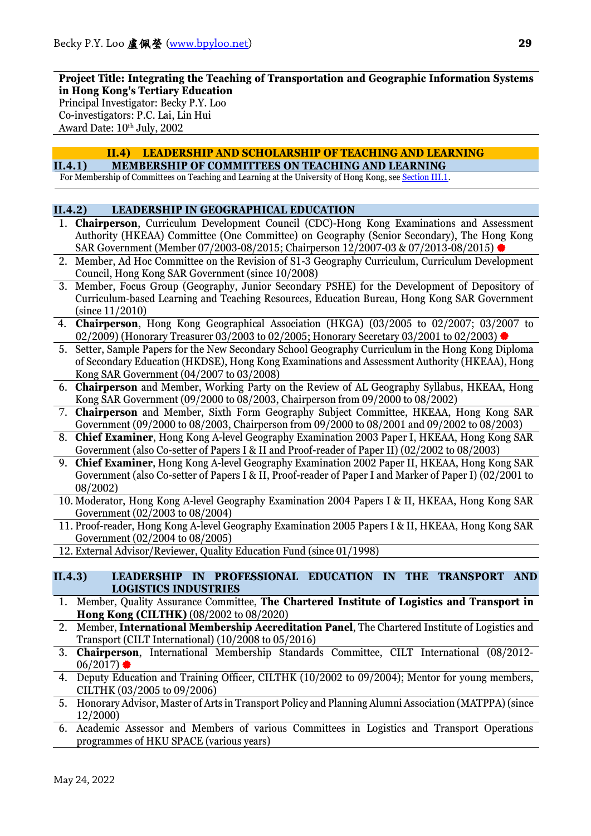**Project Title: Integrating the Teaching of Transportation and Geographic Information Systems in Hong Kong's Tertiary Education** 

Principal Investigator: Becky P.Y. Loo Co-investigators: P.C. Lai, Lin Hui Award Date: 10th July, 2002

### **II.4) LEADERSHIP AND SCHOLARSHIP OF TEACHING AND LEARNING II.4.1) MEMBERSHIP OF COMMITTEES ON TEACHING AND LEARNING**

For Membership of Committees on Teaching and Learning at the University of Hong Kong, se[e Section III.1.](#page-29-0)

## <span id="page-28-0"></span>**II.4.2) LEADERSHIP IN GEOGRAPHICAL EDUCATION**

- 1. **Chairperson**, Curriculum Development Council (CDC)-Hong Kong Examinations and Assessment Authority (HKEAA) Committee (One Committee) on Geography (Senior Secondary), The Hong Kong SAR Government (Member 07/2003-08/2015; Chairperson 12/2007-03 & 07/2013-08/2015)
- 2. Member, Ad Hoc Committee on the Revision of S1-3 Geography Curriculum, Curriculum Development Council, Hong Kong SAR Government (since 10/2008)
- 3. Member, Focus Group (Geography, Junior Secondary PSHE) for the Development of Depository of Curriculum-based Learning and Teaching Resources, Education Bureau, Hong Kong SAR Government (since 11/2010)
- 4. **Chairperson**, Hong Kong Geographical Association (HKGA) (03/2005 to 02/2007; 03/2007 to 02/2009) (Honorary Treasurer 03/2003 to 02/2005; Honorary Secretary 03/2001 to 02/2003)
- 5. Setter, Sample Papers for the New Secondary School Geography Curriculum in the Hong Kong Diploma of Secondary Education (HKDSE), Hong Kong Examinations and Assessment Authority (HKEAA), Hong Kong SAR Government (04/2007 to 03/2008)
- 6. **Chairperson** and Member, Working Party on the Review of AL Geography Syllabus, HKEAA, Hong Kong SAR Government (09/2000 to 08/2003, Chairperson from 09/2000 to 08/2002)
- 7. **Chairperson** and Member, Sixth Form Geography Subject Committee, HKEAA, Hong Kong SAR Government (09/2000 to 08/2003, Chairperson from 09/2000 to 08/2001 and 09/2002 to 08/2003)
- 8. **Chief Examiner**, Hong Kong A-level Geography Examination 2003 Paper I, HKEAA, Hong Kong SAR Government (also Co-setter of Papers I & II and Proof-reader of Paper II) (02/2002 to 08/2003)
- 9. **Chief Examiner**, Hong Kong A-level Geography Examination 2002 Paper II, HKEAA, Hong Kong SAR Government (also Co-setter of Papers I & II, Proof-reader of Paper I and Marker of Paper I) (02/2001 to 08/2002)
- 10. Moderator, Hong Kong A-level Geography Examination 2004 Papers I & II, HKEAA, Hong Kong SAR Government (02/2003 to 08/2004)
- 11. Proof-reader, Hong Kong A-level Geography Examination 2005 Papers I & II, HKEAA, Hong Kong SAR Government (02/2004 to 08/2005)
- 12. External Advisor/Reviewer, Quality Education Fund (since 01/1998)

### **II.4.3) LEADERSHIP IN PROFESSIONAL EDUCATION IN THE TRANSPORT AND LOGISTICS INDUSTRIES**

- 1. Member, Quality Assurance Committee, **The Chartered Institute of Logistics and Transport in Hong Kong (CILTHK)** (08/2002 to 08/2020)
- 2. Member, **International Membership Accreditation Panel**, The Chartered Institute of Logistics and Transport (CILT International) (10/2008 to 05/2016)
- 3. **Chairperson**, International Membership Standards Committee, CILT International (08/2012-  $06/2017$
- 4. Deputy Education and Training Officer, CILTHK (10/2002 to 09/2004); Mentor for young members, CILTHK (03/2005 to 09/2006)
- 5. Honorary Advisor, Master of Arts in Transport Policy and Planning Alumni Association (MATPPA) (since 12/2000)
- 6. Academic Assessor and Members of various Committees in Logistics and Transport Operations programmes of HKU SPACE (various years)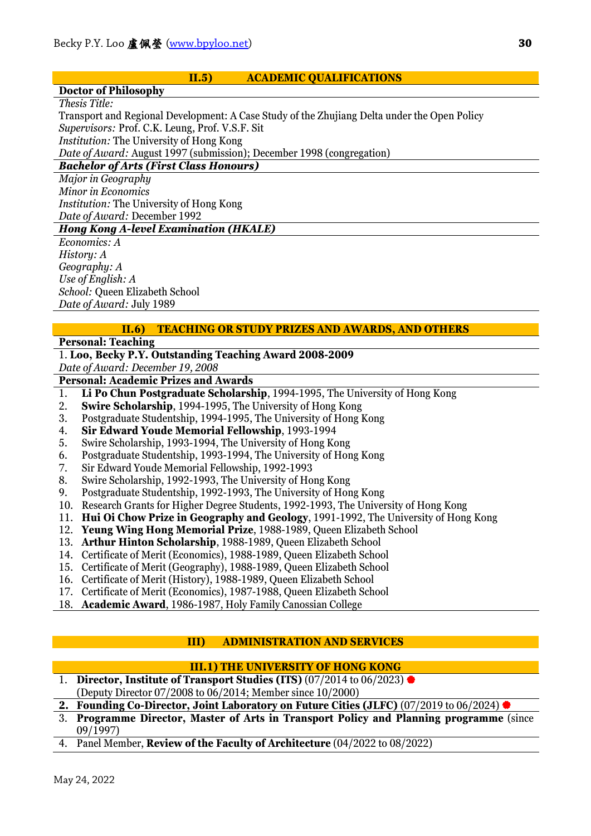## **II.5) ACADEMIC QUALIFICATIONS**

### **Doctor of Philosophy**

*Thesis Title:* 

Transport and Regional Development: A Case Study of the Zhujiang Delta under the Open Policy *Supervisors:* Prof. C.K. Leung, Prof. V.S.F. Sit *Institution:* The University of Hong Kong *Date of Award:* August 1997 (submission); December 1998 (congregation)

# *Bachelor of Arts (First Class Honours)*

*Major in Geography Minor in Economics Institution:* The University of Hong Kong *Date of Award:* December 1992

### *Hong Kong A-level Examination (HKALE)*

*Economics: A History: A Geography: A Use of English: A School:* Queen Elizabeth School *Date of Award:* July 1989

# **II.6) TEACHING OR STUDY PRIZES AND AWARDS, AND OTHERS**

# **Personal: Teaching**

# 1. **Loo, Becky P.Y. Outstanding Teaching Award 2008-2009**

*Date of Award: December 19, 2008*

- **Personal: Academic Prizes and Awards**
- 1. **Li Po Chun Postgraduate Scholarship**, 1994-1995, The University of Hong Kong
- 2. **Swire Scholarship**, 1994-1995, The University of Hong Kong<br>3. Postgraduate Studentship, 1994-1995, The University of Hong I
- 3. Postgraduate Studentship, 1994-1995, The University of Hong Kong<br>4. Sir Edward Youde Memorial Fellowship, 1993-1994
- 4. **Sir Edward Youde Memorial Fellowship**, 1993-1994
- 5. Swire Scholarship, 1993-1994, The University of Hong Kong
- 6. Postgraduate Studentship, 1993-1994, The University of Hong Kong
- 7. Sir Edward Youde Memorial Fellowship, 1992-1993
- 8. Swire Scholarship, 1992-1993, The University of Hong Kong
- 9. Postgraduate Studentship, 1992-1993, The University of Hong Kong
- 10. Research Grants for Higher Degree Students, 1992-1993, The University of Hong Kong
- 11. **Hui Oi Chow Prize in Geography and Geology**, 1991-1992, The University of Hong Kong
- 12. **Yeung Wing Hong Memorial Prize**, 1988-1989, Queen Elizabeth School
- 13. **Arthur Hinton Scholarship**, 1988-1989, Queen Elizabeth School
- 14. Certificate of Merit (Economics), 1988-1989, Queen Elizabeth School
- 15. Certificate of Merit (Geography), 1988-1989, Queen Elizabeth School
- 16. Certificate of Merit (History), 1988-1989, Queen Elizabeth School
- 17. Certificate of Merit (Economics), 1987-1988, Queen Elizabeth School
- 18. **Academic Award**, 1986-1987, Holy Family Canossian College

# <span id="page-29-0"></span>**III) ADMINISTRATION AND SERVICES**

# **III.1) THE UNIVERSITY OF HONG KONG**

- 1. **Director, Institute of Transport Studies (ITS)** (07/2014 to 06/2023) (Deputy Director 07/2008 to 06/2014; Member since 10/2000)
- **2. Founding Co-Director, Joint Laboratory on Future Cities (JLFC)** (07/2019 to 06/2024)
- 3. **Programme Director, Master of Arts in Transport Policy and Planning programme** (since 09/1997)
- 4. Panel Member, **Review of the Faculty of Architecture** (04/2022 to 08/2022)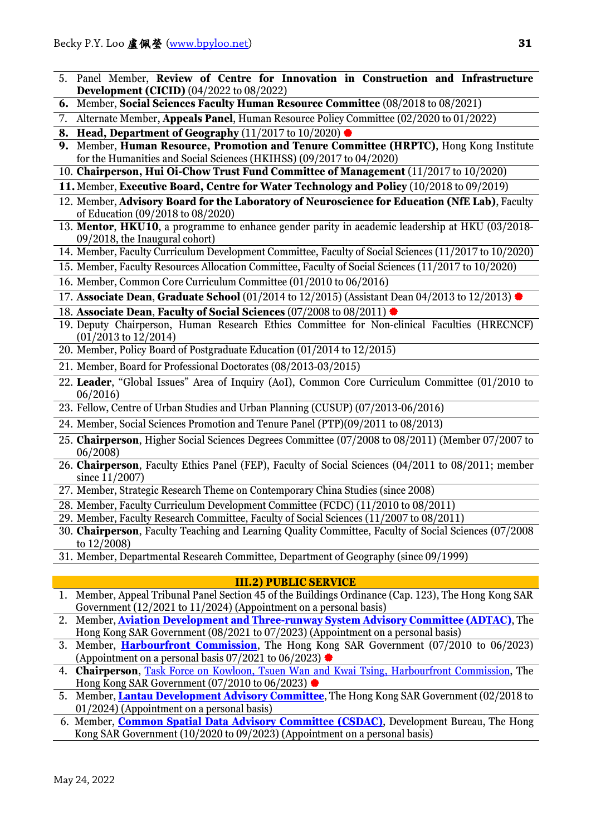- 5. Panel Member, **Review of Centre for Innovation in Construction and Infrastructure Development (CICID)** (04/2022 to 08/2022)
- **6.** Member, **Social Sciences Faculty Human Resource Committee** (08/2018 to 08/2021)
- 7. Alternate Member, **Appeals Panel**, Human Resource Policy Committee (02/2020 to 01/2022)
- **8. Head, Department of Geography** (11/2017 to 10/2020)
- **9.** Member, **Human Resource, Promotion and Tenure Committee (HRPTC)**, Hong Kong Institute for the Humanities and Social Sciences (HKIHSS) (09/2017 to 04/2020)
- 10. **Chairperson, Hui Oi-Chow Trust Fund Committee of Management** (11/2017 to 10/2020)
- **11.**Member, **Executive Board, Centre for Water Technology and Policy** (10/2018 to 09/2019)
- 12. Member, **Advisory Board for the Laboratory of Neuroscience for Education (NfE Lab)**, Faculty of Education (09/2018 to 08/2020)
- 13. **Mentor**, **HKU10**, a programme to enhance gender parity in academic leadership at HKU (03/2018- 09/2018, the Inaugural cohort)
- 14. Member, Faculty Curriculum Development Committee, Faculty of Social Sciences (11/2017 to 10/2020)
- 15. Member, Faculty Resources Allocation Committee, Faculty of Social Sciences (11/2017 to 10/2020)
- 16. Member, Common Core Curriculum Committee (01/2010 to 06/2016)

17. **Associate Dean**, **Graduate School** (01/2014 to 12/2015) (Assistant Dean 04/2013 to 12/2013)

- 18. **Associate Dean**, **Faculty of Social Sciences** (07/2008 to 08/2011)
- 19. Deputy Chairperson, Human Research Ethics Committee for Non-clinical Faculties (HRECNCF) (01/2013 to 12/2014)
- 20. Member, Policy Board of Postgraduate Education (01/2014 to 12/2015)
- 21. Member, Board for Professional Doctorates (08/2013-03/2015)
- 22. **Leader**, "Global Issues" Area of Inquiry (AoI), Common Core Curriculum Committee (01/2010 to 06/2016)
- 23. Fellow, Centre of Urban Studies and Urban Planning (CUSUP) (07/2013-06/2016)
- 24. Member, Social Sciences Promotion and Tenure Panel (PTP)(09/2011 to 08/2013)
- 25. **Chairperson**, Higher Social Sciences Degrees Committee (07/2008 to 08/2011) (Member 07/2007 to 06/2008)
- 26. **Chairperson**, Faculty Ethics Panel (FEP), Faculty of Social Sciences (04/2011 to 08/2011; member since 11/2007)
- 27. Member, Strategic Research Theme on Contemporary China Studies (since 2008)
- 28. Member, Faculty Curriculum Development Committee (FCDC) (11/2010 to 08/2011)
- 29. Member, Faculty Research Committee, Faculty of Social Sciences (11/2007 to 08/2011)
- 30. **Chairperson**, Faculty Teaching and Learning Quality Committee, Faculty of Social Sciences (07/2008 to 12/2008)
- 31. Member, Departmental Research Committee, Department of Geography (since 09/1999)

### **III.2) PUBLIC SERVICE**

- 1. Member, Appeal Tribunal Panel Section 45 of the Buildings Ordinance (Cap. 123), The Hong Kong SAR Government (12/2021 to 11/2024) (Appointment on a personal basis)
- 2. Member, **[Aviation Development and Three-runway System Advisory Committee \(ADTAC\)](https://www.thb.gov.hk/eng/boards/transport/air/adac.htm)**, The Hong Kong SAR Government (08/2021 to 07/2023) (Appointment on a personal basis)
- 3. Member, **[Harbourfront Commission](http://www.hfc.org.hk/en/membership/index.html)**, The Hong Kong SAR Government (07/2010 to 06/2023) (Appointment on a personal basis  $07/2021$  to  $06/2023$ )
- 4. **Chairperson**, Task Force [on Kowloon, Tsuen Wan and Kwai Tsing, Harbourfront Commission,](http://www.hfc.org.hk/en/task_forces/kowloon/membership_kln.html) The Hong Kong SAR Government (07/2010 to 06/2023)
- 5. Member, **[Lantau Development Advisory Committee](https://www.devb.gov.hk/en/boards_and_committees/landac/index.html)**, The Hong Kong SAR Government (02/2018 to 01/2024) (Appointment on a personal basis)
- 6. Member, **[Common Spatial Data Advisory Committee \(CSDAC\)](https://www.devb.gov.hk/en/boards_and_committees/common_spatial_data_advisory_committee/index.html)**, Development Bureau, The Hong Kong SAR Government (10/2020 to 09/2023) (Appointment on a personal basis)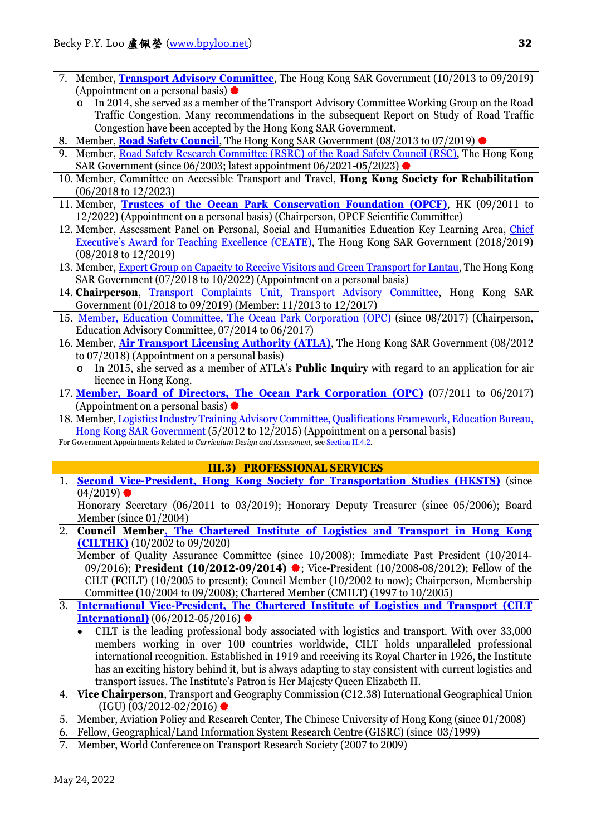- 7. Member, **[Transport Advisory Committee](http://www.thb.gov.hk/eng/boards/transport/land/tac.htm#tac)**, The Hong Kong SAR Government (10/2013 to 09/2019) (Appointment on a personal basis)  $\bullet$ 
	- o In 2014, she served as a member of the Transport Advisory Committee Working Group on the Road Traffic Congestion. Many recommendations in the subsequent Report on Study of Road Traffic Congestion have been accepted by the Hong Kong SAR Government.
- 8. Member, **[Road Safety Council](http://www.roadsafety.gov.hk/en/about_us/rsc.html)**, The Hong Kong SAR Government (08/2013 to 07/2019)
- 9. Member, [Road Safety Research Committee \(RSRC\) of the Road Safety Council \(RSC\),](http://www.roadsafety.gov.hk/eng/about/rsrc.html) The Hong Kong SAR Government (since 06/2003; latest appointment 06/2021-05/2023)  $\bullet$
- 10. Member, Committee on Accessible Transport and Travel, **Hong Kong Society for Rehabilitation** (06/2018 to 12/2023)
- 11. Member, **[Trustees of the Ocean Park Conservation Foundation \(OPCF\)](http://www.opcf.org.hk/tc/team.php)**, HK (09/2011 to 12/2022) (Appointment on a personal basis) (Chairperson, OPCF Scientific Committee)
- 12. Member, Assessment Panel on Personal, Social and Humanities Education Key Learning Area, [Chief](http://www.ate.gov.hk/english/compendiums.html)  [Executive's Award for Teaching Excellence \(CEATE\),](http://www.ate.gov.hk/english/compendiums.html) The Hong Kong SAR Government (2018/2019) (08/2018 to 12/2019)
- 13. Member, [Expert Group on Capacity to Receive Visitors and Green Transport for Lantau,](https://www.lantau.gov.hk/en/our-projects/receive-visitors.html) The Hong Kong SAR Government (07/2018 to 10/2022) (Appointment on a personal basis)
- 14. **Chairperson**, [Transport Complaints Unit, Transport Advisory Committee,](http://www.thb.gov.hk/eng/boards/transport/land/tac.htm#sc) Hong Kong SAR Government (01/2018 to 09/2019) (Member: 11/2013 to 12/2017)
- 15. [Member, Education Committee, The Ocean Park Corporation \(OPC\)](http://www.oceanpark.com.hk/html/en/footer/corporate-information/board.html) (since 08/2017) (Chairperson, Education Advisory Committee, 07/2014 to 06/2017)
- 16. Member, **[Air Transport Licensing Authority \(ATLA\)](http://www.thb.gov.hk/eng/boards/transport/air/atla.htm)**, The Hong Kong SAR Government (08/2012 to 07/2018) (Appointment on a personal basis)
	- o In 2015, she served as a member of ATLA's **Public Inquiry** with regard to an application for air licence in Hong Kong.
- 17. **[Member, Board of Directors, The Ocean Park Corporation \(OPC\)](http://www.oceanpark.com.hk/html/en/footer/corporate-information/board.html)** (07/2011 to 06/2017) (Appointment on a personal basis)  $\bullet$
- 18. Member, [Logistics Industry Training Advisory Committee, Qualifications Framework, Education Bureau,](http://www.hkqf.gov.hk/guie/com_ITAClist_logistics.asp)  [Hong Kong SAR Government](http://www.hkqf.gov.hk/guie/com_ITAClist_logistics.asp) (5/2012 to 12/2015) (Appointment on a personal basis)

For Government Appointments Related to *Curriculum Design and Assessment*, se[e Section II.4.2.](#page-28-0)

# **III.3) PROFESSIONAL SERVICES**

1. **Second Vice-President, Hong Kong Society for Transportation Studies (HKSTS)** (since  $04/2019$ )

Honorary Secretary (06/2011 to 03/2019); Honorary Deputy Treasurer (since 05/2006); Board Member (since 01/2004)

- 2. **Council Membe[r, The Chartered Institute of Logistics and Transport in Hong Kong](http://www.cilt.org.hk/council_member.shtml)  [\(CILTHK\)](http://www.cilt.org.hk/council_member.shtml)** (10/2002 to 09/2020)
	- Member of Quality Assurance Committee (since 10/2008); Immediate Past President (10/2014- 09/2016); **President (10/2012-09/2014)** : Vice-President (10/2008-08/2012); Fellow of the CILT (FCILT) (10/2005 to present); Council Member (10/2002 to now); Chairperson, Membership Committee (10/2004 to 09/2008); Chartered Member (CMILT) (1997 to 10/2005)
- 3. **[International Vice-President, The Chartered Institute of Logistics and Transport \(CILT](http://www.ciltinternational.org/AboutUs/LeadershipTeam.aspx)  [International\)](http://www.ciltinternational.org/AboutUs/LeadershipTeam.aspx)** (06/2012-05/2016)
	- CILT is the leading professional body associated with logistics and transport. With over 33,000 members working in over 100 countries worldwide, CILT holds unparalleled professional international recognition. Established in 1919 and receiving its Royal Charter in 1926, the Institute has an exciting history behind it, but is always adapting to stay consistent with current logistics and transport issues. The Institute's Patron is Her Majesty Queen Elizabeth II.
- 4. **Vice Chairperson**, Transport and Geography Commission (C12.38) International Geographical Union  $(IGU) (03/2012-02/2016)$
- 5. Member, Aviation Policy and Research Center, The Chinese University of Hong Kong (since 01/2008)
- 6. Fellow, Geographical/Land Information System Research Centre (GISRC) (since 03/1999)
- 7. Member, World Conference on Transport Research Society (2007 to 2009)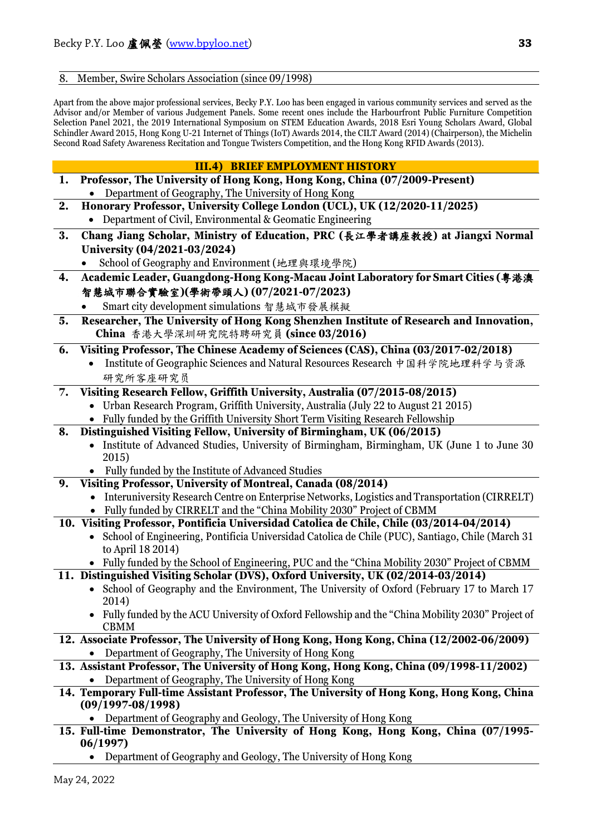### 8. Member, Swire Scholars Association (since 09/1998)

Apart from the above major professional services, Becky P.Y. Loo has been engaged in various community services and served as the Advisor and/or Member of various Judgement Panels. Some recent ones include the Harbourfront Public Furniture Competition Selection Panel 2021, the 2019 International Symposium on STEM Education Awards, 2018 Esri Young Scholars Award, Global Schindler Award 2015, Hong Kong U-21 Internet of Things (IoT) Awards 2014, the CILT Award (2014) (Chairperson), the Michelin Second Road Safety Awareness Recitation and Tongue Twisters Competition, and the Hong Kong RFID Awards (2013).

|    | <b>III.4) BRIEF EMPLOYMENT HISTORY</b>                                                                                                                  |
|----|---------------------------------------------------------------------------------------------------------------------------------------------------------|
| 1. | Professor, The University of Hong Kong, Hong Kong, China (07/2009-Present)                                                                              |
|    | Department of Geography, The University of Hong Kong                                                                                                    |
| 2. | Honorary Professor, University College London (UCL), UK (12/2020-11/2025)                                                                               |
|    | • Department of Civil, Environmental & Geomatic Engineering                                                                                             |
| 3. | Chang Jiang Scholar, Ministry of Education, PRC (長江學者講座教授) at Jiangxi Normal                                                                            |
|    | University (04/2021-03/2024)                                                                                                                            |
|    | School of Geography and Environment (地理與環境學院)                                                                                                           |
| 4. | Academic Leader, Guangdong-Hong Kong-Macau Joint Laboratory for Smart Cities (粤港澳                                                                       |
|    | 智慧城市聯合實驗室)(學術帶頭人)(07/2021-07/2023)                                                                                                                      |
|    | Smart city development simulations 智慧城市發展模擬                                                                                                             |
|    |                                                                                                                                                         |
| 5. | Researcher, The University of Hong Kong Shenzhen Institute of Research and Innovation,                                                                  |
|    | China 香港大學深圳研究院特聘研究員 (since 03/2016)                                                                                                                    |
| 6. | Visiting Professor, The Chinese Academy of Sciences (CAS), China (03/2017-02/2018)                                                                      |
|    | Institute of Geographic Sciences and Natural Resources Research 中国科学院地理科学与资源                                                                            |
|    | 研究所客座研究员                                                                                                                                                |
| 7. | Visiting Research Fellow, Griffith University, Australia (07/2015-08/2015)                                                                              |
|    | Urban Research Program, Griffith University, Australia (July 22 to August 21 2015)                                                                      |
|    | Fully funded by the Griffith University Short Term Visiting Research Fellowship                                                                         |
| 8. | Distinguished Visiting Fellow, University of Birmingham, UK (06/2015)                                                                                   |
|    | • Institute of Advanced Studies, University of Birmingham, Birmingham, UK (June 1 to June 30                                                            |
|    | 2015)                                                                                                                                                   |
|    | Fully funded by the Institute of Advanced Studies                                                                                                       |
| 9. | Visiting Professor, University of Montreal, Canada (08/2014)                                                                                            |
|    | Interuniversity Research Centre on Enterprise Networks, Logistics and Transportation (CIRRELT)                                                          |
|    | Fully funded by CIRRELT and the "China Mobility 2030" Project of CBMM                                                                                   |
|    | 10. Visiting Professor, Pontificia Universidad Catolica de Chile, Chile (03/2014-04/2014)                                                               |
|    | School of Engineering, Pontificia Universidad Catolica de Chile (PUC), Santiago, Chile (March 31                                                        |
|    | to April 18 2014)                                                                                                                                       |
|    | • Fully funded by the School of Engineering, PUC and the "China Mobility 2030" Project of CBMM                                                          |
|    | 11. Distinguished Visiting Scholar (DVS), Oxford University, UK (02/2014-03/2014)                                                                       |
|    | • School of Geography and the Environment, The University of Oxford (February 17 to March 17                                                            |
|    | 2014)                                                                                                                                                   |
|    | Fully funded by the ACU University of Oxford Fellowship and the "China Mobility 2030" Project of                                                        |
|    | <b>CBMM</b>                                                                                                                                             |
|    | 12. Associate Professor, The University of Hong Kong, Hong Kong, China (12/2002-06/2009)                                                                |
|    | Department of Geography, The University of Hong Kong                                                                                                    |
|    | 13. Assistant Professor, The University of Hong Kong, Hong Kong, China (09/1998-11/2002)                                                                |
|    | Department of Geography, The University of Hong Kong                                                                                                    |
|    | 14. Temporary Full-time Assistant Professor, The University of Hong Kong, Hong Kong, China                                                              |
|    | $(09/1997 - 08/1998)$                                                                                                                                   |
|    | Department of Geography and Geology, The University of Hong Kong<br>15. Full-time Demonstrator, The University of Hong Kong, Hong Kong, China (07/1995- |
|    | 06/1997)                                                                                                                                                |
|    |                                                                                                                                                         |

• Department of Geography and Geology, The University of Hong Kong